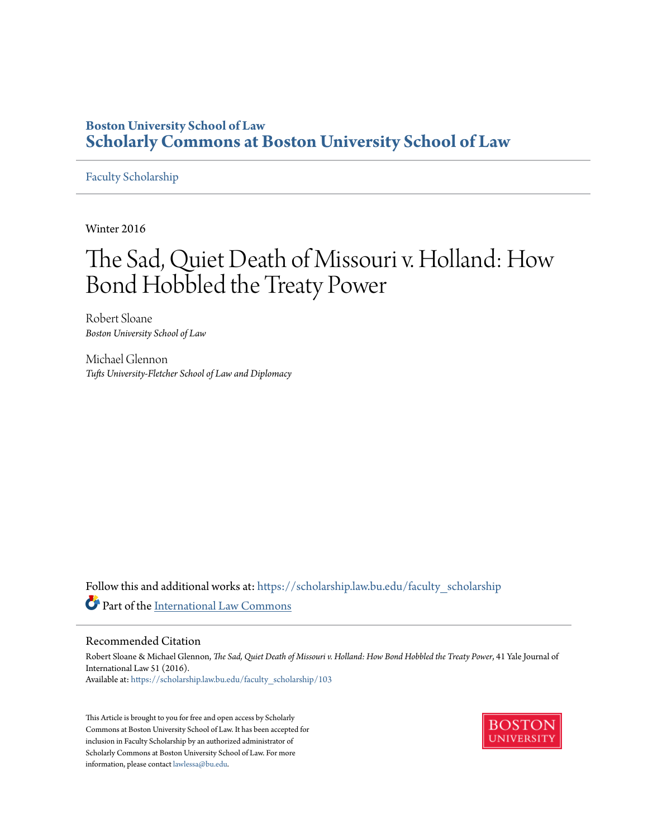### **Boston University School of Law [Scholarly Commons at Boston University School of Law](https://scholarship.law.bu.edu?utm_source=scholarship.law.bu.edu%2Ffaculty_scholarship%2F103&utm_medium=PDF&utm_campaign=PDFCoverPages)**

### [Faculty Scholarship](https://scholarship.law.bu.edu/faculty_scholarship?utm_source=scholarship.law.bu.edu%2Ffaculty_scholarship%2F103&utm_medium=PDF&utm_campaign=PDFCoverPages)

Winter 2016

# The Sad, Quiet Death of Missouri v. Holland: How Bond Hobbled the Treaty Power

Robert Sloane *Boston University School of Law*

Michael Glennon *Tufts University-Fletcher School of Law and Diplomacy*

Follow this and additional works at: [https://scholarship.law.bu.edu/faculty\\_scholarship](https://scholarship.law.bu.edu/faculty_scholarship?utm_source=scholarship.law.bu.edu%2Ffaculty_scholarship%2F103&utm_medium=PDF&utm_campaign=PDFCoverPages) Part of the [International Law Commons](http://network.bepress.com/hgg/discipline/609?utm_source=scholarship.law.bu.edu%2Ffaculty_scholarship%2F103&utm_medium=PDF&utm_campaign=PDFCoverPages)

#### Recommended Citation

Robert Sloane & Michael Glennon, *The Sad, Quiet Death of Missouri v. Holland: How Bond Hobbled the Treaty Power*, 41 Yale Journal of International Law 51 (2016). Available at: [https://scholarship.law.bu.edu/faculty\\_scholarship/103](https://scholarship.law.bu.edu/faculty_scholarship/103?utm_source=scholarship.law.bu.edu%2Ffaculty_scholarship%2F103&utm_medium=PDF&utm_campaign=PDFCoverPages)

This Article is brought to you for free and open access by Scholarly Commons at Boston University School of Law. It has been accepted for inclusion in Faculty Scholarship by an authorized administrator of Scholarly Commons at Boston University School of Law. For more information, please contact [lawlessa@bu.edu.](mailto:lawlessa@bu.edu)

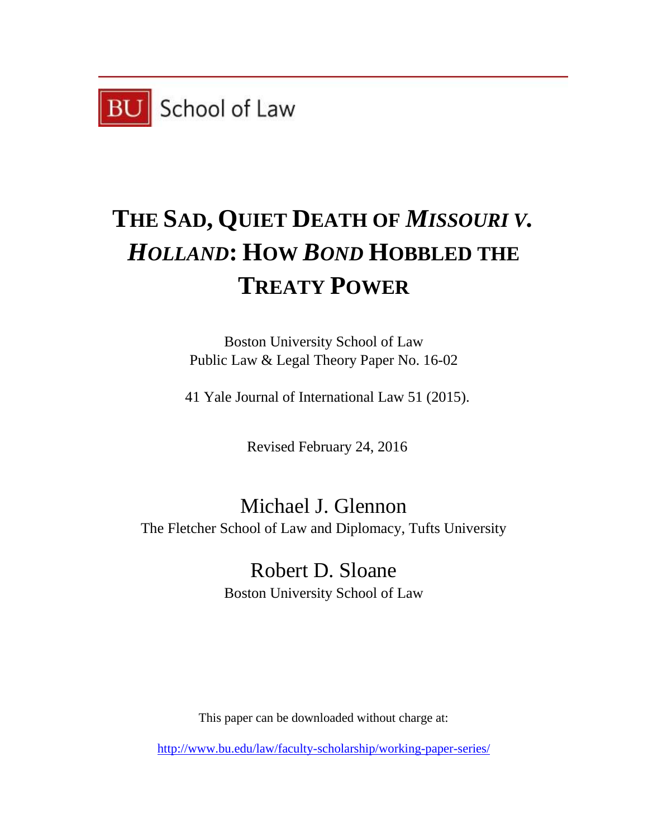

# **THE SAD, QUIET DEATH OF** *MISSOURI V. HOLLAND***: HOW** *BOND* **HOBBLED THE TREATY POWER**

Boston University School of Law Public Law & Legal Theory Paper No. 16-02

41 Yale Journal of International Law 51 (2015).

Revised February 24, 2016

Michael J. Glennon The Fletcher School of Law and Diplomacy, Tufts University

> Robert D. Sloane Boston University School of Law

This paper can be downloaded without charge at:

<http://www.bu.edu/law/faculty-scholarship/working-paper-series/>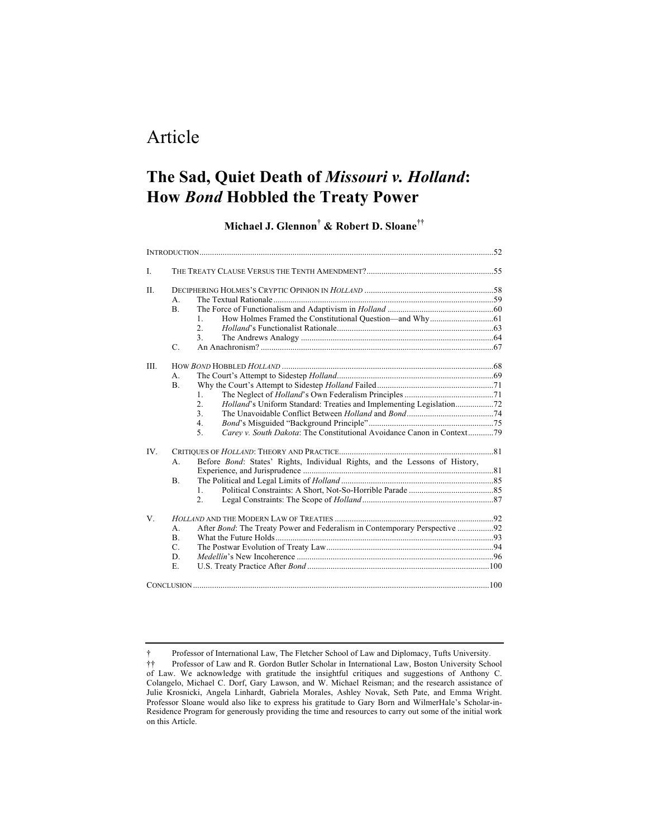# Article

## **The Sad, Quiet Death of** *Missouri v. Holland***: How** *Bond* **Hobbled the Treaty Power**

**Michael J. Glennon† & Robert D. Sloane††**

| $\mathbf{I}$ . |                |                                                                                     |                                                                        |  |
|----------------|----------------|-------------------------------------------------------------------------------------|------------------------------------------------------------------------|--|
| Π.             |                |                                                                                     |                                                                        |  |
|                | $\mathbf{A}$ . |                                                                                     |                                                                        |  |
|                | B <sub>1</sub> |                                                                                     |                                                                        |  |
|                |                | $\mathbf{1}$                                                                        |                                                                        |  |
|                |                | 2 <sup>1</sup>                                                                      |                                                                        |  |
|                |                | $\mathcal{E}$                                                                       |                                                                        |  |
|                | C.             |                                                                                     |                                                                        |  |
| III.           |                |                                                                                     |                                                                        |  |
|                | $A_{\cdot}$    |                                                                                     |                                                                        |  |
|                | B <sub>1</sub> |                                                                                     |                                                                        |  |
|                |                | 1.                                                                                  |                                                                        |  |
|                |                | 2 <sup>1</sup>                                                                      | Holland's Uniform Standard: Treaties and Implementing Legislation72    |  |
|                |                | $\overline{3}$ .                                                                    |                                                                        |  |
|                |                | 4 <sup>1</sup>                                                                      |                                                                        |  |
|                |                | 5 <sub>1</sub>                                                                      | Carey v. South Dakota: The Constitutional Avoidance Canon in Context79 |  |
| IV.            |                |                                                                                     |                                                                        |  |
|                | $A_{-}$        | Before <i>Bond</i> : States' Rights, Individual Rights, and the Lessons of History, |                                                                        |  |
|                |                |                                                                                     |                                                                        |  |
|                | B <sub>1</sub> |                                                                                     |                                                                        |  |
|                |                | $\mathbf{1}$ .                                                                      |                                                                        |  |
|                |                | 2 <sup>1</sup>                                                                      |                                                                        |  |
| V.             |                |                                                                                     |                                                                        |  |
|                | $\mathbf{A}$ . | After Bond: The Treaty Power and Federalism in Contemporary Perspective 92          |                                                                        |  |
|                | B <sub>1</sub> |                                                                                     |                                                                        |  |
|                | C.             |                                                                                     |                                                                        |  |
|                | D.             |                                                                                     |                                                                        |  |
|                | $E_{\rm c}$    |                                                                                     |                                                                        |  |
|                |                |                                                                                     |                                                                        |  |

<sup>†</sup> Professor of International Law, The Fletcher School of Law and Diplomacy, Tufts University.

<sup>††</sup> Professor of Law and R. Gordon Butler Scholar in International Law, Boston University School of Law. We acknowledge with gratitude the insightful critiques and suggestions of Anthony C. Colangelo, Michael C. Dorf, Gary Lawson, and W. Michael Reisman; and the research assistance of Julie Krosnicki, Angela Linhardt, Gabriela Morales, Ashley Novak, Seth Pate, and Emma Wright. Professor Sloane would also like to express his gratitude to Gary Born and WilmerHale's Scholar-in-Residence Program for generously providing the time and resources to carry out some of the initial work on this Article.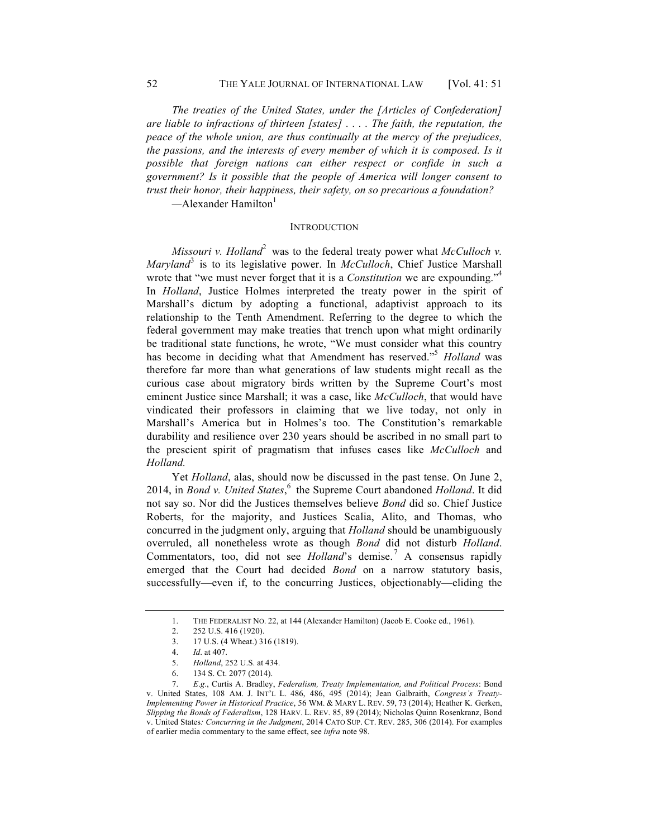*The treaties of the United States, under the [Articles of Confederation] are liable to infractions of thirteen [states] . . . . The faith, the reputation, the peace of the whole union, are thus continually at the mercy of the prejudices, the passions, and the interests of every member of which it is composed. Is it possible that foreign nations can either respect or confide in such a government? Is it possible that the people of America will longer consent to trust their honor, their happiness, their safety, on so precarious a foundation?*

—Alexander Hamilton<sup>1</sup>

#### INTRODUCTION

*Missouri v. Holland*<sup>2</sup> was to the federal treaty power what *McCulloch v. Maryland*<sup>3</sup> is to its legislative power. In *McCulloch*, Chief Justice Marshall wrote that "we must never forget that it is a *Constitution* we are expounding."4 In *Holland*, Justice Holmes interpreted the treaty power in the spirit of Marshall's dictum by adopting a functional, adaptivist approach to its relationship to the Tenth Amendment. Referring to the degree to which the federal government may make treaties that trench upon what might ordinarily be traditional state functions, he wrote, "We must consider what this country has become in deciding what that Amendment has reserved."<sup>5</sup> *Holland* was therefore far more than what generations of law students might recall as the curious case about migratory birds written by the Supreme Court's most eminent Justice since Marshall; it was a case, like *McCulloch*, that would have vindicated their professors in claiming that we live today, not only in Marshall's America but in Holmes's too. The Constitution's remarkable durability and resilience over 230 years should be ascribed in no small part to the prescient spirit of pragmatism that infuses cases like *McCulloch* and *Holland.*

Yet *Holland*, alas, should now be discussed in the past tense. On June 2, 2014, in *Bond v. United States*, <sup>6</sup> the Supreme Court abandoned *Holland*. It did not say so. Nor did the Justices themselves believe *Bond* did so. Chief Justice Roberts, for the majority, and Justices Scalia, Alito, and Thomas, who concurred in the judgment only, arguing that *Holland* should be unambiguously overruled, all nonetheless wrote as though *Bond* did not disturb *Holland*. Commentators, too, did not see *Holland*'s demise.<sup>7</sup> A consensus rapidly emerged that the Court had decided *Bond* on a narrow statutory basis, successfully—even if, to the concurring Justices, objectionably—eliding the

<sup>1.</sup> THE FEDERALIST NO. 22, at 144 (Alexander Hamilton) (Jacob E. Cooke ed., 1961).

<sup>2.</sup> 252 U.S. 416 (1920).

<sup>3.</sup> 17 U.S. (4 Wheat.) 316 (1819).

<sup>4.</sup> *Id*. at 407.

<sup>5.</sup> *Holland*, 252 U.S. at 434.

<sup>6.</sup> 134 S. Ct. 2077 (2014).

<sup>7.</sup> *E*.*g*., Curtis A. Bradley, *Federalism, Treaty Implementation, and Political Process*: Bond v. United States, 108 AM. J. INT'L L. 486, 486, 495 (2014); Jean Galbraith, *Congress's Treaty-Implementing Power in Historical Practice*, 56 WM. & MARY L. REV. 59, 73 (2014); Heather K. Gerken, *Slipping the Bonds of Federalism*, 128 HARV. L. REV. 85, 89 (2014); Nicholas Quinn Rosenkranz, Bond v. United States*: Concurring in the Judgment*, 2014 CATO SUP. CT. REV. 285, 306 (2014). For examples of earlier media commentary to the same effect, see *infra* note 98.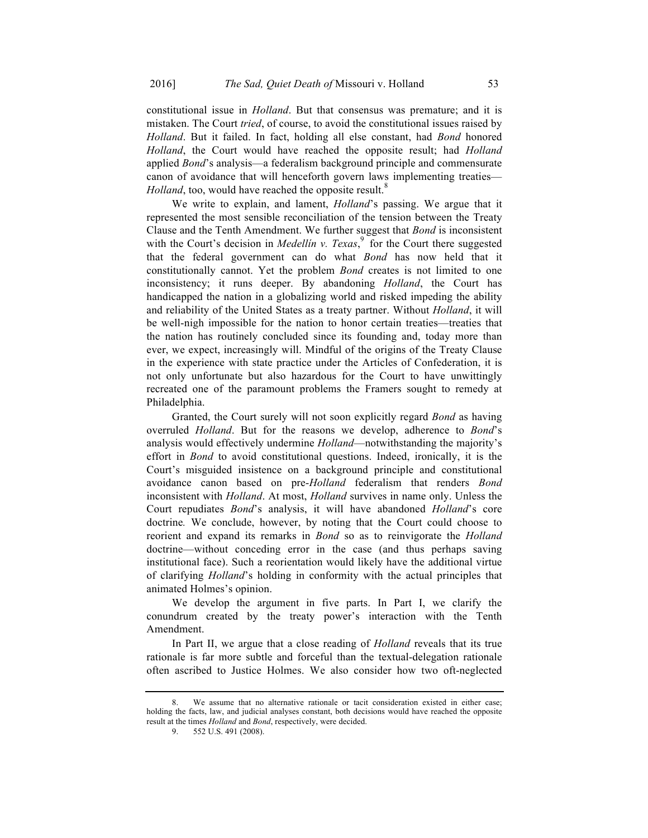constitutional issue in *Holland*. But that consensus was premature; and it is mistaken. The Court *tried*, of course, to avoid the constitutional issues raised by *Holland*. But it failed. In fact, holding all else constant, had *Bond* honored *Holland*, the Court would have reached the opposite result; had *Holland* applied *Bond*'s analysis—a federalism background principle and commensurate canon of avoidance that will henceforth govern laws implementing treaties— *Holland*, too, would have reached the opposite result.<sup>8</sup>

We write to explain, and lament, *Holland*'s passing. We argue that it represented the most sensible reconciliation of the tension between the Treaty Clause and the Tenth Amendment. We further suggest that *Bond* is inconsistent with the Court's decision in *Medellin v. Texas*,<sup>9</sup> for the Court there suggested that the federal government can do what *Bond* has now held that it constitutionally cannot. Yet the problem *Bond* creates is not limited to one inconsistency; it runs deeper. By abandoning *Holland*, the Court has handicapped the nation in a globalizing world and risked impeding the ability and reliability of the United States as a treaty partner. Without *Holland*, it will be well-nigh impossible for the nation to honor certain treaties—treaties that the nation has routinely concluded since its founding and, today more than ever, we expect, increasingly will. Mindful of the origins of the Treaty Clause in the experience with state practice under the Articles of Confederation, it is not only unfortunate but also hazardous for the Court to have unwittingly recreated one of the paramount problems the Framers sought to remedy at Philadelphia.

Granted, the Court surely will not soon explicitly regard *Bond* as having overruled *Holland*. But for the reasons we develop, adherence to *Bond*'s analysis would effectively undermine *Holland*—notwithstanding the majority's effort in *Bond* to avoid constitutional questions. Indeed, ironically, it is the Court's misguided insistence on a background principle and constitutional avoidance canon based on pre-*Holland* federalism that renders *Bond* inconsistent with *Holland*. At most, *Holland* survives in name only. Unless the Court repudiates *Bond*'s analysis, it will have abandoned *Holland*'s core doctrine*.* We conclude, however, by noting that the Court could choose to reorient and expand its remarks in *Bond* so as to reinvigorate the *Holland* doctrine—without conceding error in the case (and thus perhaps saving institutional face). Such a reorientation would likely have the additional virtue of clarifying *Holland*'s holding in conformity with the actual principles that animated Holmes's opinion.

We develop the argument in five parts. In Part I, we clarify the conundrum created by the treaty power's interaction with the Tenth Amendment.

In Part II, we argue that a close reading of *Holland* reveals that its true rationale is far more subtle and forceful than the textual-delegation rationale often ascribed to Justice Holmes. We also consider how two oft-neglected

<sup>8.</sup> We assume that no alternative rationale or tacit consideration existed in either case; holding the facts, law, and judicial analyses constant, both decisions would have reached the opposite result at the times *Holland* and *Bond*, respectively, were decided.

<sup>552</sup> U.S. 491 (2008).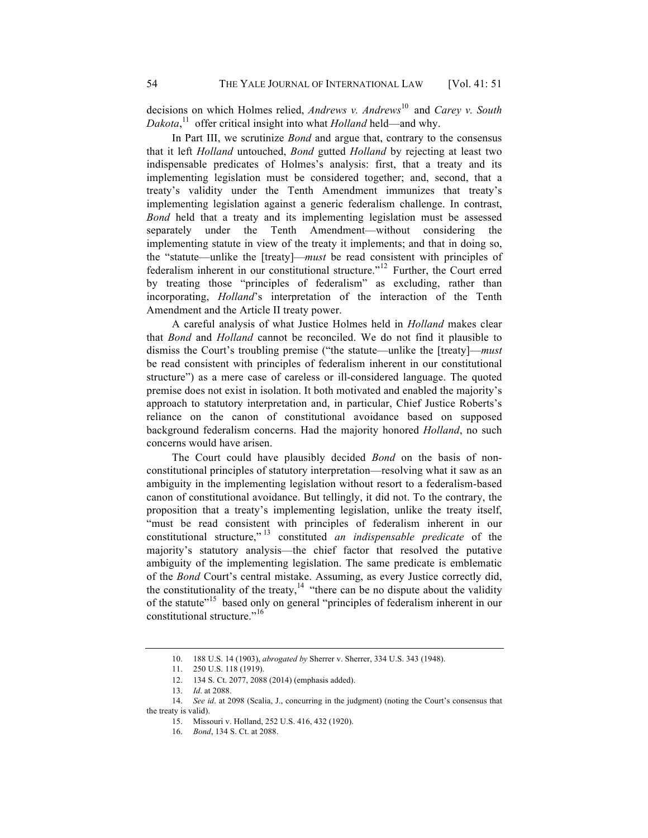decisions on which Holmes relied, *Andrews v. Andrews*<sup>10</sup> and *Carey v. South*  Dakota,<sup>11</sup> offer critical insight into what *Holland* held—and why.

In Part III, we scrutinize *Bond* and argue that, contrary to the consensus that it left *Holland* untouched, *Bond* gutted *Holland* by rejecting at least two indispensable predicates of Holmes's analysis: first, that a treaty and its implementing legislation must be considered together; and, second, that a treaty's validity under the Tenth Amendment immunizes that treaty's implementing legislation against a generic federalism challenge. In contrast, *Bond* held that a treaty and its implementing legislation must be assessed separately under the Tenth Amendment—without considering the implementing statute in view of the treaty it implements; and that in doing so, the "statute—unlike the [treaty]—*must* be read consistent with principles of federalism inherent in our constitutional structure."<sup>12</sup> Further, the Court erred by treating those "principles of federalism" as excluding, rather than incorporating, *Holland*'s interpretation of the interaction of the Tenth Amendment and the Article II treaty power.

A careful analysis of what Justice Holmes held in *Holland* makes clear that *Bond* and *Holland* cannot be reconciled. We do not find it plausible to dismiss the Court's troubling premise ("the statute—unlike the [treaty]—*must* be read consistent with principles of federalism inherent in our constitutional structure") as a mere case of careless or ill-considered language. The quoted premise does not exist in isolation. It both motivated and enabled the majority's approach to statutory interpretation and, in particular, Chief Justice Roberts's reliance on the canon of constitutional avoidance based on supposed background federalism concerns. Had the majority honored *Holland*, no such concerns would have arisen.

The Court could have plausibly decided *Bond* on the basis of nonconstitutional principles of statutory interpretation—resolving what it saw as an ambiguity in the implementing legislation without resort to a federalism-based canon of constitutional avoidance. But tellingly, it did not. To the contrary, the proposition that a treaty's implementing legislation, unlike the treaty itself, "must be read consistent with principles of federalism inherent in our constitutional structure," <sup>13</sup> constituted *an indispensable predicate* of the majority's statutory analysis—the chief factor that resolved the putative ambiguity of the implementing legislation. The same predicate is emblematic of the *Bond* Court's central mistake. Assuming, as every Justice correctly did, the constitutionality of the treaty,  $14$  "there can be no dispute about the validity of the statute<sup>"15</sup> based only on general "principles of federalism inherent in our constitutional structure."<sup>16</sup>

<sup>10.</sup> 188 U.S. 14 (1903), *abrogated by* Sherrer v. Sherrer, 334 U.S. 343 (1948).

<sup>11.</sup> 250 U.S. 118 (1919).

<sup>12.</sup> 134 S. Ct. 2077, 2088 (2014) (emphasis added).

<sup>13.</sup> *Id*. at 2088.

<sup>14.</sup> *See id*. at 2098 (Scalia, J., concurring in the judgment) (noting the Court's consensus that the treaty is valid).

<sup>15.</sup> Missouri v. Holland, 252 U.S. 416, 432 (1920).

<sup>16.</sup> *Bond*, 134 S. Ct. at 2088.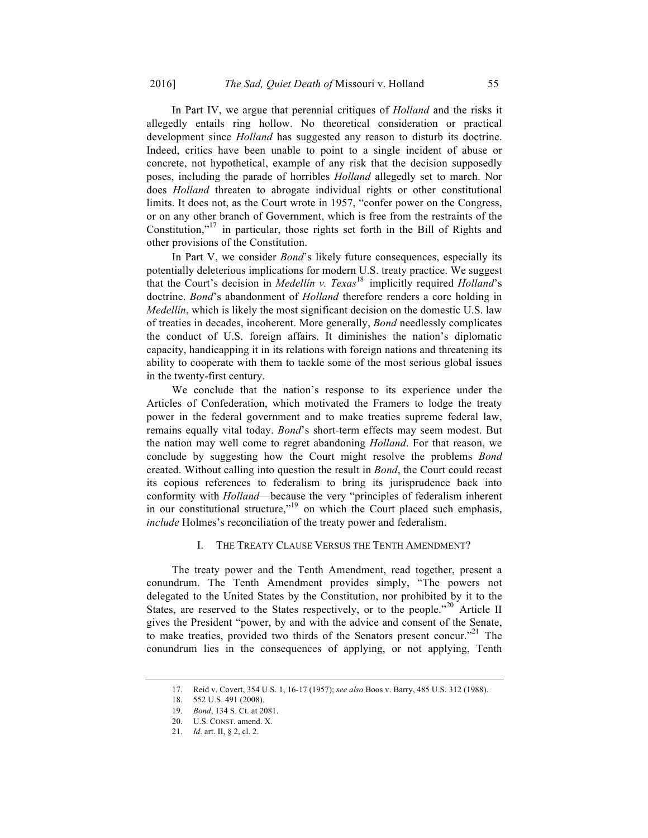In Part IV, we argue that perennial critiques of *Holland* and the risks it allegedly entails ring hollow. No theoretical consideration or practical development since *Holland* has suggested any reason to disturb its doctrine. Indeed, critics have been unable to point to a single incident of abuse or concrete, not hypothetical, example of any risk that the decision supposedly poses, including the parade of horribles *Holland* allegedly set to march. Nor does *Holland* threaten to abrogate individual rights or other constitutional limits. It does not, as the Court wrote in 1957, "confer power on the Congress, or on any other branch of Government, which is free from the restraints of the Constitution,"<sup>17</sup> in particular, those rights set forth in the Bill of Rights and other provisions of the Constitution.

In Part V, we consider *Bond*'s likely future consequences, especially its potentially deleterious implications for modern U.S. treaty practice. We suggest that the Court's decision in *Medellín v. Texas*<sup>18</sup> implicitly required *Holland*'s doctrine. *Bond*'s abandonment of *Holland* therefore renders a core holding in *Medellín*, which is likely the most significant decision on the domestic U.S. law of treaties in decades, incoherent. More generally, *Bond* needlessly complicates the conduct of U.S. foreign affairs. It diminishes the nation's diplomatic capacity, handicapping it in its relations with foreign nations and threatening its ability to cooperate with them to tackle some of the most serious global issues in the twenty-first century.

We conclude that the nation's response to its experience under the Articles of Confederation, which motivated the Framers to lodge the treaty power in the federal government and to make treaties supreme federal law, remains equally vital today. *Bond*'s short-term effects may seem modest. But the nation may well come to regret abandoning *Holland*. For that reason, we conclude by suggesting how the Court might resolve the problems *Bond*  created. Without calling into question the result in *Bond*, the Court could recast its copious references to federalism to bring its jurisprudence back into conformity with *Holland*—because the very "principles of federalism inherent in our constitutional structure,"<sup>19</sup> on which the Court placed such emphasis, *include* Holmes's reconciliation of the treaty power and federalism.

#### I. THE TREATY CLAUSE VERSUS THE TENTH AMENDMENT?

The treaty power and the Tenth Amendment, read together, present a conundrum. The Tenth Amendment provides simply, "The powers not delegated to the United States by the Constitution, nor prohibited by it to the States, are reserved to the States respectively, or to the people."<sup>20</sup> Article II gives the President "power, by and with the advice and consent of the Senate, to make treaties, provided two thirds of the Senators present concur.<sup>221</sup> The conundrum lies in the consequences of applying, or not applying, Tenth

<sup>17.</sup> Reid v. Covert, 354 U.S. 1, 16-17 (1957); *see also* Boos v. Barry, 485 U.S. 312 (1988).

<sup>18.</sup> 552 U.S. 491 (2008).

<sup>19.</sup> *Bond*, 134 S. Ct. at 2081.

<sup>20.</sup> U.S. CONST. amend. X.

<sup>21.</sup> *Id*. art. II, § 2, cl. 2.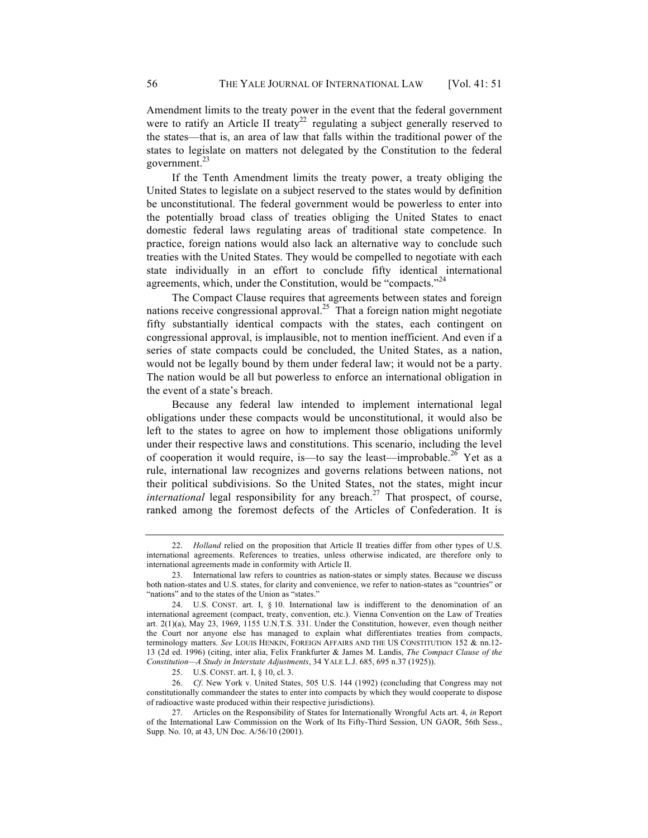Amendment limits to the treaty power in the event that the federal government were to ratify an Article II treaty<sup>22</sup> regulating a subject generally reserved to the states—that is, an area of law that falls within the traditional power of the states to legislate on matters not delegated by the Constitution to the federal government. $^{23}$ 

If the Tenth Amendment limits the treaty power, a treaty obliging the United States to legislate on a subject reserved to the states would by definition be unconstitutional. The federal government would be powerless to enter into the potentially broad class of treaties obliging the United States to enact domestic federal laws regulating areas of traditional state competence. In practice, foreign nations would also lack an alternative way to conclude such treaties with the United States. They would be compelled to negotiate with each state individually in an effort to conclude fifty identical international agreements, which, under the Constitution, would be "compacts."<sup>24</sup>

The Compact Clause requires that agreements between states and foreign nations receive congressional approval.<sup>25</sup> That a foreign nation might negotiate fifty substantially identical compacts with the states, each contingent on congressional approval, is implausible, not to mention inefficient. And even if a series of state compacts could be concluded, the United States, as a nation, would not be legally bound by them under federal law; it would not be a party. The nation would be all but powerless to enforce an international obligation in the event of a state's breach.

Because any federal law intended to implement international legal obligations under these compacts would be unconstitutional, it would also be left to the states to agree on how to implement those obligations uniformly under their respective laws and constitutions. This scenario, including the level of cooperation it would require, is—to say the least—improbable.<sup>26</sup> Yet as a rule, international law recognizes and governs relations between nations, not their political subdivisions. So the United States, not the states, might incur *international* legal responsibility for any breach.<sup>27</sup> That prospect, of course, ranked among the foremost defects of the Articles of Confederation. It is

<sup>22.</sup> *Holland* relied on the proposition that Article II treaties differ from other types of U.S. international agreements. References to treaties, unless otherwise indicated, are therefore only to international agreements made in conformity with Article II.

<sup>23.</sup> International law refers to countries as nation-states or simply states. Because we discuss both nation-states and U.S. states, for clarity and convenience, we refer to nation-states as "countries" or "nations" and to the states of the Union as "states."

<sup>24.</sup> U.S. CONST. art. I, § 10. International law is indifferent to the denomination of an international agreement (compact, treaty, convention, etc.). Vienna Convention on the Law of Treaties art. 2(1)(a), May 23, 1969, 1155 U.N.T.S. 331. Under the Constitution, however, even though neither the Court nor anyone else has managed to explain what differentiates treaties from compacts, terminology matters. *See* LOUIS HENKIN, FOREIGN AFFAIRS AND THE US CONSTITUTION 152 & nn.12- 13 (2d ed. 1996) (citing, inter alia, Felix Frankfurter & James M. Landis, *The Compact Clause of the Constitution—A Study in Interstate Adjustments*, 34 YALE L.J. 685, 695 n.37 (1925)).

<sup>25.</sup> U.S. CONST. art. I, § 10, cl. 3.

<sup>26.</sup> *Cf*. New York v. United States, 505 U.S. 144 (1992) (concluding that Congress may not constitutionally commandeer the states to enter into compacts by which they would cooperate to dispose of radioactive waste produced within their respective jurisdictions).

<sup>27.</sup> Articles on the Responsibility of States for Internationally Wrongful Acts art. 4, *in* Report of the International Law Commission on the Work of Its Fifty-Third Session, UN GAOR, 56th Sess., Supp. No. 10, at 43, UN Doc. A/56/10 (2001).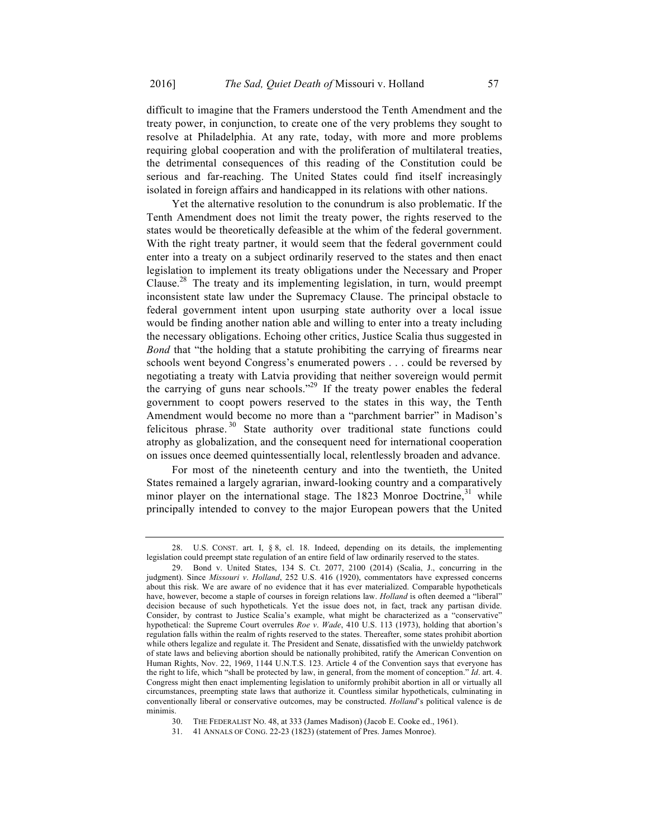difficult to imagine that the Framers understood the Tenth Amendment and the treaty power, in conjunction, to create one of the very problems they sought to resolve at Philadelphia. At any rate, today, with more and more problems requiring global cooperation and with the proliferation of multilateral treaties, the detrimental consequences of this reading of the Constitution could be serious and far-reaching. The United States could find itself increasingly isolated in foreign affairs and handicapped in its relations with other nations.

Yet the alternative resolution to the conundrum is also problematic. If the Tenth Amendment does not limit the treaty power, the rights reserved to the states would be theoretically defeasible at the whim of the federal government. With the right treaty partner, it would seem that the federal government could enter into a treaty on a subject ordinarily reserved to the states and then enact legislation to implement its treaty obligations under the Necessary and Proper Clause.<sup>28</sup> The treaty and its implementing legislation, in turn, would preempt inconsistent state law under the Supremacy Clause. The principal obstacle to federal government intent upon usurping state authority over a local issue would be finding another nation able and willing to enter into a treaty including the necessary obligations. Echoing other critics, Justice Scalia thus suggested in *Bond* that "the holding that a statute prohibiting the carrying of firearms near schools went beyond Congress's enumerated powers . . . could be reversed by negotiating a treaty with Latvia providing that neither sovereign would permit the carrying of guns near schools."<sup>29</sup> If the treaty power enables the federal government to coopt powers reserved to the states in this way, the Tenth Amendment would become no more than a "parchment barrier" in Madison's felicitous phrase. <sup>30</sup> State authority over traditional state functions could atrophy as globalization, and the consequent need for international cooperation on issues once deemed quintessentially local, relentlessly broaden and advance.

For most of the nineteenth century and into the twentieth, the United States remained a largely agrarian, inward-looking country and a comparatively minor player on the international stage. The 1823 Monroe Doctrine,  $31$  while principally intended to convey to the major European powers that the United

<sup>28.</sup> U.S. CONST. art. I, § 8, cl. 18. Indeed, depending on its details, the implementing legislation could preempt state regulation of an entire field of law ordinarily reserved to the states.

<sup>29.</sup> Bond v. United States, 134 S. Ct. 2077, 2100 (2014) (Scalia, J., concurring in the judgment). Since *Missouri v*. *Holland*, 252 U.S. 416 (1920), commentators have expressed concerns about this risk. We are aware of no evidence that it has ever materialized. Comparable hypotheticals have, however, become a staple of courses in foreign relations law. *Holland* is often deemed a "liberal" decision because of such hypotheticals. Yet the issue does not, in fact, track any partisan divide. Consider, by contrast to Justice Scalia's example, what might be characterized as a "conservative" hypothetical: the Supreme Court overrules *Roe v*. *Wade*, 410 U.S. 113 (1973), holding that abortion's regulation falls within the realm of rights reserved to the states. Thereafter, some states prohibit abortion while others legalize and regulate it. The President and Senate, dissatisfied with the unwieldy patchwork of state laws and believing abortion should be nationally prohibited, ratify the American Convention on Human Rights, Nov. 22, 1969, 1144 U.N.T.S. 123. Article 4 of the Convention says that everyone has the right to life, which "shall be protected by law, in general, from the moment of conception." *Id*. art. 4. Congress might then enact implementing legislation to uniformly prohibit abortion in all or virtually all circumstances, preempting state laws that authorize it. Countless similar hypotheticals, culminating in conventionally liberal or conservative outcomes, may be constructed. *Holland*'s political valence is de minimis.

<sup>30.</sup> THE FEDERALIST NO. 48, at 333 (James Madison) (Jacob E. Cooke ed., 1961).

<sup>31.</sup> 41 ANNALS OF CONG. 22-23 (1823) (statement of Pres. James Monroe).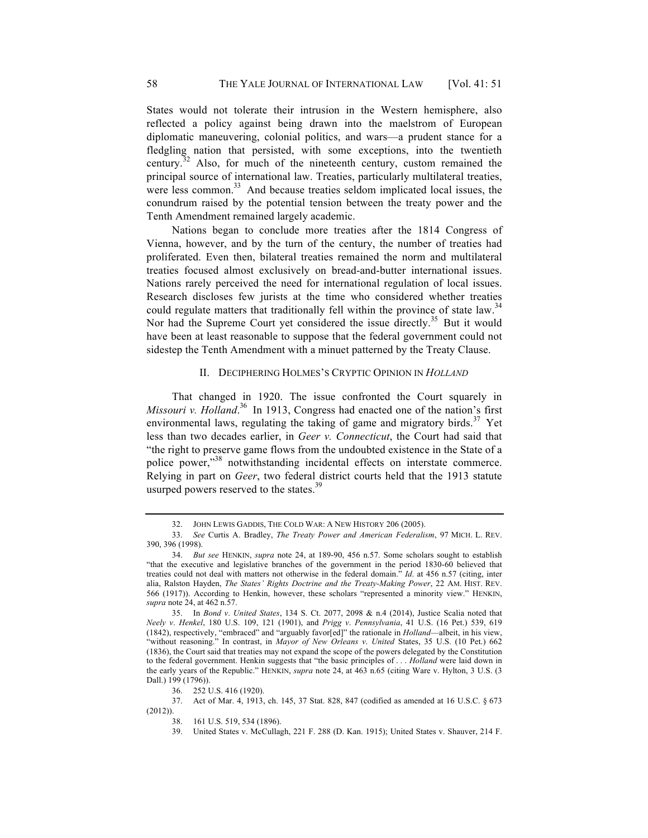States would not tolerate their intrusion in the Western hemisphere, also reflected a policy against being drawn into the maelstrom of European diplomatic maneuvering, colonial politics, and wars—a prudent stance for a fledgling nation that persisted, with some exceptions, into the twentieth century.<sup>32</sup> Also, for much of the nineteenth century, custom remained the principal source of international law. Treaties, particularly multilateral treaties, were less common.<sup>33</sup> And because treaties seldom implicated local issues, the conundrum raised by the potential tension between the treaty power and the Tenth Amendment remained largely academic.

Nations began to conclude more treaties after the 1814 Congress of Vienna, however, and by the turn of the century, the number of treaties had proliferated. Even then, bilateral treaties remained the norm and multilateral treaties focused almost exclusively on bread-and-butter international issues. Nations rarely perceived the need for international regulation of local issues. Research discloses few jurists at the time who considered whether treaties could regulate matters that traditionally fell within the province of state law.<sup>34</sup> Nor had the Supreme Court yet considered the issue directly.<sup>35</sup> But it would have been at least reasonable to suppose that the federal government could not sidestep the Tenth Amendment with a minuet patterned by the Treaty Clause.

#### II. DECIPHERING HOLMES'S CRYPTIC OPINION IN *HOLLAND*

That changed in 1920. The issue confronted the Court squarely in Missouri v. Holland.<sup>36</sup> In 1913, Congress had enacted one of the nation's first environmental laws, regulating the taking of game and migratory birds.<sup>37</sup> Yet less than two decades earlier, in *Geer v. Connecticut*, the Court had said that "the right to preserve game flows from the undoubted existence in the State of a police power,"<sup>38</sup> notwithstanding incidental effects on interstate commerce. Relying in part on *Geer*, two federal district courts held that the 1913 statute usurped powers reserved to the states.<sup>39</sup>

<sup>32.</sup> JOHN LEWIS GADDIS, THE COLD WAR: A NEW HISTORY 206 (2005).

<sup>33.</sup> *See* Curtis A. Bradley, *The Treaty Power and American Federalism*, 97 MICH. L. REV. 390, 396 (1998).

<sup>34.</sup> *But see* HENKIN, *supra* note 24, at 189-90, 456 n.57. Some scholars sought to establish "that the executive and legislative branches of the government in the period 1830-60 believed that treaties could not deal with matters not otherwise in the federal domain." *Id*. at 456 n.57 (citing, inter alia, Ralston Hayden, *The States' Rights Doctrine and the Treaty-Making Power*, 22 AM. HIST. REV. 566 (1917)). According to Henkin, however, these scholars "represented a minority view." HENKIN, *supra* note 24, at 462 n.57.

<sup>35.</sup> In *Bond v*. *United States*, 134 S. Ct. 2077, 2098 & n.4 (2014), Justice Scalia noted that *Neely v*. *Henkel*, 180 U.S. 109, 121 (1901), and *Prigg v*. *Pennsylvania*, 41 U.S. (16 Pet.) 539, 619 (1842), respectively, "embraced" and "arguably favor[ed]" the rationale in *Holland*—albeit, in his view, "without reasoning." In contrast, in *Mayor of New Orleans v*. *United* States, 35 U.S. (10 Pet.) 662 (1836), the Court said that treaties may not expand the scope of the powers delegated by the Constitution to the federal government. Henkin suggests that "the basic principles of . . . *Holland* were laid down in the early years of the Republic." HENKIN, *supra* note 24, at 463 n.65 (citing Ware v. Hylton, 3 U.S. (3 Dall.) 199 (1796)).

<sup>36.</sup> 252 U.S. 416 (1920).

<sup>37.</sup> Act of Mar. 4, 1913, ch. 145, 37 Stat. 828, 847 (codified as amended at 16 U.S.C. § 673 (2012)).

<sup>38.</sup> 161 U.S. 519, 534 (1896).

<sup>39.</sup> United States v. McCullagh, 221 F. 288 (D. Kan. 1915); United States v. Shauver, 214 F.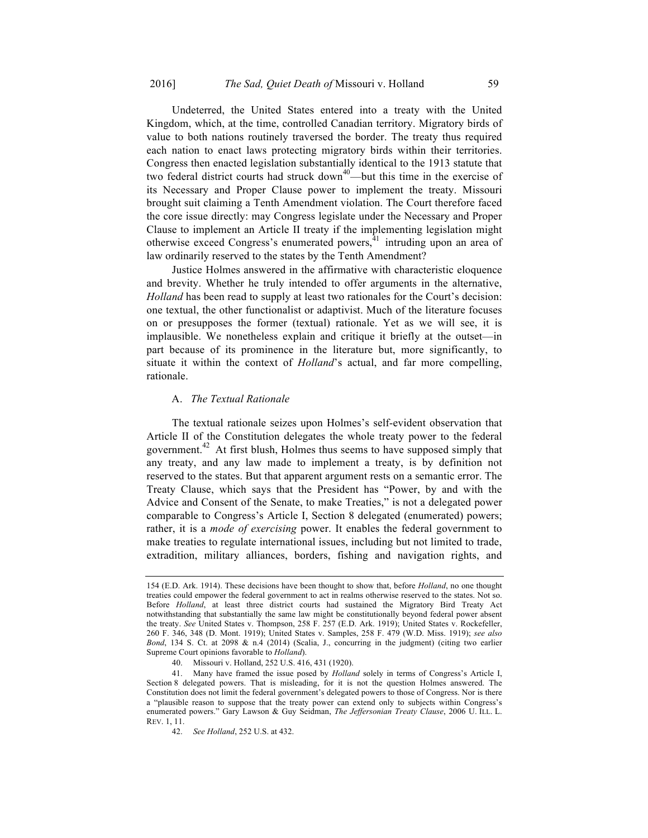Undeterred, the United States entered into a treaty with the United Kingdom, which, at the time, controlled Canadian territory. Migratory birds of value to both nations routinely traversed the border. The treaty thus required each nation to enact laws protecting migratory birds within their territories. Congress then enacted legislation substantially identical to the 1913 statute that two federal district courts had struck down<sup>40</sup>—but this time in the exercise of its Necessary and Proper Clause power to implement the treaty. Missouri brought suit claiming a Tenth Amendment violation. The Court therefore faced the core issue directly: may Congress legislate under the Necessary and Proper Clause to implement an Article II treaty if the implementing legislation might otherwise exceed Congress's enumerated powers, $41$  intruding upon an area of law ordinarily reserved to the states by the Tenth Amendment?

Justice Holmes answered in the affirmative with characteristic eloquence and brevity. Whether he truly intended to offer arguments in the alternative, *Holland* has been read to supply at least two rationales for the Court's decision: one textual, the other functionalist or adaptivist. Much of the literature focuses on or presupposes the former (textual) rationale. Yet as we will see, it is implausible. We nonetheless explain and critique it briefly at the outset—in part because of its prominence in the literature but, more significantly, to situate it within the context of *Holland*'s actual, and far more compelling, rationale.

#### A. *The Textual Rationale*

The textual rationale seizes upon Holmes's self-evident observation that Article II of the Constitution delegates the whole treaty power to the federal government.<sup>42</sup> At first blush, Holmes thus seems to have supposed simply that any treaty, and any law made to implement a treaty, is by definition not reserved to the states. But that apparent argument rests on a semantic error. The Treaty Clause, which says that the President has "Power, by and with the Advice and Consent of the Senate, to make Treaties," is not a delegated power comparable to Congress's Article I, Section 8 delegated (enumerated) powers; rather, it is a *mode of exercising* power. It enables the federal government to make treaties to regulate international issues, including but not limited to trade, extradition, military alliances, borders, fishing and navigation rights, and

<sup>154 (</sup>E.D. Ark. 1914). These decisions have been thought to show that, before *Holland*, no one thought treaties could empower the federal government to act in realms otherwise reserved to the states. Not so. Before *Holland*, at least three district courts had sustained the Migratory Bird Treaty Act notwithstanding that substantially the same law might be constitutionally beyond federal power absent the treaty. *See* United States v. Thompson, 258 F. 257 (E.D. Ark. 1919); United States v. Rockefeller, 260 F. 346, 348 (D. Mont. 1919); United States v. Samples, 258 F. 479 (W.D. Miss. 1919); *see also Bond*, 134 S. Ct. at 2098 & n.4 (2014) (Scalia, J., concurring in the judgment) (citing two earlier Supreme Court opinions favorable to *Holland*).

<sup>40.</sup> Missouri v. Holland, 252 U.S. 416, 431 (1920).

<sup>41.</sup> Many have framed the issue posed by *Holland* solely in terms of Congress's Article I, Section 8 delegated powers. That is misleading, for it is not the question Holmes answered. The Constitution does not limit the federal government's delegated powers to those of Congress. Nor is there a "plausible reason to suppose that the treaty power can extend only to subjects within Congress's enumerated powers." Gary Lawson & Guy Seidman, *The Jeffersonian Treaty Clause*, 2006 U. ILL. L. REV. 1, 11.

<sup>42.</sup> *See Holland*, 252 U.S. at 432.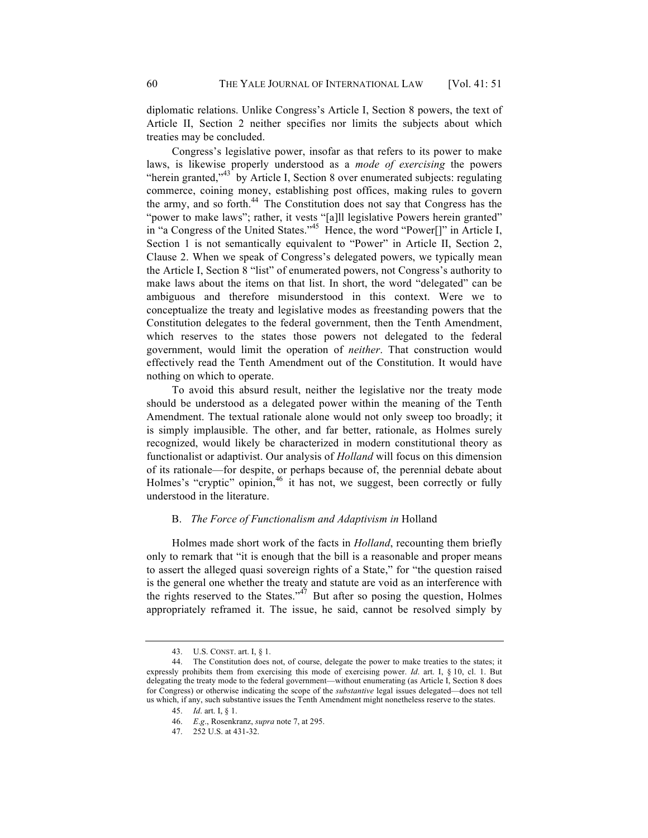diplomatic relations. Unlike Congress's Article I, Section 8 powers, the text of Article II, Section 2 neither specifies nor limits the subjects about which treaties may be concluded.

Congress's legislative power, insofar as that refers to its power to make laws, is likewise properly understood as a *mode of exercising* the powers "herein granted,"<sup>43</sup> by Article I, Section 8 over enumerated subjects: regulating commerce, coining money, establishing post offices, making rules to govern the army, and so forth.<sup>44</sup> The Constitution does not say that Congress has the "power to make laws"; rather, it vests "[a]ll legislative Powers herein granted" in "a Congress of the United States."<sup>45</sup> Hence, the word "Power[]" in Article I, Section 1 is not semantically equivalent to "Power" in Article II, Section 2, Clause 2. When we speak of Congress's delegated powers, we typically mean the Article I, Section 8 "list" of enumerated powers, not Congress's authority to make laws about the items on that list. In short, the word "delegated" can be ambiguous and therefore misunderstood in this context. Were we to conceptualize the treaty and legislative modes as freestanding powers that the Constitution delegates to the federal government, then the Tenth Amendment, which reserves to the states those powers not delegated to the federal government, would limit the operation of *neither*. That construction would effectively read the Tenth Amendment out of the Constitution. It would have nothing on which to operate.

To avoid this absurd result, neither the legislative nor the treaty mode should be understood as a delegated power within the meaning of the Tenth Amendment. The textual rationale alone would not only sweep too broadly; it is simply implausible. The other, and far better, rationale, as Holmes surely recognized, would likely be characterized in modern constitutional theory as functionalist or adaptivist. Our analysis of *Holland* will focus on this dimension of its rationale—for despite, or perhaps because of, the perennial debate about Holmes's "cryptic" opinion,  $46$  it has not, we suggest, been correctly or fully understood in the literature.

#### B. *The Force of Functionalism and Adaptivism in* Holland

Holmes made short work of the facts in *Holland*, recounting them briefly only to remark that "it is enough that the bill is a reasonable and proper means to assert the alleged quasi sovereign rights of a State," for "the question raised is the general one whether the treaty and statute are void as an interference with the rights reserved to the States."<sup>47</sup> But after so posing the question, Holmes appropriately reframed it. The issue, he said, cannot be resolved simply by

<sup>43.</sup> U.S. CONST. art. I, § 1.

<sup>44.</sup> The Constitution does not, of course, delegate the power to make treaties to the states; it expressly prohibits them from exercising this mode of exercising power. *Id*. art. I, § 10, cl. 1. But delegating the treaty mode to the federal government—without enumerating (as Article I, Section 8 does for Congress) or otherwise indicating the scope of the *substantive* legal issues delegated—does not tell us which, if any, such substantive issues the Tenth Amendment might nonetheless reserve to the states.

<sup>45.</sup> *Id*. art. I, § 1.

<sup>46.</sup> *E*.*g*., Rosenkranz, *supra* note 7, at 295.

<sup>47.</sup> 252 U.S. at 431-32.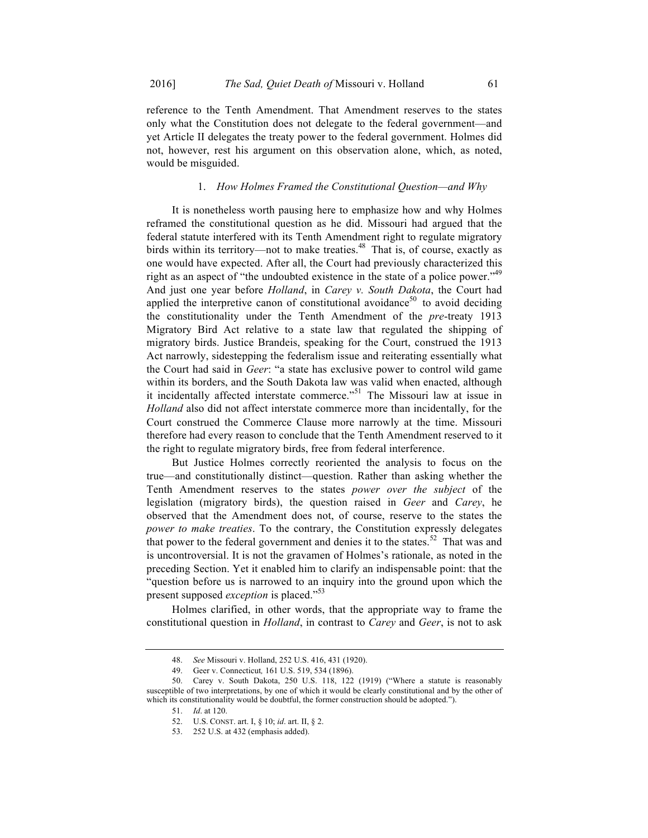reference to the Tenth Amendment. That Amendment reserves to the states only what the Constitution does not delegate to the federal government—and yet Article II delegates the treaty power to the federal government. Holmes did not, however, rest his argument on this observation alone, which, as noted, would be misguided.

#### 1. *How Holmes Framed the Constitutional Question—and Why*

It is nonetheless worth pausing here to emphasize how and why Holmes reframed the constitutional question as he did. Missouri had argued that the federal statute interfered with its Tenth Amendment right to regulate migratory birds within its territory—not to make treaties. $48$  That is, of course, exactly as one would have expected. After all, the Court had previously characterized this right as an aspect of "the undoubted existence in the state of a police power."<sup>49</sup> And just one year before *Holland*, in *Carey v. South Dakota*, the Court had applied the interpretive canon of constitutional avoidance<sup>50</sup> to avoid deciding the constitutionality under the Tenth Amendment of the *pre*-treaty 1913 Migratory Bird Act relative to a state law that regulated the shipping of migratory birds. Justice Brandeis, speaking for the Court, construed the 1913 Act narrowly, sidestepping the federalism issue and reiterating essentially what the Court had said in *Geer*: "a state has exclusive power to control wild game within its borders, and the South Dakota law was valid when enacted, although it incidentally affected interstate commerce."<sup>51</sup> The Missouri law at issue in *Holland* also did not affect interstate commerce more than incidentally, for the Court construed the Commerce Clause more narrowly at the time. Missouri therefore had every reason to conclude that the Tenth Amendment reserved to it the right to regulate migratory birds, free from federal interference.

But Justice Holmes correctly reoriented the analysis to focus on the true—and constitutionally distinct—question. Rather than asking whether the Tenth Amendment reserves to the states *power over the subject* of the legislation (migratory birds), the question raised in *Geer* and *Carey*, he observed that the Amendment does not, of course, reserve to the states the *power to make treaties*. To the contrary, the Constitution expressly delegates that power to the federal government and denies it to the states.<sup>52</sup> That was and is uncontroversial. It is not the gravamen of Holmes's rationale, as noted in the preceding Section. Yet it enabled him to clarify an indispensable point: that the "question before us is narrowed to an inquiry into the ground upon which the present supposed *exception* is placed."<sup>53</sup>

Holmes clarified, in other words, that the appropriate way to frame the constitutional question in *Holland*, in contrast to *Carey* and *Geer*, is not to ask

<sup>48.</sup> *See* Missouri v. Holland, 252 U.S. 416, 431 (1920).

<sup>49.</sup> Geer v. Connecticut*,* 161 U.S. 519, 534 (1896).

<sup>50.</sup> Carey v. South Dakota, 250 U.S. 118, 122 (1919) ("Where a statute is reasonably susceptible of two interpretations, by one of which it would be clearly constitutional and by the other of which its constitutionality would be doubtful, the former construction should be adopted.").

<sup>51.</sup> *Id*. at 120.

<sup>52.</sup> U.S. CONST. art. I, § 10; *id*. art. II, § 2.

<sup>53.</sup> 252 U.S. at 432 (emphasis added).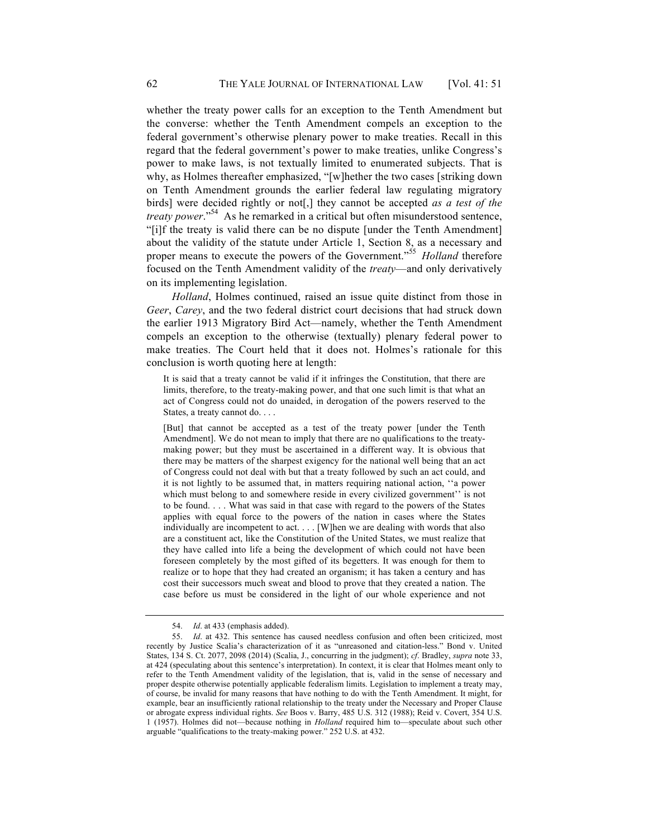whether the treaty power calls for an exception to the Tenth Amendment but the converse: whether the Tenth Amendment compels an exception to the federal government's otherwise plenary power to make treaties. Recall in this regard that the federal government's power to make treaties, unlike Congress's power to make laws, is not textually limited to enumerated subjects. That is why, as Holmes thereafter emphasized, "[w]hether the two cases [striking down on Tenth Amendment grounds the earlier federal law regulating migratory birds] were decided rightly or not[,] they cannot be accepted *as a test of the treaty power*."<sup>54</sup> As he remarked in a critical but often misunderstood sentence, "[i]f the treaty is valid there can be no dispute [under the Tenth Amendment] about the validity of the statute under Article 1, Section 8, as a necessary and proper means to execute the powers of the Government."<sup>55</sup> *Holland* therefore focused on the Tenth Amendment validity of the *treaty*—and only derivatively on its implementing legislation.

*Holland*, Holmes continued, raised an issue quite distinct from those in *Geer*, *Carey*, and the two federal district court decisions that had struck down the earlier 1913 Migratory Bird Act—namely, whether the Tenth Amendment compels an exception to the otherwise (textually) plenary federal power to make treaties. The Court held that it does not. Holmes's rationale for this conclusion is worth quoting here at length:

It is said that a treaty cannot be valid if it infringes the Constitution, that there are limits, therefore, to the treaty-making power, and that one such limit is that what an act of Congress could not do unaided, in derogation of the powers reserved to the States, a treaty cannot do. . . .

[But] that cannot be accepted as a test of the treaty power [under the Tenth Amendment]. We do not mean to imply that there are no qualifications to the treatymaking power; but they must be ascertained in a different way. It is obvious that there may be matters of the sharpest exigency for the national well being that an act of Congress could not deal with but that a treaty followed by such an act could, and it is not lightly to be assumed that, in matters requiring national action, ''a power which must belong to and somewhere reside in every civilized government" is not to be found. . . . What was said in that case with regard to the powers of the States applies with equal force to the powers of the nation in cases where the States individually are incompetent to act. . . . [W]hen we are dealing with words that also are a constituent act, like the Constitution of the United States, we must realize that they have called into life a being the development of which could not have been foreseen completely by the most gifted of its begetters. It was enough for them to realize or to hope that they had created an organism; it has taken a century and has cost their successors much sweat and blood to prove that they created a nation. The case before us must be considered in the light of our whole experience and not

<sup>54.</sup> *Id*. at 433 (emphasis added).

<sup>55.</sup> *Id*. at 432. This sentence has caused needless confusion and often been criticized, most recently by Justice Scalia's characterization of it as "unreasoned and citation-less." Bond v. United States, 134 S. Ct. 2077, 2098 (2014) (Scalia, J., concurring in the judgment); *cf*. Bradley, *supra* note 33, at 424 (speculating about this sentence's interpretation). In context, it is clear that Holmes meant only to refer to the Tenth Amendment validity of the legislation, that is, valid in the sense of necessary and proper despite otherwise potentially applicable federalism limits. Legislation to implement a treaty may, of course, be invalid for many reasons that have nothing to do with the Tenth Amendment. It might, for example, bear an insufficiently rational relationship to the treaty under the Necessary and Proper Clause or abrogate express individual rights. *See* Boos v. Barry, 485 U.S. 312 (1988); Reid v. Covert, 354 U.S. 1 (1957). Holmes did not—because nothing in *Holland* required him to—speculate about such other arguable "qualifications to the treaty-making power." 252 U.S. at 432.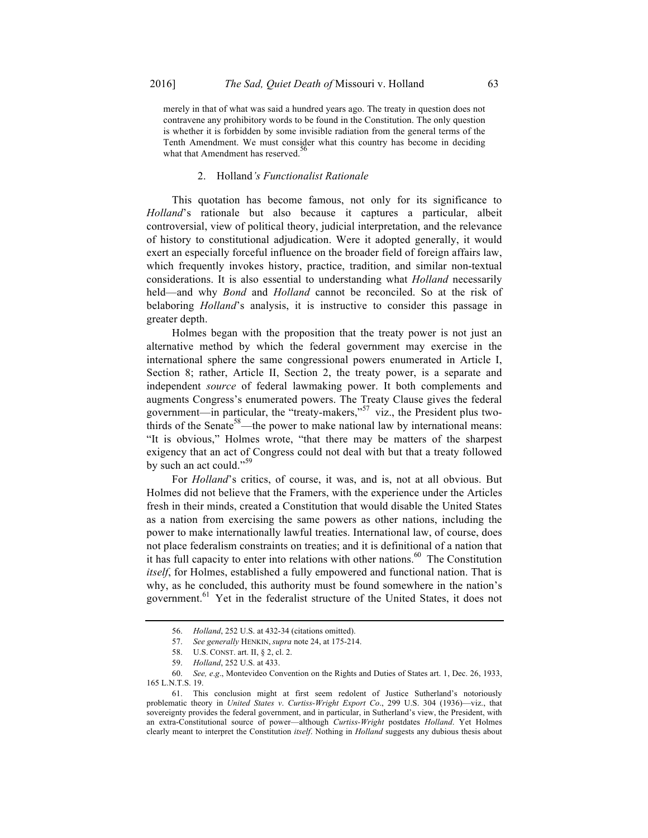merely in that of what was said a hundred years ago. The treaty in question does not contravene any prohibitory words to be found in the Constitution. The only question is whether it is forbidden by some invisible radiation from the general terms of the Tenth Amendment. We must consider what this country has become in deciding what that Amendment has reserved. $56$ 

#### 2. Holland*'s Functionalist Rationale*

This quotation has become famous, not only for its significance to *Holland*'s rationale but also because it captures a particular, albeit controversial, view of political theory, judicial interpretation, and the relevance of history to constitutional adjudication. Were it adopted generally, it would exert an especially forceful influence on the broader field of foreign affairs law, which frequently invokes history, practice, tradition, and similar non-textual considerations. It is also essential to understanding what *Holland* necessarily held—and why *Bond* and *Holland* cannot be reconciled. So at the risk of belaboring *Holland*'s analysis, it is instructive to consider this passage in greater depth.

Holmes began with the proposition that the treaty power is not just an alternative method by which the federal government may exercise in the international sphere the same congressional powers enumerated in Article I, Section 8; rather, Article II, Section 2, the treaty power, is a separate and independent *source* of federal lawmaking power. It both complements and augments Congress's enumerated powers. The Treaty Clause gives the federal government—in particular, the "treaty-makers,"<sup>57</sup> viz., the President plus twothirds of the Senate<sup>58</sup>—the power to make national law by international means: "It is obvious," Holmes wrote, "that there may be matters of the sharpest exigency that an act of Congress could not deal with but that a treaty followed by such an act could."<sup>59</sup>

For *Holland*'s critics, of course, it was, and is, not at all obvious. But Holmes did not believe that the Framers, with the experience under the Articles fresh in their minds, created a Constitution that would disable the United States as a nation from exercising the same powers as other nations, including the power to make internationally lawful treaties. International law, of course, does not place federalism constraints on treaties; and it is definitional of a nation that it has full capacity to enter into relations with other nations.<sup>60</sup> The Constitution *itself*, for Holmes, established a fully empowered and functional nation. That is why, as he concluded, this authority must be found somewhere in the nation's government.<sup>61</sup> Yet in the federalist structure of the United States, it does not

<sup>56.</sup> *Holland*, 252 U.S. at 432-34 (citations omitted).

<sup>57.</sup> *See generally* HENKIN, *supra* note 24, at 175-214.

<sup>58.</sup> U.S. CONST. art. II, § 2, cl. 2.

<sup>59.</sup> *Holland*, 252 U.S. at 433.

<sup>60.</sup> *See, e*.*g*., Montevideo Convention on the Rights and Duties of States art. 1, Dec. 26, 1933, 165 L.N.T.S. 19.

<sup>61.</sup> This conclusion might at first seem redolent of Justice Sutherland's notoriously problematic theory in *United States v*. *Curtiss-Wright Export Co*., 299 U.S. 304 (1936)—viz., that sovereignty provides the federal government, and in particular, in Sutherland's view, the President, with an extra-Constitutional source of power—although *Curtiss-Wright* postdates *Holland*. Yet Holmes clearly meant to interpret the Constitution *itself*. Nothing in *Holland* suggests any dubious thesis about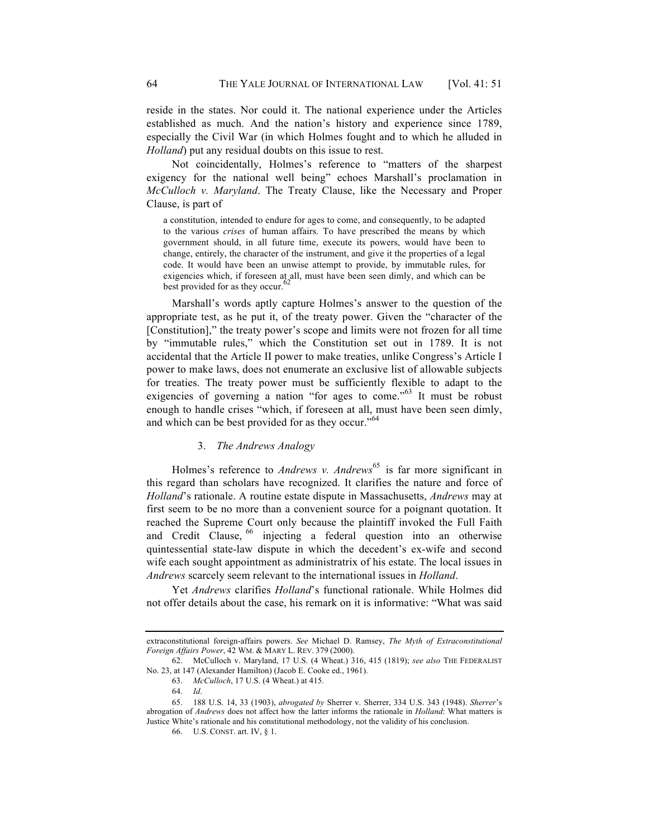reside in the states. Nor could it. The national experience under the Articles established as much. And the nation's history and experience since 1789, especially the Civil War (in which Holmes fought and to which he alluded in *Holland*) put any residual doubts on this issue to rest.

Not coincidentally, Holmes's reference to "matters of the sharpest exigency for the national well being" echoes Marshall's proclamation in *McCulloch v. Maryland*. The Treaty Clause, like the Necessary and Proper Clause, is part of

a constitution, intended to endure for ages to come, and consequently, to be adapted to the various *crises* of human affairs. To have prescribed the means by which government should, in all future time, execute its powers, would have been to change, entirely, the character of the instrument, and give it the properties of a legal code. It would have been an unwise attempt to provide, by immutable rules, for exigencies which, if foreseen at all, must have been seen dimly, and which can be best provided for as they occur.<sup>6</sup>

Marshall's words aptly capture Holmes's answer to the question of the appropriate test, as he put it, of the treaty power. Given the "character of the [Constitution]," the treaty power's scope and limits were not frozen for all time by "immutable rules," which the Constitution set out in 1789. It is not accidental that the Article II power to make treaties, unlike Congress's Article I power to make laws, does not enumerate an exclusive list of allowable subjects for treaties. The treaty power must be sufficiently flexible to adapt to the exigencies of governing a nation "for ages to come."<sup>63</sup> It must be robust enough to handle crises "which, if foreseen at all, must have been seen dimly, and which can be best provided for as they occur."<sup>64</sup>

#### 3. *The Andrews Analogy*

Holmes's reference to *Andrews v. Andrews*<sup>65</sup> is far more significant in this regard than scholars have recognized. It clarifies the nature and force of *Holland*'s rationale. A routine estate dispute in Massachusetts, *Andrews* may at first seem to be no more than a convenient source for a poignant quotation. It reached the Supreme Court only because the plaintiff invoked the Full Faith and Credit Clause, <sup>66</sup> injecting a federal question into an otherwise quintessential state-law dispute in which the decedent's ex-wife and second wife each sought appointment as administratrix of his estate. The local issues in *Andrews* scarcely seem relevant to the international issues in *Holland*.

Yet *Andrews* clarifies *Holland*'s functional rationale. While Holmes did not offer details about the case, his remark on it is informative: "What was said

extraconstitutional foreign-affairs powers. *See* Michael D. Ramsey, *The Myth of Extraconstitutional Foreign Affairs Power*, 42 WM. & MARY L. REV. 379 (2000).

<sup>62.</sup> McCulloch v. Maryland, 17 U.S. (4 Wheat.) 316, 415 (1819); *see also* THE FEDERALIST No. 23, at 147 (Alexander Hamilton) (Jacob E. Cooke ed., 1961).

<sup>63.</sup> *McCulloch*, 17 U.S. (4 Wheat.) at 415.

<sup>64.</sup> *Id*.

<sup>65.</sup> 188 U.S. 14, 33 (1903), *abrogated by* Sherrer v. Sherrer, 334 U.S. 343 (1948). *Sherrer*'s abrogation of *Andrews* does not affect how the latter informs the rationale in *Holland*: What matters is Justice White's rationale and his constitutional methodology, not the validity of his conclusion.

<sup>66.</sup> U.S. CONST. art. IV, § 1.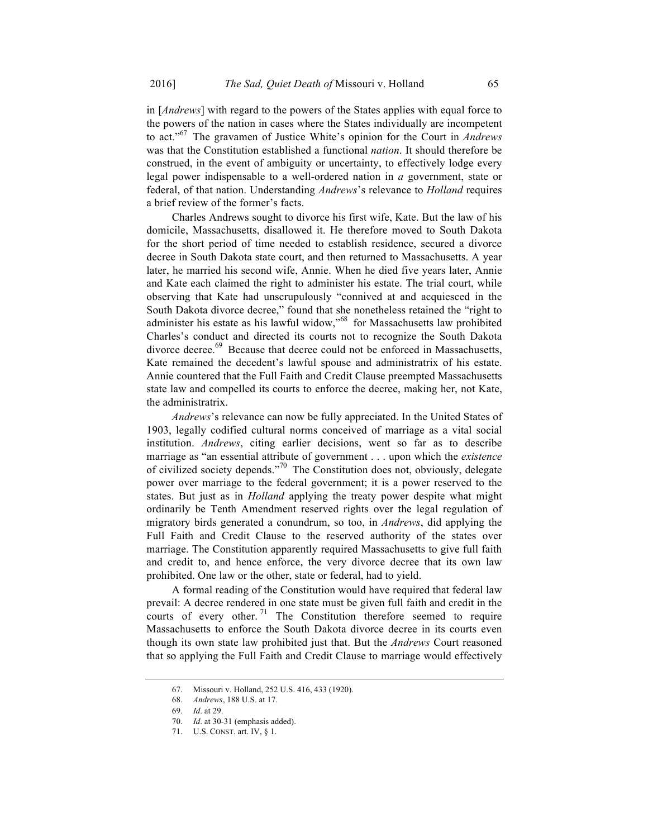in [*Andrews*] with regard to the powers of the States applies with equal force to the powers of the nation in cases where the States individually are incompetent to act."<sup>67</sup> The gravamen of Justice White's opinion for the Court in *Andrews* was that the Constitution established a functional *nation*. It should therefore be construed, in the event of ambiguity or uncertainty, to effectively lodge every legal power indispensable to a well-ordered nation in *a* government, state or federal, of that nation. Understanding *Andrews*'s relevance to *Holland* requires a brief review of the former's facts.

Charles Andrews sought to divorce his first wife, Kate. But the law of his domicile, Massachusetts, disallowed it. He therefore moved to South Dakota for the short period of time needed to establish residence, secured a divorce decree in South Dakota state court, and then returned to Massachusetts. A year later, he married his second wife, Annie. When he died five years later, Annie and Kate each claimed the right to administer his estate. The trial court, while observing that Kate had unscrupulously "connived at and acquiesced in the South Dakota divorce decree," found that she nonetheless retained the "right to administer his estate as his lawful widow,"<sup>68</sup> for Massachusetts law prohibited Charles's conduct and directed its courts not to recognize the South Dakota divorce decree.<sup>69</sup> Because that decree could not be enforced in Massachusetts, Kate remained the decedent's lawful spouse and administratrix of his estate. Annie countered that the Full Faith and Credit Clause preempted Massachusetts state law and compelled its courts to enforce the decree, making her, not Kate, the administratrix.

*Andrews*'s relevance can now be fully appreciated. In the United States of 1903, legally codified cultural norms conceived of marriage as a vital social institution. *Andrews*, citing earlier decisions, went so far as to describe marriage as "an essential attribute of government . . . upon which the *existence* of civilized society depends."<sup>70</sup> The Constitution does not, obviously, delegate power over marriage to the federal government; it is a power reserved to the states. But just as in *Holland* applying the treaty power despite what might ordinarily be Tenth Amendment reserved rights over the legal regulation of migratory birds generated a conundrum, so too, in *Andrews*, did applying the Full Faith and Credit Clause to the reserved authority of the states over marriage. The Constitution apparently required Massachusetts to give full faith and credit to, and hence enforce, the very divorce decree that its own law prohibited. One law or the other, state or federal, had to yield.

A formal reading of the Constitution would have required that federal law prevail: A decree rendered in one state must be given full faith and credit in the courts of every other.<sup>71</sup> The Constitution therefore seemed to require Massachusetts to enforce the South Dakota divorce decree in its courts even though its own state law prohibited just that. But the *Andrews* Court reasoned that so applying the Full Faith and Credit Clause to marriage would effectively

<sup>67.</sup> Missouri v. Holland, 252 U.S. 416, 433 (1920).

<sup>68.</sup> *Andrews*, 188 U.S. at 17.

<sup>69.</sup> *Id*. at 29.

<sup>70.</sup> *Id*. at 30-31 (emphasis added).

<sup>71.</sup> U.S. CONST. art. IV, § 1.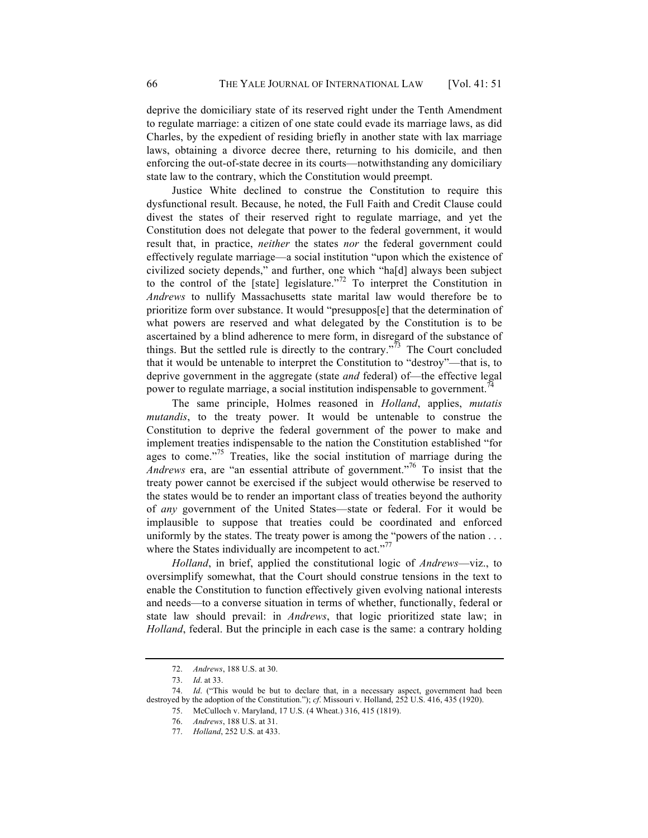deprive the domiciliary state of its reserved right under the Tenth Amendment to regulate marriage: a citizen of one state could evade its marriage laws, as did Charles, by the expedient of residing briefly in another state with lax marriage laws, obtaining a divorce decree there, returning to his domicile, and then enforcing the out-of-state decree in its courts—notwithstanding any domiciliary state law to the contrary, which the Constitution would preempt.

Justice White declined to construe the Constitution to require this dysfunctional result. Because, he noted, the Full Faith and Credit Clause could divest the states of their reserved right to regulate marriage, and yet the Constitution does not delegate that power to the federal government, it would result that, in practice, *neither* the states *nor* the federal government could effectively regulate marriage—a social institution "upon which the existence of civilized society depends," and further, one which "ha[d] always been subject to the control of the [state] legislature.<sup> $n^2$ </sup> To interpret the Constitution in *Andrews* to nullify Massachusetts state marital law would therefore be to prioritize form over substance. It would "presuppos[e] that the determination of what powers are reserved and what delegated by the Constitution is to be ascertained by a blind adherence to mere form, in disregard of the substance of things. But the settled rule is directly to the contrary.<sup> $73$ </sup> The Court concluded that it would be untenable to interpret the Constitution to "destroy"—that is, to deprive government in the aggregate (state *and* federal) of—the effective legal power to regulate marriage, a social institution indispensable to government.<sup>74</sup>

The same principle, Holmes reasoned in *Holland*, applies, *mutatis mutandis*, to the treaty power. It would be untenable to construe the Constitution to deprive the federal government of the power to make and implement treaties indispensable to the nation the Constitution established "for ages to come."<sup>75</sup> Treaties, like the social institution of marriage during the *Andrews* era, are "an essential attribute of government."76 To insist that the treaty power cannot be exercised if the subject would otherwise be reserved to the states would be to render an important class of treaties beyond the authority of *any* government of the United States—state or federal. For it would be implausible to suppose that treaties could be coordinated and enforced uniformly by the states. The treaty power is among the "powers of the nation . . . where the States individually are incompetent to act."<sup>77</sup>

*Holland*, in brief, applied the constitutional logic of *Andrews*—viz., to oversimplify somewhat, that the Court should construe tensions in the text to enable the Constitution to function effectively given evolving national interests and needs—to a converse situation in terms of whether, functionally, federal or state law should prevail: in *Andrews*, that logic prioritized state law; in *Holland*, federal. But the principle in each case is the same: a contrary holding

<sup>72.</sup> *Andrews*, 188 U.S. at 30.

<sup>73.</sup> *Id*. at 33.

<sup>74.</sup> *Id*. ("This would be but to declare that, in a necessary aspect, government had been destroyed by the adoption of the Constitution."); *cf*. Missouri v. Holland, 252 U.S. 416, 435 (1920).

<sup>75.</sup> McCulloch v. Maryland, 17 U.S. (4 Wheat.) 316, 415 (1819).

<sup>76.</sup> *Andrews*, 188 U.S. at 31.

<sup>77.</sup> *Holland*, 252 U.S. at 433.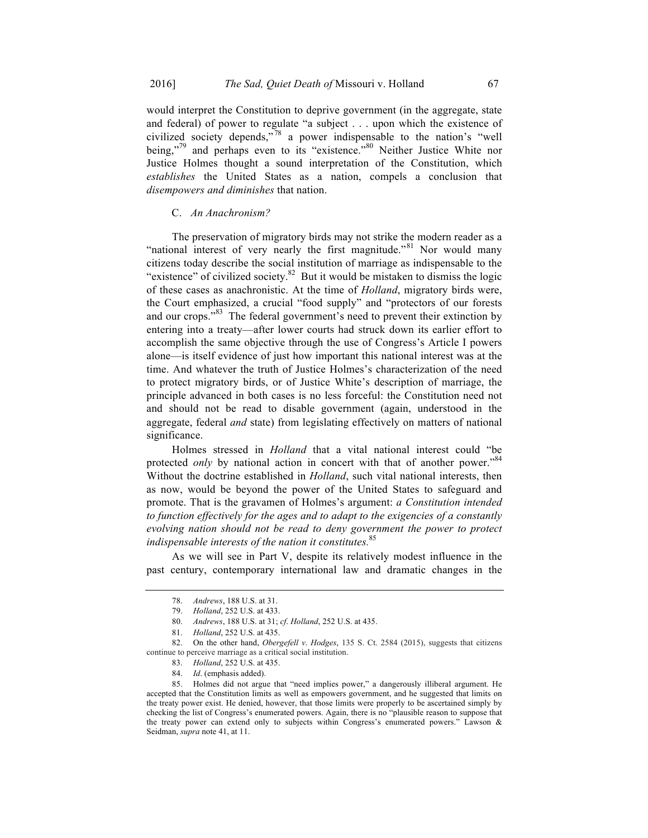would interpret the Constitution to deprive government (in the aggregate, state and federal) of power to regulate "a subject . . . upon which the existence of civilized society depends,  $\frac{1}{2}$  a power indispensable to the nation's "well being,"<sup>79</sup> and perhaps even to its "existence."<sup>80</sup> Neither Justice White nor Justice Holmes thought a sound interpretation of the Constitution, which *establishes* the United States as a nation, compels a conclusion that *disempowers and diminishes* that nation.

#### C. *An Anachronism?*

The preservation of migratory birds may not strike the modern reader as a "national interest of very nearly the first magnitude."<sup>81</sup> Nor would many citizens today describe the social institution of marriage as indispensable to the "existence" of civilized society. $82$  But it would be mistaken to dismiss the logic of these cases as anachronistic. At the time of *Holland*, migratory birds were, the Court emphasized, a crucial "food supply" and "protectors of our forests and our crops."<sup>83</sup> The federal government's need to prevent their extinction by entering into a treaty—after lower courts had struck down its earlier effort to accomplish the same objective through the use of Congress's Article I powers alone—is itself evidence of just how important this national interest was at the time. And whatever the truth of Justice Holmes's characterization of the need to protect migratory birds, or of Justice White's description of marriage, the principle advanced in both cases is no less forceful: the Constitution need not and should not be read to disable government (again, understood in the aggregate, federal *and* state) from legislating effectively on matters of national significance.

Holmes stressed in *Holland* that a vital national interest could "be protected *only* by national action in concert with that of another power."<sup>84</sup> Without the doctrine established in *Holland*, such vital national interests, then as now, would be beyond the power of the United States to safeguard and promote. That is the gravamen of Holmes's argument: *a Constitution intended to function effectively for the ages and to adapt to the exigencies of a constantly evolving nation should not be read to deny government the power to protect indispensable interests of the nation it constitutes.*<sup>85</sup>

As we will see in Part V, despite its relatively modest influence in the past century, contemporary international law and dramatic changes in the

84. *Id*. (emphasis added).

<sup>78.</sup> *Andrews*, 188 U.S. at 31.

<sup>79.</sup> *Holland*, 252 U.S. at 433.

<sup>80.</sup> *Andrews*, 188 U.S. at 31; *cf*. *Holland*, 252 U.S. at 435.

<sup>81.</sup> *Holland*, 252 U.S. at 435.

<sup>82.</sup> On the other hand, *Obergefell v*. *Hodges*, 135 S. Ct. 2584 (2015), suggests that citizens continue to perceive marriage as a critical social institution.

<sup>83.</sup> *Holland*, 252 U.S. at 435.

<sup>85.</sup> Holmes did not argue that "need implies power," a dangerously illiberal argument. He accepted that the Constitution limits as well as empowers government, and he suggested that limits on the treaty power exist. He denied, however, that those limits were properly to be ascertained simply by checking the list of Congress's enumerated powers. Again, there is no "plausible reason to suppose that the treaty power can extend only to subjects within Congress's enumerated powers." Lawson & Seidman, *supra* note 41, at 11.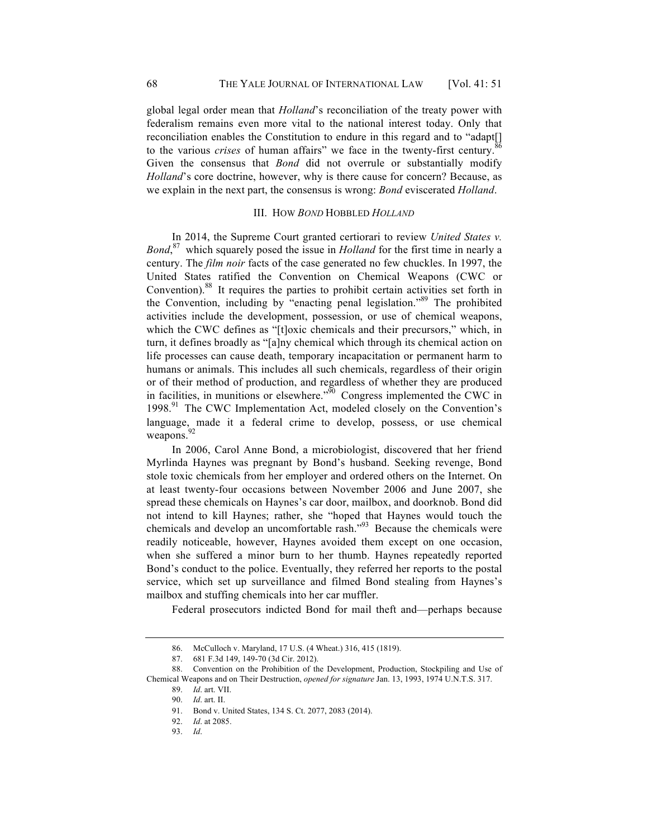global legal order mean that *Holland*'s reconciliation of the treaty power with federalism remains even more vital to the national interest today. Only that reconciliation enables the Constitution to endure in this regard and to "adapt[] to the various *crises* of human affairs" we face in the twenty-first century. Given the consensus that *Bond* did not overrule or substantially modify *Holland*'s core doctrine, however, why is there cause for concern? Because, as we explain in the next part, the consensus is wrong: *Bond* eviscerated *Holland*.

#### III. HOW *BOND* HOBBLED *HOLLAND*

In 2014, the Supreme Court granted certiorari to review *United States v.*  Bond,<sup>87</sup> which squarely posed the issue in *Holland* for the first time in nearly a century. The *film noir* facts of the case generated no few chuckles. In 1997, the United States ratified the Convention on Chemical Weapons (CWC or Convention).<sup>88</sup> It requires the parties to prohibit certain activities set forth in the Convention, including by "enacting penal legislation."<sup>89</sup> The prohibited activities include the development, possession, or use of chemical weapons, which the CWC defines as "[t]oxic chemicals and their precursors," which, in turn, it defines broadly as "[a]ny chemical which through its chemical action on life processes can cause death, temporary incapacitation or permanent harm to humans or animals. This includes all such chemicals, regardless of their origin or of their method of production, and regardless of whether they are produced in facilities, in munitions or elsewhere."<sup>90</sup> Congress implemented the CWC in 1998.<sup>91</sup> The CWC Implementation Act, modeled closely on the Convention's language, made it a federal crime to develop, possess, or use chemical weapons.<sup>92</sup>

In 2006, Carol Anne Bond, a microbiologist, discovered that her friend Myrlinda Haynes was pregnant by Bond's husband. Seeking revenge, Bond stole toxic chemicals from her employer and ordered others on the Internet. On at least twenty-four occasions between November 2006 and June 2007, she spread these chemicals on Haynes's car door, mailbox, and doorknob. Bond did not intend to kill Haynes; rather, she "hoped that Haynes would touch the chemicals and develop an uncomfortable rash."<sup>93</sup> Because the chemicals were readily noticeable, however, Haynes avoided them except on one occasion, when she suffered a minor burn to her thumb. Haynes repeatedly reported Bond's conduct to the police. Eventually, they referred her reports to the postal service, which set up surveillance and filmed Bond stealing from Haynes's mailbox and stuffing chemicals into her car muffler.

Federal prosecutors indicted Bond for mail theft and—perhaps because

<sup>86.</sup> McCulloch v. Maryland, 17 U.S. (4 Wheat.) 316, 415 (1819).

<sup>87.</sup> 681 F.3d 149, 149-70 (3d Cir. 2012).

<sup>88.</sup> Convention on the Prohibition of the Development, Production, Stockpiling and Use of Chemical Weapons and on Their Destruction, *opened for signature* Jan. 13, 1993, 1974 U.N.T.S. 317.

<sup>89.</sup> *Id*. art. VII.

<sup>90.</sup> *Id*. art. II.

<sup>91.</sup> Bond v. United States, 134 S. Ct. 2077, 2083 (2014).

<sup>92.</sup> *Id*. at 2085.

<sup>93.</sup> *Id*.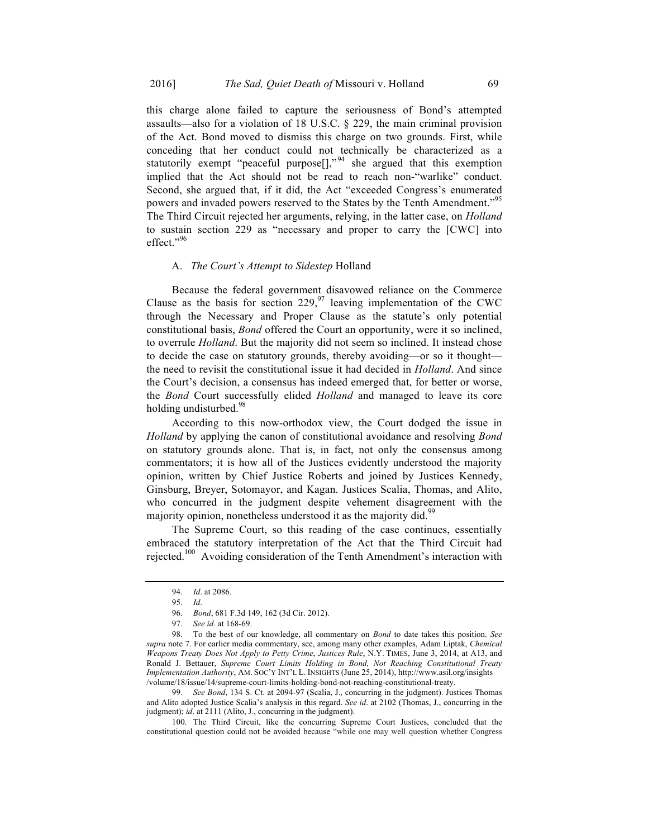this charge alone failed to capture the seriousness of Bond's attempted assaults—also for a violation of 18 U.S.C. § 229, the main criminal provision of the Act. Bond moved to dismiss this charge on two grounds. First, while conceding that her conduct could not technically be characterized as a statutorily exempt "peaceful purpose<sup>[]</sup>,"<sup>94</sup> she argued that this exemption implied that the Act should not be read to reach non-"warlike" conduct. Second, she argued that, if it did, the Act "exceeded Congress's enumerated powers and invaded powers reserved to the States by the Tenth Amendment."<sup>95</sup> The Third Circuit rejected her arguments, relying, in the latter case, on *Holland*  to sustain section 229 as "necessary and proper to carry the [CWC] into effect."96

#### A. *The Court's Attempt to Sidestep* Holland

Because the federal government disavowed reliance on the Commerce Clause as the basis for section  $229<sup>97</sup>$  leaving implementation of the CWC through the Necessary and Proper Clause as the statute's only potential constitutional basis, *Bond* offered the Court an opportunity, were it so inclined, to overrule *Holland*. But the majority did not seem so inclined. It instead chose to decide the case on statutory grounds, thereby avoiding—or so it thought the need to revisit the constitutional issue it had decided in *Holland*. And since the Court's decision, a consensus has indeed emerged that, for better or worse, the *Bond* Court successfully elided *Holland* and managed to leave its core holding undisturbed.<sup>98</sup>

According to this now-orthodox view, the Court dodged the issue in *Holland* by applying the canon of constitutional avoidance and resolving *Bond* on statutory grounds alone. That is, in fact, not only the consensus among commentators; it is how all of the Justices evidently understood the majority opinion, written by Chief Justice Roberts and joined by Justices Kennedy, Ginsburg, Breyer, Sotomayor, and Kagan. Justices Scalia, Thomas, and Alito, who concurred in the judgment despite vehement disagreement with the majority opinion, nonetheless understood it as the majority did.<sup>99</sup>

The Supreme Court, so this reading of the case continues, essentially embraced the statutory interpretation of the Act that the Third Circuit had rejected.<sup>100</sup> Avoiding consideration of the Tenth Amendment's interaction with

100. The Third Circuit, like the concurring Supreme Court Justices, concluded that the constitutional question could not be avoided because "while one may well question whether Congress

<sup>94.</sup> *Id*. at 2086.

<sup>95.</sup> *Id*.

<sup>96.</sup> *Bond*, 681 F.3d 149, 162 (3d Cir. 2012).

<sup>97.</sup> *See id*. at 168-69.

<sup>98.</sup> To the best of our knowledge, all commentary on *Bond* to date takes this position. *See supra* note 7. For earlier media commentary, see, among many other examples, Adam Liptak, *Chemical Weapons Treaty Does Not Apply to Petty Crime*, *Justices Rule*, N.Y. TIMES, June 3, 2014, at A13, and Ronald J. Bettauer, *Supreme Court Limits Holding in Bond, Not Reaching Constitutional Treaty Implementation Authority*, AM. SOC'Y INT'L L. INSIGHTS (June 25, 2014), http://www.asil.org/insights /volume/18/issue/14/supreme-court-limits-holding-bond-not-reaching-constitutional-treaty.

<sup>99.</sup> *See Bond*, 134 S. Ct. at 2094-97 (Scalia, J., concurring in the judgment). Justices Thomas and Alito adopted Justice Scalia's analysis in this regard. *See id*. at 2102 (Thomas, J., concurring in the judgment); *id*. at 2111 (Alito, J., concurring in the judgment).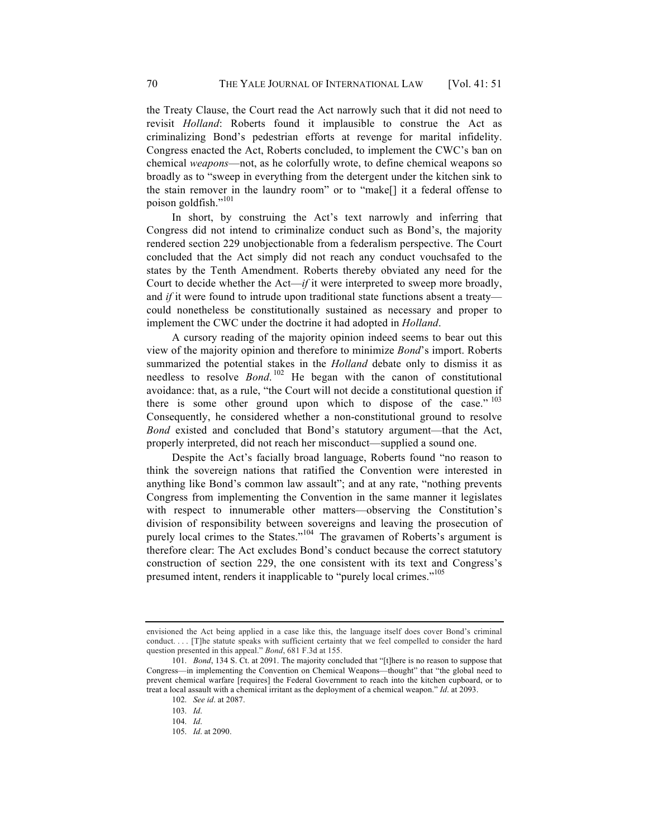the Treaty Clause, the Court read the Act narrowly such that it did not need to revisit *Holland*: Roberts found it implausible to construe the Act as criminalizing Bond's pedestrian efforts at revenge for marital infidelity. Congress enacted the Act, Roberts concluded, to implement the CWC's ban on chemical *weapons*—not, as he colorfully wrote, to define chemical weapons so broadly as to "sweep in everything from the detergent under the kitchen sink to the stain remover in the laundry room" or to "make[] it a federal offense to poison goldfish."101

In short, by construing the Act's text narrowly and inferring that Congress did not intend to criminalize conduct such as Bond's, the majority rendered section 229 unobjectionable from a federalism perspective. The Court concluded that the Act simply did not reach any conduct vouchsafed to the states by the Tenth Amendment. Roberts thereby obviated any need for the Court to decide whether the Act—*if* it were interpreted to sweep more broadly, and *if* it were found to intrude upon traditional state functions absent a treaty could nonetheless be constitutionally sustained as necessary and proper to implement the CWC under the doctrine it had adopted in *Holland*.

A cursory reading of the majority opinion indeed seems to bear out this view of the majority opinion and therefore to minimize *Bond*'s import. Roberts summarized the potential stakes in the *Holland* debate only to dismiss it as needless to resolve *Bond*. <sup>102</sup> He began with the canon of constitutional avoidance: that, as a rule, "the Court will not decide a constitutional question if there is some other ground upon which to dispose of the case."<sup>103</sup> Consequently, he considered whether a non-constitutional ground to resolve *Bond* existed and concluded that Bond's statutory argument—that the Act, properly interpreted, did not reach her misconduct—supplied a sound one.

Despite the Act's facially broad language, Roberts found "no reason to think the sovereign nations that ratified the Convention were interested in anything like Bond's common law assault"; and at any rate, "nothing prevents Congress from implementing the Convention in the same manner it legislates with respect to innumerable other matters—observing the Constitution's division of responsibility between sovereigns and leaving the prosecution of purely local crimes to the States."<sup>104</sup> The gravamen of Roberts's argument is therefore clear: The Act excludes Bond's conduct because the correct statutory construction of section 229, the one consistent with its text and Congress's presumed intent, renders it inapplicable to "purely local crimes."<sup>105</sup>

envisioned the Act being applied in a case like this, the language itself does cover Bond's criminal conduct. . . . [T]he statute speaks with sufficient certainty that we feel compelled to consider the hard question presented in this appeal." *Bond*, 681 F.3d at 155.

<sup>101.</sup> *Bond*, 134 S. Ct. at 2091. The majority concluded that "[t]here is no reason to suppose that Congress—in implementing the Convention on Chemical Weapons—thought" that "the global need to prevent chemical warfare [requires] the Federal Government to reach into the kitchen cupboard, or to treat a local assault with a chemical irritant as the deployment of a chemical weapon." *Id*. at 2093.

<sup>102.</sup> *See id*. at 2087.

<sup>103.</sup> *Id*.

<sup>104.</sup> *Id*.

<sup>105.</sup> *Id*. at 2090.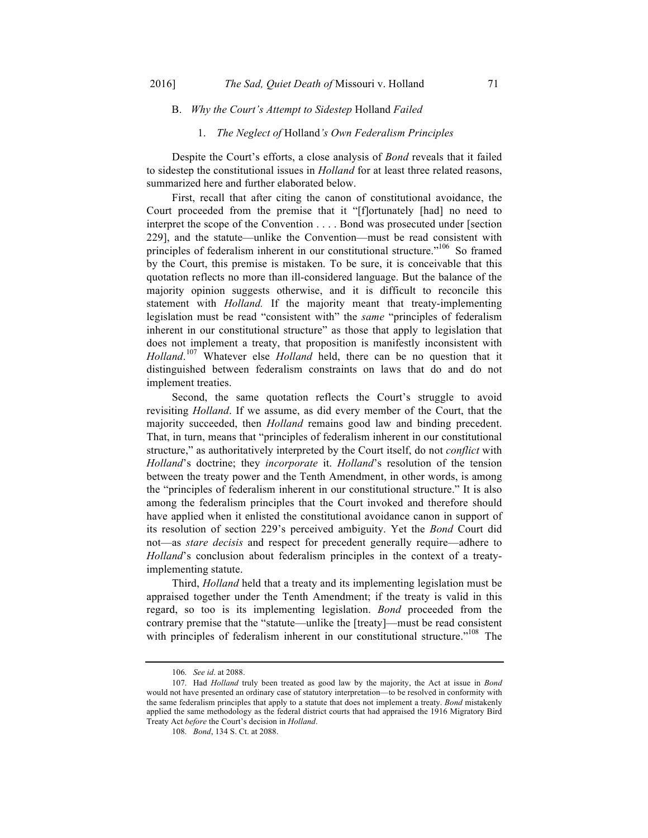#### B. *Why the Court's Attempt to Sidestep* Holland *Failed*

#### 1. *The Neglect of* Holland*'s Own Federalism Principles*

Despite the Court's efforts, a close analysis of *Bond* reveals that it failed to sidestep the constitutional issues in *Holland* for at least three related reasons, summarized here and further elaborated below.

First, recall that after citing the canon of constitutional avoidance, the Court proceeded from the premise that it "[f]ortunately [had] no need to interpret the scope of the Convention . . . . Bond was prosecuted under [section 229], and the statute—unlike the Convention—must be read consistent with principles of federalism inherent in our constitutional structure."<sup>106</sup> So framed by the Court, this premise is mistaken. To be sure, it is conceivable that this quotation reflects no more than ill-considered language. But the balance of the majority opinion suggests otherwise, and it is difficult to reconcile this statement with *Holland.* If the majority meant that treaty-implementing legislation must be read "consistent with" the *same* "principles of federalism inherent in our constitutional structure" as those that apply to legislation that does not implement a treaty, that proposition is manifestly inconsistent with *Holland*. <sup>107</sup> Whatever else *Holland* held, there can be no question that it distinguished between federalism constraints on laws that do and do not implement treaties.

Second, the same quotation reflects the Court's struggle to avoid revisiting *Holland*. If we assume, as did every member of the Court, that the majority succeeded, then *Holland* remains good law and binding precedent. That, in turn, means that "principles of federalism inherent in our constitutional structure," as authoritatively interpreted by the Court itself, do not *conflict* with *Holland*'s doctrine; they *incorporate* it. *Holland*'s resolution of the tension between the treaty power and the Tenth Amendment, in other words, is among the "principles of federalism inherent in our constitutional structure." It is also among the federalism principles that the Court invoked and therefore should have applied when it enlisted the constitutional avoidance canon in support of its resolution of section 229's perceived ambiguity. Yet the *Bond* Court did not—as *stare decisis* and respect for precedent generally require—adhere to *Holland*'s conclusion about federalism principles in the context of a treatyimplementing statute.

Third, *Holland* held that a treaty and its implementing legislation must be appraised together under the Tenth Amendment; if the treaty is valid in this regard, so too is its implementing legislation. *Bond* proceeded from the contrary premise that the "statute—unlike the [treaty]—must be read consistent with principles of federalism inherent in our constitutional structure."<sup>108</sup> The

<sup>106.</sup> *See id*. at 2088.

<sup>107.</sup> Had *Holland* truly been treated as good law by the majority, the Act at issue in *Bond* would not have presented an ordinary case of statutory interpretation—to be resolved in conformity with the same federalism principles that apply to a statute that does not implement a treaty. *Bond* mistakenly applied the same methodology as the federal district courts that had appraised the 1916 Migratory Bird Treaty Act *before* the Court's decision in *Holland*.

<sup>108.</sup> *Bond*, 134 S. Ct. at 2088.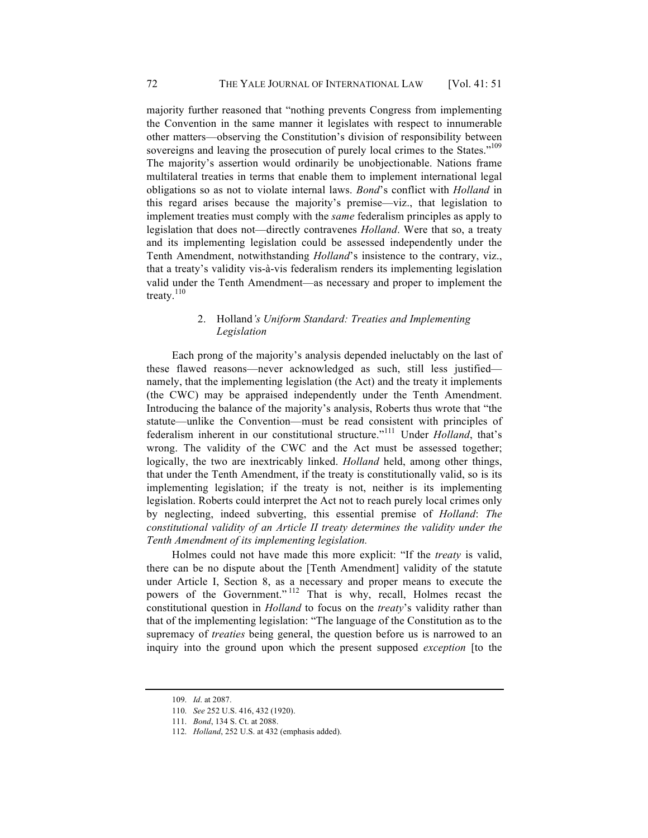majority further reasoned that "nothing prevents Congress from implementing the Convention in the same manner it legislates with respect to innumerable other matters—observing the Constitution's division of responsibility between sovereigns and leaving the prosecution of purely local crimes to the States."<sup>109</sup> The majority's assertion would ordinarily be unobjectionable. Nations frame multilateral treaties in terms that enable them to implement international legal obligations so as not to violate internal laws. *Bond*'s conflict with *Holland* in this regard arises because the majority's premise—viz., that legislation to implement treaties must comply with the *same* federalism principles as apply to legislation that does not—directly contravenes *Holland*. Were that so, a treaty and its implementing legislation could be assessed independently under the Tenth Amendment, notwithstanding *Holland*'s insistence to the contrary, viz., that a treaty's validity vis-à-vis federalism renders its implementing legislation valid under the Tenth Amendment—as necessary and proper to implement the treaty. $110$ 

#### 2. Holland*'s Uniform Standard: Treaties and Implementing Legislation*

Each prong of the majority's analysis depended ineluctably on the last of these flawed reasons—never acknowledged as such, still less justified namely, that the implementing legislation (the Act) and the treaty it implements (the CWC) may be appraised independently under the Tenth Amendment. Introducing the balance of the majority's analysis, Roberts thus wrote that "the statute—unlike the Convention—must be read consistent with principles of federalism inherent in our constitutional structure."<sup>111</sup> Under *Holland*, that's wrong. The validity of the CWC and the Act must be assessed together; logically, the two are inextricably linked. *Holland* held, among other things, that under the Tenth Amendment, if the treaty is constitutionally valid, so is its implementing legislation; if the treaty is not, neither is its implementing legislation. Roberts could interpret the Act not to reach purely local crimes only by neglecting, indeed subverting, this essential premise of *Holland*: *The constitutional validity of an Article II treaty determines the validity under the Tenth Amendment of its implementing legislation.*

Holmes could not have made this more explicit: "If the *treaty* is valid, there can be no dispute about the [Tenth Amendment] validity of the statute under Article I, Section 8, as a necessary and proper means to execute the powers of the Government."<sup>112</sup> That is why, recall, Holmes recast the constitutional question in *Holland* to focus on the *treaty*'s validity rather than that of the implementing legislation: "The language of the Constitution as to the supremacy of *treaties* being general, the question before us is narrowed to an inquiry into the ground upon which the present supposed *exception* [to the

<sup>109.</sup> *Id*. at 2087.

<sup>110.</sup> *See* 252 U.S. 416, 432 (1920).

<sup>111.</sup> *Bond*, 134 S. Ct. at 2088.

<sup>112.</sup> *Holland*, 252 U.S. at 432 (emphasis added).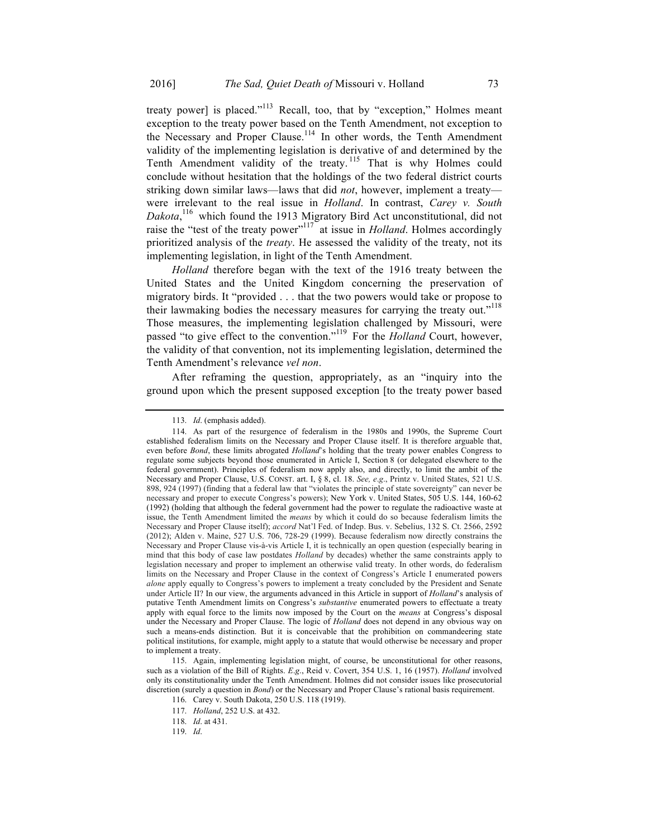treaty power] is placed."<sup>113</sup> Recall, too, that by "exception," Holmes meant exception to the treaty power based on the Tenth Amendment, not exception to the Necessary and Proper Clause.<sup>114</sup> In other words, the Tenth Amendment validity of the implementing legislation is derivative of and determined by the Tenth Amendment validity of the treaty.<sup>115</sup> That is why Holmes could conclude without hesitation that the holdings of the two federal district courts striking down similar laws—laws that did *not*, however, implement a treaty were irrelevant to the real issue in *Holland*. In contrast, *Carey v. South*  Dakota,<sup>116</sup> which found the 1913 Migratory Bird Act unconstitutional, did not raise the "test of the treaty power"<sup>117</sup> at issue in *Holland*. Holmes accordingly prioritized analysis of the *treaty*. He assessed the validity of the treaty, not its implementing legislation, in light of the Tenth Amendment.

*Holland* therefore began with the text of the 1916 treaty between the United States and the United Kingdom concerning the preservation of migratory birds. It "provided . . . that the two powers would take or propose to their lawmaking bodies the necessary measures for carrying the treaty out."<sup>118</sup> Those measures, the implementing legislation challenged by Missouri, were passed "to give effect to the convention."<sup>119</sup> For the *Holland* Court, however, the validity of that convention, not its implementing legislation, determined the Tenth Amendment's relevance *vel non*.

After reframing the question, appropriately, as an "inquiry into the ground upon which the present supposed exception [to the treaty power based

<sup>113.</sup> *Id*. (emphasis added).

<sup>114.</sup> As part of the resurgence of federalism in the 1980s and 1990s, the Supreme Court established federalism limits on the Necessary and Proper Clause itself. It is therefore arguable that, even before *Bond*, these limits abrogated *Holland*'s holding that the treaty power enables Congress to regulate some subjects beyond those enumerated in Article I, Section 8 (or delegated elsewhere to the federal government). Principles of federalism now apply also, and directly, to limit the ambit of the Necessary and Proper Clause, U.S. CONST. art. I, § 8, cl. 18. *See, e*.*g*., Printz v. United States, 521 U.S. 898, 924 (1997) (finding that a federal law that "violates the principle of state sovereignty" can never be necessary and proper to execute Congress's powers); New York v. United States, 505 U.S. 144, 160-62 (1992) (holding that although the federal government had the power to regulate the radioactive waste at issue, the Tenth Amendment limited the *means* by which it could do so because federalism limits the Necessary and Proper Clause itself); *accord* Nat'l Fed. of Indep. Bus. v. Sebelius, 132 S. Ct. 2566, 2592 (2012); Alden v. Maine, 527 U.S. 706, 728-29 (1999). Because federalism now directly constrains the Necessary and Proper Clause vis-à-vis Article I, it is technically an open question (especially bearing in mind that this body of case law postdates *Holland* by decades) whether the same constraints apply to legislation necessary and proper to implement an otherwise valid treaty. In other words, do federalism limits on the Necessary and Proper Clause in the context of Congress's Article I enumerated powers *alone* apply equally to Congress's powers to implement a treaty concluded by the President and Senate under Article II? In our view, the arguments advanced in this Article in support of *Holland*'s analysis of putative Tenth Amendment limits on Congress's *substantive* enumerated powers to effectuate a treaty apply with equal force to the limits now imposed by the Court on the *means* at Congress's disposal under the Necessary and Proper Clause. The logic of *Holland* does not depend in any obvious way on such a means-ends distinction. But it is conceivable that the prohibition on commandeering state political institutions, for example, might apply to a statute that would otherwise be necessary and proper to implement a treaty.

<sup>115.</sup> Again, implementing legislation might, of course, be unconstitutional for other reasons, such as a violation of the Bill of Rights. *E*.*g*., Reid v. Covert, 354 U.S. 1, 16 (1957). *Holland* involved only its constitutionality under the Tenth Amendment. Holmes did not consider issues like prosecutorial discretion (surely a question in *Bond*) or the Necessary and Proper Clause's rational basis requirement.

<sup>116.</sup> Carey v. South Dakota, 250 U.S. 118 (1919).

<sup>117.</sup> *Holland*, 252 U.S. at 432.

<sup>118.</sup> *Id*. at 431.

<sup>119.</sup> *Id*.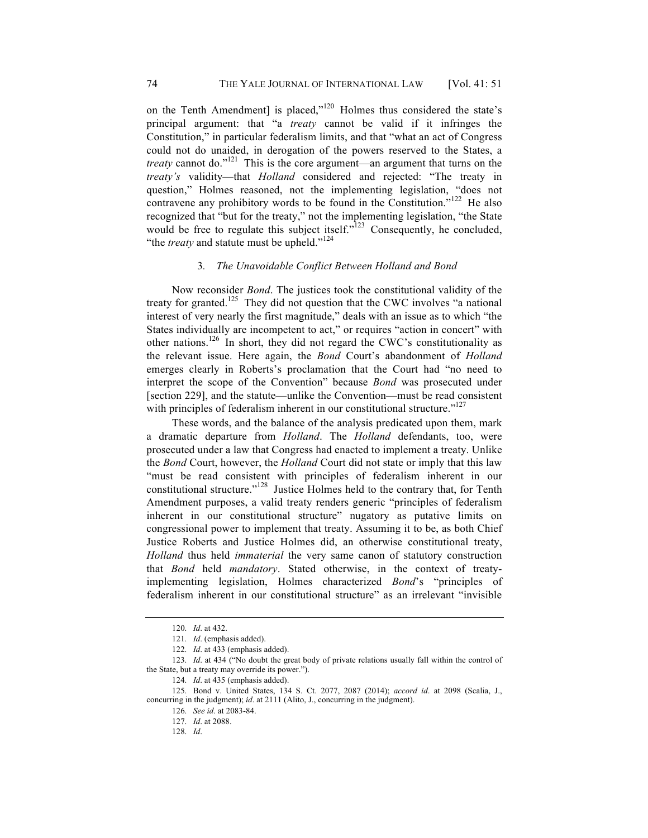on the Tenth Amendment] is placed, $v^{120}$  Holmes thus considered the state's principal argument: that "a *treaty* cannot be valid if it infringes the Constitution," in particular federalism limits, and that "what an act of Congress could not do unaided, in derogation of the powers reserved to the States, a *treaty* cannot do."<sup>121</sup> This is the core argument—an argument that turns on the *treaty's* validity—that *Holland* considered and rejected: "The treaty in question," Holmes reasoned, not the implementing legislation, "does not contravene any prohibitory words to be found in the Constitution."<sup>122</sup> He also recognized that "but for the treaty," not the implementing legislation, "the State would be free to regulate this subject itself."<sup>123</sup> Consequently, he concluded, "the *treaty* and statute must be upheld."<sup>124</sup>

#### 3*. The Unavoidable Conflict Between Holland and Bond*

Now reconsider *Bond*. The justices took the constitutional validity of the treaty for granted.<sup>125</sup> They did not question that the CWC involves "a national interest of very nearly the first magnitude," deals with an issue as to which "the States individually are incompetent to act," or requires "action in concert" with other nations.<sup>126</sup> In short, they did not regard the CWC's constitutionality as the relevant issue. Here again, the *Bond* Court's abandonment of *Holland*  emerges clearly in Roberts's proclamation that the Court had "no need to interpret the scope of the Convention" because *Bond* was prosecuted under [section 229], and the statute—unlike the Convention—must be read consistent with principles of federalism inherent in our constitutional structure."<sup>127</sup>

These words, and the balance of the analysis predicated upon them, mark a dramatic departure from *Holland*. The *Holland* defendants, too, were prosecuted under a law that Congress had enacted to implement a treaty. Unlike the *Bond* Court, however, the *Holland* Court did not state or imply that this law "must be read consistent with principles of federalism inherent in our constitutional structure."<sup>128</sup> Justice Holmes held to the contrary that, for Tenth Amendment purposes, a valid treaty renders generic "principles of federalism inherent in our constitutional structure" nugatory as putative limits on congressional power to implement that treaty. Assuming it to be, as both Chief Justice Roberts and Justice Holmes did, an otherwise constitutional treaty, *Holland* thus held *immaterial* the very same canon of statutory construction that *Bond* held *mandatory*. Stated otherwise, in the context of treatyimplementing legislation, Holmes characterized *Bond*'s "principles of federalism inherent in our constitutional structure" as an irrelevant "invisible

<sup>120.</sup> *Id*. at 432.

<sup>121.</sup> *Id*. (emphasis added).

<sup>122.</sup> *Id*. at 433 (emphasis added).

<sup>123.</sup> *Id*. at 434 ("No doubt the great body of private relations usually fall within the control of the State, but a treaty may override its power.").

<sup>124.</sup> *Id*. at 435 (emphasis added).

<sup>125.</sup> Bond v. United States, 134 S. Ct. 2077, 2087 (2014); *accord id*. at 2098 (Scalia, J., concurring in the judgment); *id*. at 2111 (Alito, J., concurring in the judgment).

<sup>126.</sup> *See id*. at 2083-84.

<sup>127.</sup> *Id*. at 2088.

<sup>128.</sup> *Id*.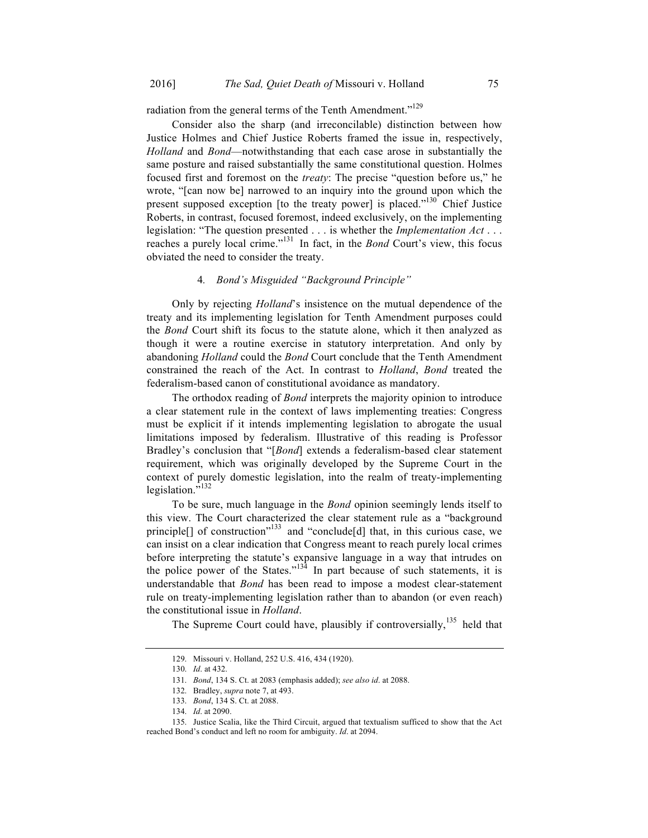radiation from the general terms of the Tenth Amendment."<sup>129</sup>

Consider also the sharp (and irreconcilable) distinction between how Justice Holmes and Chief Justice Roberts framed the issue in, respectively, *Holland* and *Bond*—notwithstanding that each case arose in substantially the same posture and raised substantially the same constitutional question. Holmes focused first and foremost on the *treaty*: The precise "question before us," he wrote, "[can now be] narrowed to an inquiry into the ground upon which the present supposed exception [to the treaty power] is placed."<sup>130</sup> Chief Justice Roberts, in contrast, focused foremost, indeed exclusively, on the implementing legislation: "The question presented . . . is whether the *Implementation Act* . . . reaches a purely local crime."<sup>131</sup> In fact, in the *Bond* Court's view, this focus obviated the need to consider the treaty.

#### 4*. Bond's Misguided "Background Principle"*

Only by rejecting *Holland*'s insistence on the mutual dependence of the treaty and its implementing legislation for Tenth Amendment purposes could the *Bond* Court shift its focus to the statute alone, which it then analyzed as though it were a routine exercise in statutory interpretation. And only by abandoning *Holland* could the *Bond* Court conclude that the Tenth Amendment constrained the reach of the Act. In contrast to *Holland*, *Bond* treated the federalism-based canon of constitutional avoidance as mandatory.

The orthodox reading of *Bond* interprets the majority opinion to introduce a clear statement rule in the context of laws implementing treaties: Congress must be explicit if it intends implementing legislation to abrogate the usual limitations imposed by federalism. Illustrative of this reading is Professor Bradley's conclusion that "[*Bond*] extends a federalism-based clear statement requirement, which was originally developed by the Supreme Court in the context of purely domestic legislation, into the realm of treaty-implementing legislation." $132$ 

To be sure, much language in the *Bond* opinion seemingly lends itself to this view. The Court characterized the clear statement rule as a "background principle<sup>[]</sup> of construction<sup> $n^{133}$ </sup> and "conclude<sup>[d]</sup> that, in this curious case, we can insist on a clear indication that Congress meant to reach purely local crimes before interpreting the statute's expansive language in a way that intrudes on the police power of the States." $134$  In part because of such statements, it is understandable that *Bond* has been read to impose a modest clear-statement rule on treaty-implementing legislation rather than to abandon (or even reach) the constitutional issue in *Holland*.

The Supreme Court could have, plausibly if controversially,<sup>135</sup> held that

<sup>129.</sup> Missouri v. Holland, 252 U.S. 416, 434 (1920).

<sup>130.</sup> *Id*. at 432.

<sup>131.</sup> *Bond*, 134 S. Ct. at 2083 (emphasis added); *see also id*. at 2088.

<sup>132.</sup> Bradley, *supra* note 7, at 493.

<sup>133.</sup> *Bond*, 134 S. Ct. at 2088.

<sup>134.</sup> *Id*. at 2090.

<sup>135.</sup> Justice Scalia, like the Third Circuit, argued that textualism sufficed to show that the Act reached Bond's conduct and left no room for ambiguity. *Id*. at 2094.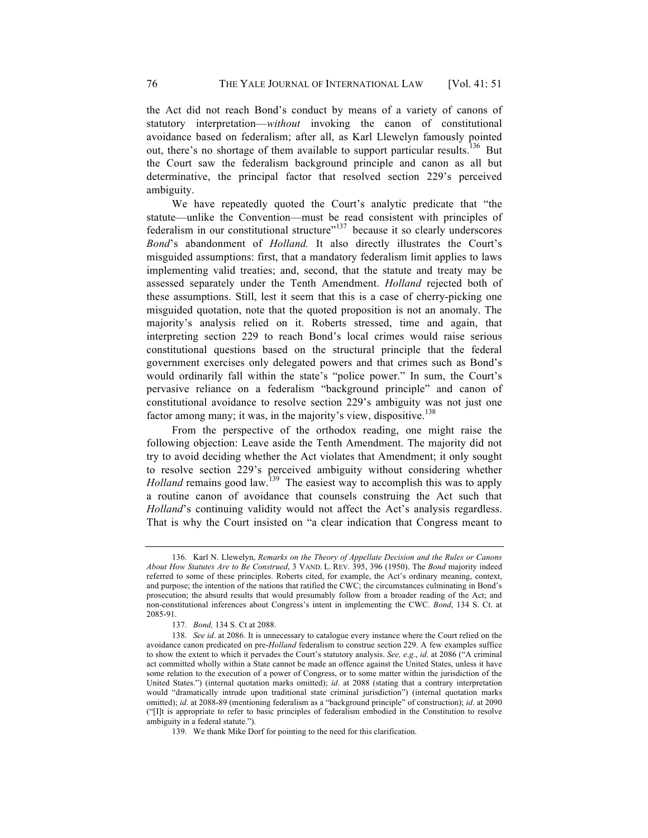the Act did not reach Bond's conduct by means of a variety of canons of statutory interpretation—*without* invoking the canon of constitutional avoidance based on federalism; after all, as Karl Llewelyn famously pointed out, there's no shortage of them available to support particular results.<sup>136</sup> But the Court saw the federalism background principle and canon as all but determinative, the principal factor that resolved section 229's perceived ambiguity.

We have repeatedly quoted the Court's analytic predicate that "the statute—unlike the Convention—must be read consistent with principles of federalism in our constitutional structure"<sup>137</sup> because it so clearly underscores *Bond*'s abandonment of *Holland.* It also directly illustrates the Court's misguided assumptions: first, that a mandatory federalism limit applies to laws implementing valid treaties; and, second, that the statute and treaty may be assessed separately under the Tenth Amendment. *Holland* rejected both of these assumptions. Still, lest it seem that this is a case of cherry-picking one misguided quotation, note that the quoted proposition is not an anomaly. The majority's analysis relied on it. Roberts stressed, time and again, that interpreting section 229 to reach Bond's local crimes would raise serious constitutional questions based on the structural principle that the federal government exercises only delegated powers and that crimes such as Bond's would ordinarily fall within the state's "police power." In sum, the Court's pervasive reliance on a federalism "background principle" and canon of constitutional avoidance to resolve section 229's ambiguity was not just one factor among many; it was, in the majority's view, dispositive.<sup>138</sup>

From the perspective of the orthodox reading, one might raise the following objection: Leave aside the Tenth Amendment. The majority did not try to avoid deciding whether the Act violates that Amendment; it only sought to resolve section 229's perceived ambiguity without considering whether *Holland* remains good law.<sup>139</sup> The easiest way to accomplish this was to apply a routine canon of avoidance that counsels construing the Act such that *Holland*'s continuing validity would not affect the Act's analysis regardless. That is why the Court insisted on "a clear indication that Congress meant to

<sup>136.</sup> Karl N. Llewelyn, *Remarks on the Theory of Appellate Decision and the Rules or Canons About How Statutes Are to Be Construed*, 3 VAND. L. REV. 395, 396 (1950). The *Bond* majority indeed referred to some of these principles. Roberts cited, for example, the Act's ordinary meaning, context, and purpose; the intention of the nations that ratified the CWC; the circumstances culminating in Bond's prosecution; the absurd results that would presumably follow from a broader reading of the Act; and non-constitutional inferences about Congress's intent in implementing the CWC. *Bond*, 134 S. Ct. at 2085-91.

<sup>137.</sup> *Bond,* 134 S. Ct at 2088.

<sup>138.</sup> *See id*. at 2086. It is unnecessary to catalogue every instance where the Court relied on the avoidance canon predicated on pre-*Holland* federalism to construe section 229. A few examples suffice to show the extent to which it pervades the Court's statutory analysis. *See, e*.*g*., *id*. at 2086 ("A criminal act committed wholly within a State cannot be made an offence against the United States, unless it have some relation to the execution of a power of Congress, or to some matter within the jurisdiction of the United States.") (internal quotation marks omitted); *id*. at 2088 (stating that a contrary interpretation would "dramatically intrude upon traditional state criminal jurisdiction") (internal quotation marks omitted); *id*. at 2088-89 (mentioning federalism as a "background principle" of construction); *id*. at 2090 ("[I]t is appropriate to refer to basic principles of federalism embodied in the Constitution to resolve ambiguity in a federal statute.").

<sup>139.</sup> We thank Mike Dorf for pointing to the need for this clarification.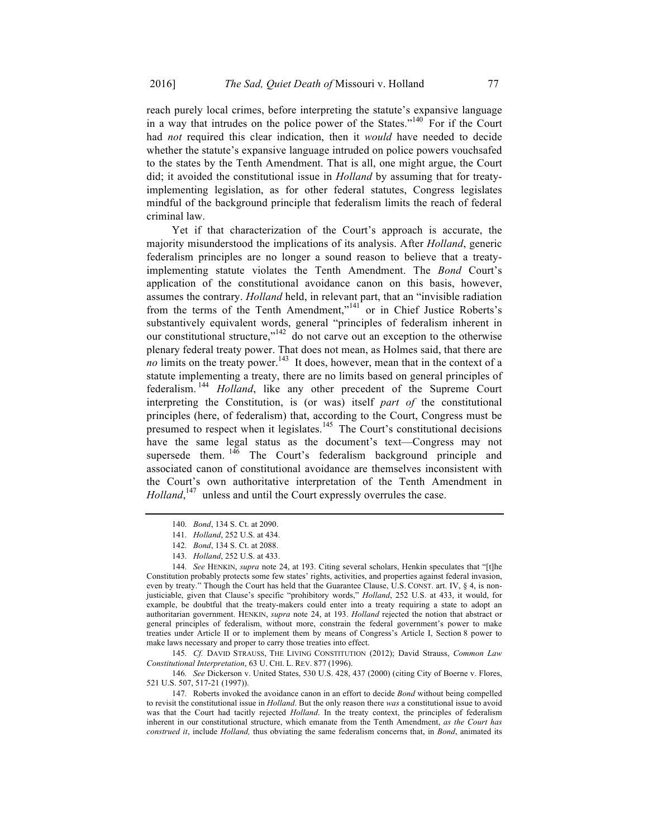reach purely local crimes, before interpreting the statute's expansive language in a way that intrudes on the police power of the States."<sup>140</sup> For if the Court had *not* required this clear indication, then it *would* have needed to decide whether the statute's expansive language intruded on police powers vouchsafed to the states by the Tenth Amendment. That is all, one might argue, the Court did; it avoided the constitutional issue in *Holland* by assuming that for treatyimplementing legislation, as for other federal statutes, Congress legislates mindful of the background principle that federalism limits the reach of federal criminal law.

Yet if that characterization of the Court's approach is accurate, the majority misunderstood the implications of its analysis. After *Holland*, generic federalism principles are no longer a sound reason to believe that a treatyimplementing statute violates the Tenth Amendment. The *Bond* Court's application of the constitutional avoidance canon on this basis, however, assumes the contrary. *Holland* held, in relevant part, that an "invisible radiation from the terms of the Tenth Amendment,"<sup>141</sup> or in Chief Justice Roberts's substantively equivalent words, general "principles of federalism inherent in our constitutional structure," $142$  do not carve out an exception to the otherwise plenary federal treaty power. That does not mean, as Holmes said, that there are *no* limits on the treaty power.<sup>143</sup> It does, however, mean that in the context of a statute implementing a treaty, there are no limits based on general principles of federalism. <sup>144</sup> *Holland*, like any other precedent of the Supreme Court interpreting the Constitution, is (or was) itself *part of* the constitutional principles (here, of federalism) that, according to the Court, Congress must be presumed to respect when it legislates.<sup>145</sup> The Court's constitutional decisions have the same legal status as the document's text—Congress may not supersede them.  $146$  The Court's federalism background principle and associated canon of constitutional avoidance are themselves inconsistent with the Court's own authoritative interpretation of the Tenth Amendment in *Holland*, <sup>147</sup> unless and until the Court expressly overrules the case.

145. *Cf.* DAVID STRAUSS, THE LIVING CONSTITUTION (2012); David Strauss, *Common Law Constitutional Interpretation*, 63 U. CHI. L. REV. 877 (1996).

146. *See* Dickerson v. United States, 530 U.S. 428, 437 (2000) (citing City of Boerne v. Flores, 521 U.S. 507, 517-21 (1997)).

<sup>140.</sup> *Bond*, 134 S. Ct. at 2090.

<sup>141.</sup> *Holland*, 252 U.S. at 434.

<sup>142.</sup> *Bond*, 134 S. Ct. at 2088.

<sup>143.</sup> *Holland*, 252 U.S. at 433.

<sup>144.</sup> *See* HENKIN, *supra* note 24, at 193. Citing several scholars, Henkin speculates that "[t]he Constitution probably protects some few states' rights, activities, and properties against federal invasion, even by treaty." Though the Court has held that the Guarantee Clause, U.S. CONST. art. IV, § 4, is nonjusticiable, given that Clause's specific "prohibitory words," *Holland*, 252 U.S. at 433, it would, for example, be doubtful that the treaty-makers could enter into a treaty requiring a state to adopt an authoritarian government. HENKIN, *supra* note 24, at 193. *Holland* rejected the notion that abstract or general principles of federalism, without more, constrain the federal government's power to make treaties under Article II or to implement them by means of Congress's Article I, Section 8 power to make laws necessary and proper to carry those treaties into effect.

<sup>147.</sup> Roberts invoked the avoidance canon in an effort to decide *Bond* without being compelled to revisit the constitutional issue in *Holland*. But the only reason there *was* a constitutional issue to avoid was that the Court had tacitly rejected *Holland*. In the treaty context, the principles of federalism inherent in our constitutional structure, which emanate from the Tenth Amendment, *as the Court has construed it*, include *Holland,* thus obviating the same federalism concerns that, in *Bond*, animated its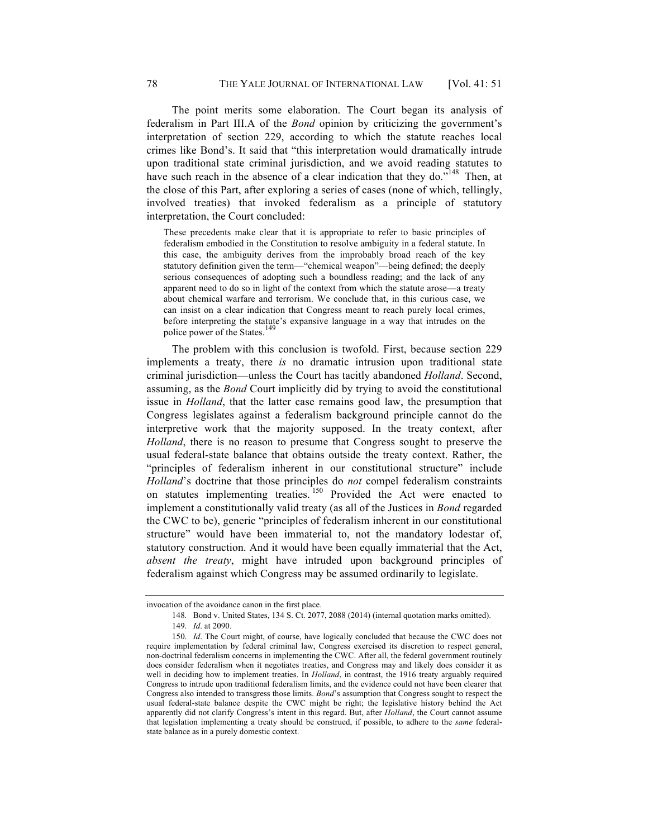The point merits some elaboration. The Court began its analysis of federalism in Part III.A of the *Bond* opinion by criticizing the government's interpretation of section 229, according to which the statute reaches local crimes like Bond's. It said that "this interpretation would dramatically intrude upon traditional state criminal jurisdiction, and we avoid reading statutes to have such reach in the absence of a clear indication that they do.<sup> $7148$ </sup> Then, at the close of this Part, after exploring a series of cases (none of which, tellingly, involved treaties) that invoked federalism as a principle of statutory interpretation, the Court concluded:

These precedents make clear that it is appropriate to refer to basic principles of federalism embodied in the Constitution to resolve ambiguity in a federal statute. In this case, the ambiguity derives from the improbably broad reach of the key statutory definition given the term—"chemical weapon"—being defined; the deeply serious consequences of adopting such a boundless reading; and the lack of any apparent need to do so in light of the context from which the statute arose—a treaty about chemical warfare and terrorism. We conclude that, in this curious case, we can insist on a clear indication that Congress meant to reach purely local crimes, before interpreting the statute's expansive language in a way that intrudes on the police power of the States.

The problem with this conclusion is twofold. First, because section 229 implements a treaty, there *is* no dramatic intrusion upon traditional state criminal jurisdiction—unless the Court has tacitly abandoned *Holland*. Second, assuming, as the *Bond* Court implicitly did by trying to avoid the constitutional issue in *Holland*, that the latter case remains good law, the presumption that Congress legislates against a federalism background principle cannot do the interpretive work that the majority supposed. In the treaty context, after *Holland*, there is no reason to presume that Congress sought to preserve the usual federal-state balance that obtains outside the treaty context. Rather, the "principles of federalism inherent in our constitutional structure" include *Holland*'s doctrine that those principles do *not* compel federalism constraints on statutes implementing treaties.<sup>150</sup> Provided the Act were enacted to implement a constitutionally valid treaty (as all of the Justices in *Bond* regarded the CWC to be), generic "principles of federalism inherent in our constitutional structure" would have been immaterial to, not the mandatory lodestar of, statutory construction. And it would have been equally immaterial that the Act, *absent the treaty*, might have intruded upon background principles of federalism against which Congress may be assumed ordinarily to legislate.

invocation of the avoidance canon in the first place.

<sup>148.</sup> Bond v. United States, 134 S. Ct. 2077, 2088 (2014) (internal quotation marks omitted). 149. *Id*. at 2090.

<sup>150.</sup> *Id*. The Court might, of course, have logically concluded that because the CWC does not require implementation by federal criminal law, Congress exercised its discretion to respect general, non-doctrinal federalism concerns in implementing the CWC. After all, the federal government routinely does consider federalism when it negotiates treaties, and Congress may and likely does consider it as well in deciding how to implement treaties. In *Holland*, in contrast, the 1916 treaty arguably required Congress to intrude upon traditional federalism limits, and the evidence could not have been clearer that Congress also intended to transgress those limits. *Bond*'s assumption that Congress sought to respect the usual federal-state balance despite the CWC might be right; the legislative history behind the Act apparently did not clarify Congress's intent in this regard. But, after *Holland*, the Court cannot assume that legislation implementing a treaty should be construed, if possible, to adhere to the *same* federalstate balance as in a purely domestic context.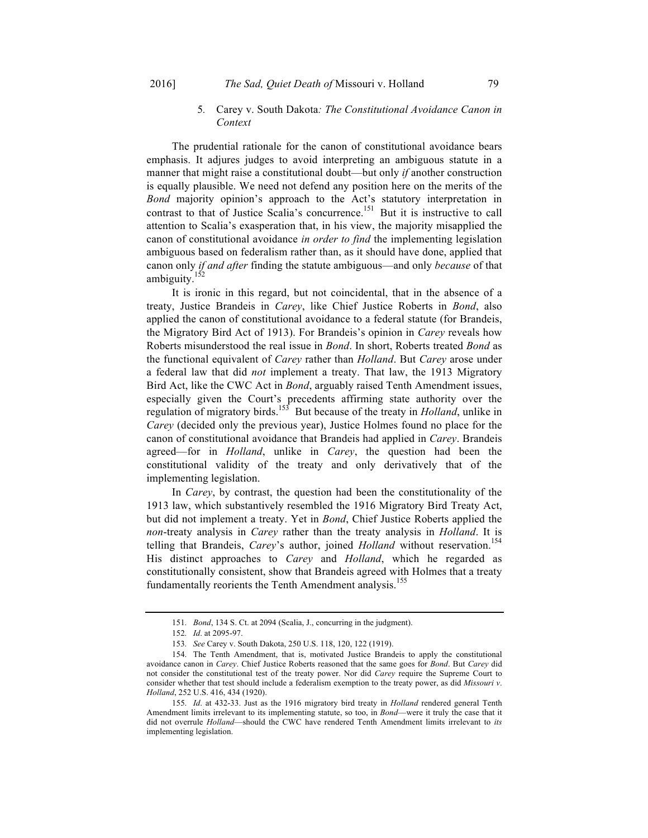#### 5*.* Carey v. South Dakota*: The Constitutional Avoidance Canon in Context*

The prudential rationale for the canon of constitutional avoidance bears emphasis. It adjures judges to avoid interpreting an ambiguous statute in a manner that might raise a constitutional doubt—but only *if* another construction is equally plausible. We need not defend any position here on the merits of the *Bond* majority opinion's approach to the Act's statutory interpretation in contrast to that of Justice Scalia's concurrence.<sup>151</sup> But it is instructive to call attention to Scalia's exasperation that, in his view, the majority misapplied the canon of constitutional avoidance *in order to find* the implementing legislation ambiguous based on federalism rather than, as it should have done, applied that canon only *if and after* finding the statute ambiguous—and only *because* of that ambiguity. $15$ 

It is ironic in this regard, but not coincidental, that in the absence of a treaty, Justice Brandeis in *Carey*, like Chief Justice Roberts in *Bond*, also applied the canon of constitutional avoidance to a federal statute (for Brandeis, the Migratory Bird Act of 1913). For Brandeis's opinion in *Carey* reveals how Roberts misunderstood the real issue in *Bond*. In short, Roberts treated *Bond* as the functional equivalent of *Carey* rather than *Holland*. But *Carey* arose under a federal law that did *not* implement a treaty. That law, the 1913 Migratory Bird Act, like the CWC Act in *Bond*, arguably raised Tenth Amendment issues, especially given the Court's precedents affirming state authority over the regulation of migratory birds.<sup>153</sup> But because of the treaty in *Holland*, unlike in *Carey* (decided only the previous year), Justice Holmes found no place for the canon of constitutional avoidance that Brandeis had applied in *Carey*. Brandeis agreed—for in *Holland*, unlike in *Carey*, the question had been the constitutional validity of the treaty and only derivatively that of the implementing legislation.

In *Carey*, by contrast, the question had been the constitutionality of the 1913 law, which substantively resembled the 1916 Migratory Bird Treaty Act, but did not implement a treaty. Yet in *Bond*, Chief Justice Roberts applied the *non*-treaty analysis in *Carey* rather than the treaty analysis in *Holland*. It is telling that Brandeis, *Carey*'s author, joined *Holland* without reservation.<sup>154</sup> His distinct approaches to *Carey* and *Holland*, which he regarded as constitutionally consistent, show that Brandeis agreed with Holmes that a treaty fundamentally reorients the Tenth Amendment analysis.<sup>155</sup>

<sup>151.</sup> *Bond*, 134 S. Ct. at 2094 (Scalia, J., concurring in the judgment).

<sup>152.</sup> *Id*. at 2095-97.

<sup>153.</sup> *See* Carey v. South Dakota, 250 U.S. 118, 120, 122 (1919).

<sup>154.</sup> The Tenth Amendment, that is, motivated Justice Brandeis to apply the constitutional avoidance canon in *Carey*. Chief Justice Roberts reasoned that the same goes for *Bond*. But *Carey* did not consider the constitutional test of the treaty power. Nor did *Carey* require the Supreme Court to consider whether that test should include a federalism exemption to the treaty power, as did *Missouri v*. *Holland*, 252 U.S. 416, 434 (1920).

<sup>155.</sup> *Id*. at 432-33. Just as the 1916 migratory bird treaty in *Holland* rendered general Tenth Amendment limits irrelevant to its implementing statute, so too, in *Bond*—were it truly the case that it did not overrule *Holland*—should the CWC have rendered Tenth Amendment limits irrelevant to *its* implementing legislation.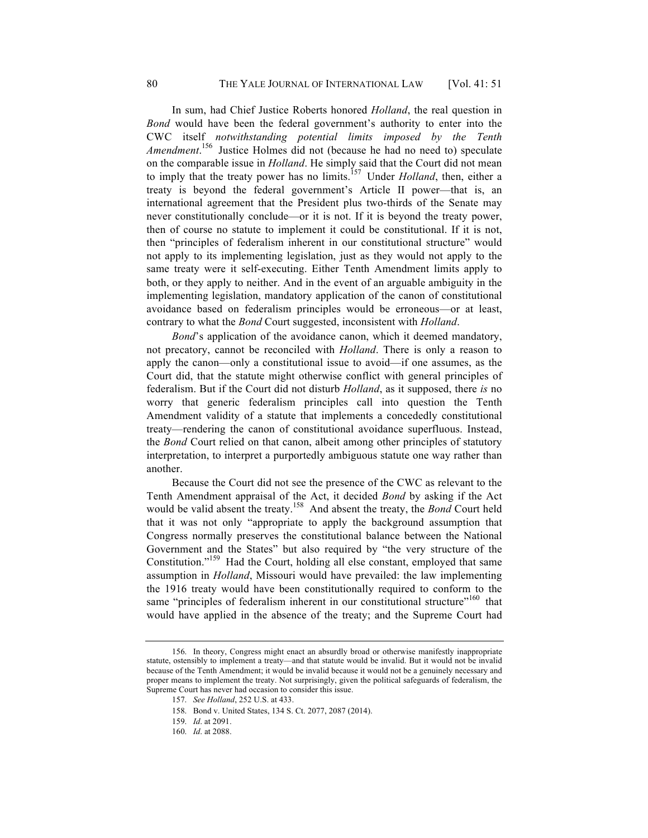In sum, had Chief Justice Roberts honored *Holland*, the real question in *Bond* would have been the federal government's authority to enter into the CWC itself *notwithstanding potential limits imposed by the Tenth Amendment*. <sup>156</sup> Justice Holmes did not (because he had no need to) speculate on the comparable issue in *Holland*. He simply said that the Court did not mean to imply that the treaty power has no limits.<sup>157</sup> Under *Holland*, then, either a treaty is beyond the federal government's Article II power—that is, an international agreement that the President plus two-thirds of the Senate may never constitutionally conclude—or it is not. If it is beyond the treaty power, then of course no statute to implement it could be constitutional. If it is not, then "principles of federalism inherent in our constitutional structure" would not apply to its implementing legislation, just as they would not apply to the same treaty were it self-executing. Either Tenth Amendment limits apply to both, or they apply to neither. And in the event of an arguable ambiguity in the implementing legislation, mandatory application of the canon of constitutional avoidance based on federalism principles would be erroneous—or at least, contrary to what the *Bond* Court suggested, inconsistent with *Holland*.

*Bond*'s application of the avoidance canon, which it deemed mandatory, not precatory, cannot be reconciled with *Holland*. There is only a reason to apply the canon—only a constitutional issue to avoid—if one assumes, as the Court did, that the statute might otherwise conflict with general principles of federalism. But if the Court did not disturb *Holland*, as it supposed, there *is* no worry that generic federalism principles call into question the Tenth Amendment validity of a statute that implements a concededly constitutional treaty—rendering the canon of constitutional avoidance superfluous. Instead, the *Bond* Court relied on that canon, albeit among other principles of statutory interpretation, to interpret a purportedly ambiguous statute one way rather than another.

Because the Court did not see the presence of the CWC as relevant to the Tenth Amendment appraisal of the Act, it decided *Bond* by asking if the Act would be valid absent the treaty.<sup>158</sup> And absent the treaty, the *Bond* Court held that it was not only "appropriate to apply the background assumption that Congress normally preserves the constitutional balance between the National Government and the States" but also required by "the very structure of the Constitution."<sup>159</sup> Had the Court, holding all else constant, employed that same assumption in *Holland*, Missouri would have prevailed: the law implementing the 1916 treaty would have been constitutionally required to conform to the same "principles of federalism inherent in our constitutional structure"<sup>160</sup> that would have applied in the absence of the treaty; and the Supreme Court had

<sup>156.</sup> In theory, Congress might enact an absurdly broad or otherwise manifestly inappropriate statute, ostensibly to implement a treaty—and that statute would be invalid. But it would not be invalid because of the Tenth Amendment; it would be invalid because it would not be a genuinely necessary and proper means to implement the treaty. Not surprisingly, given the political safeguards of federalism, the Supreme Court has never had occasion to consider this issue.

<sup>157.</sup> *See Holland*, 252 U.S. at 433.

<sup>158.</sup> Bond v. United States, 134 S. Ct. 2077, 2087 (2014).

<sup>159.</sup> *Id*. at 2091.

<sup>160.</sup> *Id*. at 2088.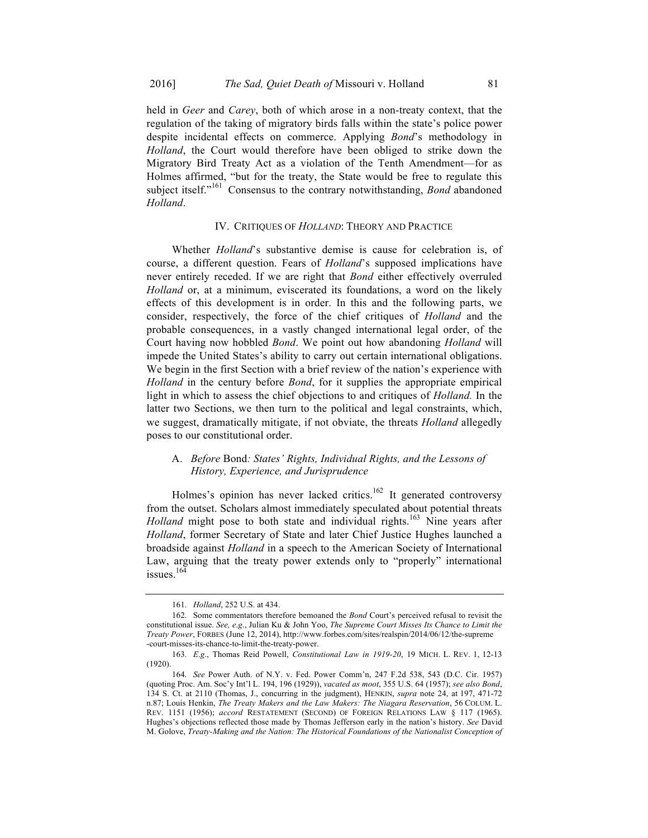held in *Geer* and *Carey*, both of which arose in a non-treaty context, that the regulation of the taking of migratory birds falls within the state's police power despite incidental effects on commerce. Applying *Bond*'s methodology in *Holland*, the Court would therefore have been obliged to strike down the Migratory Bird Treaty Act as a violation of the Tenth Amendment—for as Holmes affirmed, "but for the treaty, the State would be free to regulate this subject itself."<sup>161</sup> Consensus to the contrary notwithstanding, *Bond* abandoned *Holland*.

#### IV. CRITIQUES OF *HOLLAND*: THEORY AND PRACTICE

Whether *Holland*'s substantive demise is cause for celebration is, of course, a different question. Fears of *Holland*'s supposed implications have never entirely receded. If we are right that *Bond* either effectively overruled *Holland* or, at a minimum, eviscerated its foundations, a word on the likely effects of this development is in order. In this and the following parts, we consider, respectively, the force of the chief critiques of *Holland* and the probable consequences, in a vastly changed international legal order, of the Court having now hobbled *Bond*. We point out how abandoning *Holland* will impede the United States's ability to carry out certain international obligations. We begin in the first Section with a brief review of the nation's experience with *Holland* in the century before *Bond*, for it supplies the appropriate empirical light in which to assess the chief objections to and critiques of *Holland.* In the latter two Sections, we then turn to the political and legal constraints, which, we suggest, dramatically mitigate, if not obviate, the threats *Holland* allegedly poses to our constitutional order.

#### A. *Before* Bond*: States' Rights, Individual Rights, and the Lessons of History, Experience, and Jurisprudence*

Holmes's opinion has never lacked critics.<sup>162</sup> It generated controversy from the outset. Scholars almost immediately speculated about potential threats *Holland* might pose to both state and individual rights.<sup>163</sup> Nine years after *Holland*, former Secretary of State and later Chief Justice Hughes launched a broadside against *Holland* in a speech to the American Society of International Law, arguing that the treaty power extends only to "properly" international  $issues.<sup>164</sup>$ 

<sup>161.</sup> *Holland*, 252 U.S. at 434.

<sup>162.</sup> Some commentators therefore bemoaned the *Bond* Court's perceived refusal to revisit the constitutional issue. *See, e*.*g*., Julian Ku & John Yoo, *The Supreme Court Misses Its Chance to Limit the Treaty Power*, FORBES (June 12, 2014), http://www.forbes.com/sites/realspin/2014/06/12/the-supreme -court-misses-its-chance-to-limit-the-treaty-power.

<sup>163.</sup> *E*.*g*., Thomas Reid Powell, *Constitutional Law in 1919-20*, 19 MICH. L. REV. 1, 12-13  $(1920)$ 

<sup>164.</sup> *See* Power Auth. of N.Y. v. Fed. Power Comm'n, 247 F.2d 538, 543 (D.C. Cir. 1957) (quoting Proc. Am. Soc'y Int'l L. 194, 196 (1929)), *vacated as moot*, 355 U.S. 64 (1957); *see also Bond*, 134 S. Ct. at 2110 (Thomas, J., concurring in the judgment), HENKIN, *supra* note 24, at 197, 471-72 n.87; Louis Henkin, *The Treaty Makers and the Law Makers: The Niagara Reservation*, 56 COLUM. L. REV. 1151 (1956); *accord* RESTATEMENT (SECOND) OF FOREIGN RELATIONS LAW § 117 (1965). Hughes's objections reflected those made by Thomas Jefferson early in the nation's history. *See* David M. Golove, *Treaty-Making and the Nation: The Historical Foundations of the Nationalist Conception of*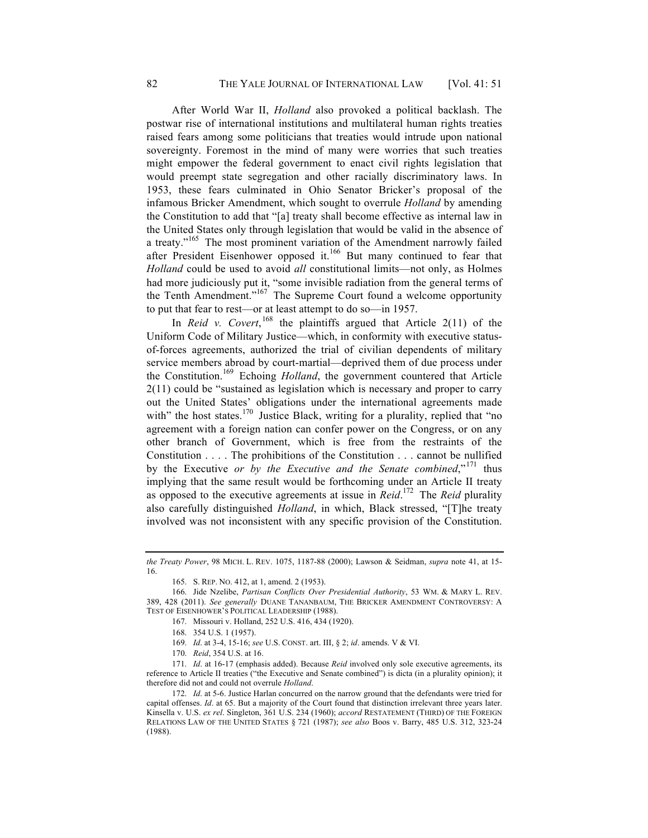After World War II, *Holland* also provoked a political backlash. The postwar rise of international institutions and multilateral human rights treaties raised fears among some politicians that treaties would intrude upon national sovereignty. Foremost in the mind of many were worries that such treaties might empower the federal government to enact civil rights legislation that would preempt state segregation and other racially discriminatory laws. In 1953, these fears culminated in Ohio Senator Bricker's proposal of the infamous Bricker Amendment, which sought to overrule *Holland* by amending the Constitution to add that "[a] treaty shall become effective as internal law in the United States only through legislation that would be valid in the absence of a treaty."<sup>165</sup> The most prominent variation of the Amendment narrowly failed after President Eisenhower opposed it.<sup>166</sup> But many continued to fear that *Holland* could be used to avoid *all* constitutional limits—not only, as Holmes had more judiciously put it, "some invisible radiation from the general terms of the Tenth Amendment."167 The Supreme Court found a welcome opportunity to put that fear to rest—or at least attempt to do so—in 1957.

In *Reid v. Covert*, <sup>168</sup> the plaintiffs argued that Article 2(11) of the Uniform Code of Military Justice—which, in conformity with executive statusof-forces agreements, authorized the trial of civilian dependents of military service members abroad by court-martial—deprived them of due process under the Constitution.<sup>169</sup> Echoing *Holland*, the government countered that Article 2(11) could be "sustained as legislation which is necessary and proper to carry out the United States' obligations under the international agreements made with" the host states.<sup>170</sup> Justice Black, writing for a plurality, replied that "no agreement with a foreign nation can confer power on the Congress, or on any other branch of Government, which is free from the restraints of the Constitution . . . . The prohibitions of the Constitution . . . cannot be nullified by the Executive *or by the Executive and the Senate combined*,"<sup>171</sup> thus implying that the same result would be forthcoming under an Article II treaty as opposed to the executive agreements at issue in *Reid*. <sup>172</sup> The *Reid* plurality also carefully distinguished *Holland*, in which, Black stressed, "[T]he treaty involved was not inconsistent with any specific provision of the Constitution.

- 169. *Id*. at 3-4, 15-16; *see* U.S. CONST. art. III, § 2; *id*. amends. V & VI.
- 170. *Reid*, 354 U.S. at 16.

*the Treaty Power*, 98 MICH. L. REV. 1075, 1187-88 (2000); Lawson & Seidman, *supra* note 41, at 15- 16.

<sup>165.</sup> S. REP. NO. 412, at 1, amend. 2 (1953).

<sup>166.</sup> Jide Nzelibe, *Partisan Conflicts Over Presidential Authority*, 53 WM. & MARY L. REV. 389, 428 (2011). *See generally* DUANE TANANBAUM, THE BRICKER AMENDMENT CONTROVERSY: A TEST OF EISENHOWER'S POLITICAL LEADERSHIP (1988).

<sup>167.</sup> Missouri v. Holland, 252 U.S. 416, 434 (1920).

<sup>168.</sup> 354 U.S. 1 (1957).

<sup>171.</sup> *Id*. at 16-17 (emphasis added). Because *Reid* involved only sole executive agreements, its reference to Article II treaties ("the Executive and Senate combined") is dicta (in a plurality opinion); it therefore did not and could not overrule *Holland*.

<sup>172.</sup> *Id*. at 5-6. Justice Harlan concurred on the narrow ground that the defendants were tried for capital offenses. *Id*. at 65. But a majority of the Court found that distinction irrelevant three years later. Kinsella v. U.S. *ex rel*. Singleton, 361 U.S. 234 (1960); *accord* RESTATEMENT (THIRD) OF THE FOREIGN RELATIONS LAW OF THE UNITED STATES § 721 (1987); *see also* Boos v. Barry, 485 U.S. 312, 323-24 (1988).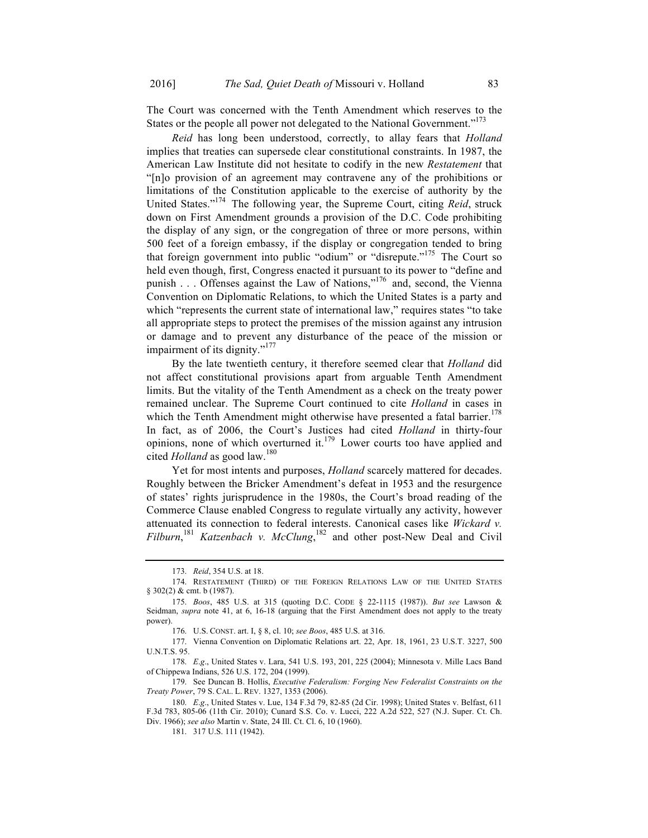The Court was concerned with the Tenth Amendment which reserves to the States or the people all power not delegated to the National Government.<sup>"173</sup>

*Reid* has long been understood, correctly, to allay fears that *Holland*  implies that treaties can supersede clear constitutional constraints. In 1987, the American Law Institute did not hesitate to codify in the new *Restatement* that "[n]o provision of an agreement may contravene any of the prohibitions or limitations of the Constitution applicable to the exercise of authority by the United States."174 The following year, the Supreme Court, citing *Reid*, struck down on First Amendment grounds a provision of the D.C. Code prohibiting the display of any sign, or the congregation of three or more persons, within 500 feet of a foreign embassy, if the display or congregation tended to bring that foreign government into public "odium" or "disrepute."<sup>175</sup> The Court so held even though, first, Congress enacted it pursuant to its power to "define and punish  $\ldots$  Offenses against the Law of Nations,"<sup>176</sup> and, second, the Vienna Convention on Diplomatic Relations, to which the United States is a party and which "represents the current state of international law," requires states "to take all appropriate steps to protect the premises of the mission against any intrusion or damage and to prevent any disturbance of the peace of the mission or impairment of its dignity."<sup>177</sup>

By the late twentieth century, it therefore seemed clear that *Holland* did not affect constitutional provisions apart from arguable Tenth Amendment limits. But the vitality of the Tenth Amendment as a check on the treaty power remained unclear. The Supreme Court continued to cite *Holland* in cases in which the Tenth Amendment might otherwise have presented a fatal barrier.<sup>178</sup> In fact, as of 2006, the Court's Justices had cited *Holland* in thirty-four opinions, none of which overturned it.<sup>179</sup> Lower courts too have applied and cited *Holland* as good law.<sup>180</sup>

Yet for most intents and purposes, *Holland* scarcely mattered for decades. Roughly between the Bricker Amendment's defeat in 1953 and the resurgence of states' rights jurisprudence in the 1980s, the Court's broad reading of the Commerce Clause enabled Congress to regulate virtually any activity, however attenuated its connection to federal interests. Canonical cases like *Wickard v. Filburn*,<sup>181</sup> *Katzenbach v. McClung*,<sup>182</sup> and other post-New Deal and Civil

<sup>173.</sup> *Reid*, 354 U.S. at 18.

<sup>174.</sup> RESTATEMENT (THIRD) OF THE FOREIGN RELATIONS LAW OF THE UNITED STATES § 302(2) & cmt. b (1987).

<sup>175.</sup> *Boos*, 485 U.S. at 315 (quoting D.C. CODE § 22-1115 (1987)). *But see* Lawson & Seidman, *supra* note 41, at 6, 16-18 (arguing that the First Amendment does not apply to the treaty power).

<sup>176.</sup> U.S. CONST. art. I, § 8, cl. 10; *see Boos*, 485 U.S. at 316.

<sup>177.</sup> Vienna Convention on Diplomatic Relations art. 22, Apr. 18, 1961, 23 U.S.T. 3227, 500 U.N.T.S. 95.

<sup>178.</sup> *E*.*g*., United States v. Lara, 541 U.S. 193, 201, 225 (2004); Minnesota v. Mille Lacs Band of Chippewa Indians, 526 U.S. 172, 204 (1999).

<sup>179.</sup> See Duncan B. Hollis, *Executive Federalism: Forging New Federalist Constraints on the Treaty Power*, 79 S. CAL. L. REV. 1327, 1353 (2006).

<sup>180.</sup> *E*.*g*., United States v. Lue, 134 F.3d 79, 82-85 (2d Cir. 1998); United States v. Belfast, 611 F.3d 783, 805-06 (11th Cir. 2010); Cunard S.S. Co. v. Lucci, 222 A.2d 522, 527 (N.J. Super. Ct. Ch. Div. 1966); *see also* Martin v. State, 24 Ill. Ct. Cl. 6, 10 (1960).

<sup>181.</sup> 317 U.S. 111 (1942).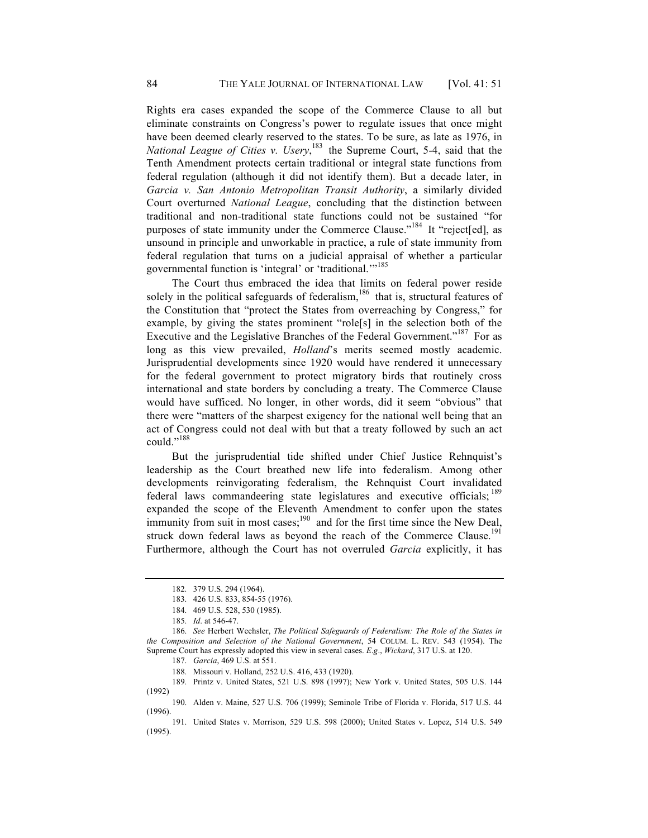Rights era cases expanded the scope of the Commerce Clause to all but eliminate constraints on Congress's power to regulate issues that once might have been deemed clearly reserved to the states. To be sure, as late as 1976, in *National League of Cities v. Usery*, <sup>183</sup> the Supreme Court, 5-4, said that the Tenth Amendment protects certain traditional or integral state functions from federal regulation (although it did not identify them). But a decade later, in *Garcia v. San Antonio Metropolitan Transit Authority*, a similarly divided Court overturned *National League*, concluding that the distinction between traditional and non-traditional state functions could not be sustained "for purposes of state immunity under the Commerce Clause."<sup>184</sup> It "reject[ed], as unsound in principle and unworkable in practice, a rule of state immunity from federal regulation that turns on a judicial appraisal of whether a particular governmental function is 'integral' or 'traditional."<sup>185</sup>

The Court thus embraced the idea that limits on federal power reside solely in the political safeguards of federalism,<sup>186</sup> that is, structural features of the Constitution that "protect the States from overreaching by Congress," for example, by giving the states prominent "role[s] in the selection both of the Executive and the Legislative Branches of the Federal Government."<sup>187</sup> For as long as this view prevailed, *Holland*'s merits seemed mostly academic. Jurisprudential developments since 1920 would have rendered it unnecessary for the federal government to protect migratory birds that routinely cross international and state borders by concluding a treaty. The Commerce Clause would have sufficed. No longer, in other words, did it seem "obvious" that there were "matters of the sharpest exigency for the national well being that an act of Congress could not deal with but that a treaty followed by such an act could."<sup>188</sup>

But the jurisprudential tide shifted under Chief Justice Rehnquist's leadership as the Court breathed new life into federalism. Among other developments reinvigorating federalism, the Rehnquist Court invalidated federal laws commandeering state legislatures and executive officials;  $189$ expanded the scope of the Eleventh Amendment to confer upon the states immunity from suit in most cases; $190$  and for the first time since the New Deal, struck down federal laws as beyond the reach of the Commerce Clause.<sup>191</sup> Furthermore, although the Court has not overruled *Garcia* explicitly, it has

189. Printz v. United States, 521 U.S. 898 (1997); New York v. United States, 505 U.S. 144 (1992)

190. Alden v. Maine, 527 U.S. 706 (1999); Seminole Tribe of Florida v. Florida, 517 U.S. 44 (1996).

<sup>182.</sup> 379 U.S. 294 (1964).

<sup>183.</sup> 426 U.S. 833, 854-55 (1976).

<sup>184.</sup> 469 U.S. 528, 530 (1985).

<sup>185.</sup> *Id*. at 546-47.

<sup>186.</sup> *See* Herbert Wechsler, *The Political Safeguards of Federalism: The Role of the States in the Composition and Selection of the National Government*, 54 COLUM. L. REV. 543 (1954). The Supreme Court has expressly adopted this view in several cases. *E*.*g*., *Wickard*, 317 U.S. at 120.

<sup>187.</sup> *Garcia*, 469 U.S. at 551.

<sup>188.</sup> Missouri v. Holland, 252 U.S. 416, 433 (1920).

<sup>191.</sup> United States v. Morrison, 529 U.S. 598 (2000); United States v. Lopez, 514 U.S. 549 (1995).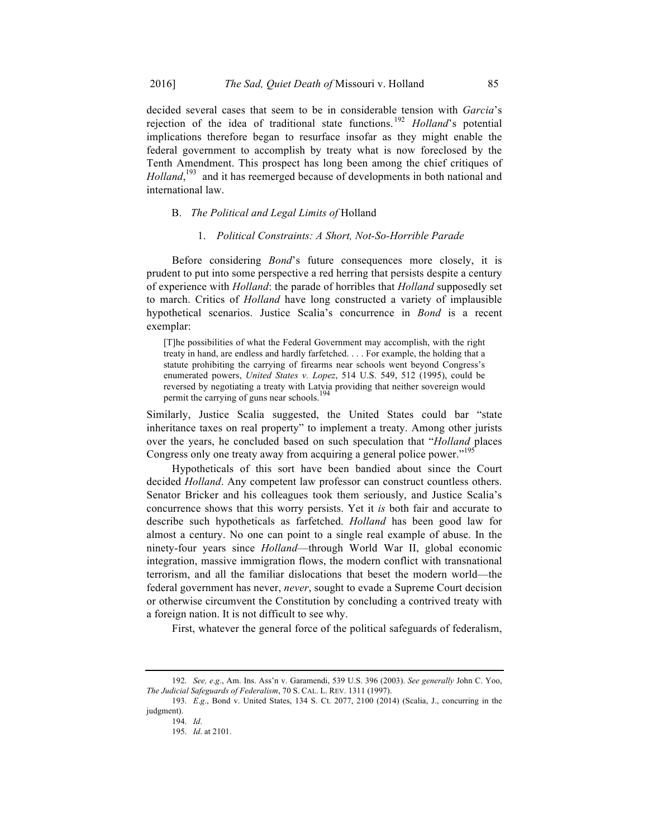decided several cases that seem to be in considerable tension with *Garcia*'s rejection of the idea of traditional state functions. <sup>192</sup> *Holland*'s potential implications therefore began to resurface insofar as they might enable the federal government to accomplish by treaty what is now foreclosed by the Tenth Amendment. This prospect has long been among the chief critiques of Holland,<sup>193</sup> and it has reemerged because of developments in both national and international law.

#### B. *The Political and Legal Limits of* Holland

#### 1. *Political Constraints: A Short, Not-So-Horrible Parade*

Before considering *Bond*'s future consequences more closely, it is prudent to put into some perspective a red herring that persists despite a century of experience with *Holland*: the parade of horribles that *Holland* supposedly set to march. Critics of *Holland* have long constructed a variety of implausible hypothetical scenarios. Justice Scalia's concurrence in *Bond* is a recent exemplar:

[T]he possibilities of what the Federal Government may accomplish, with the right treaty in hand, are endless and hardly farfetched. . . . For example, the holding that a statute prohibiting the carrying of firearms near schools went beyond Congress's enumerated powers, *United States v. Lopez*, 514 U.S. 549, 512 (1995), could be reversed by negotiating a treaty with Latvia providing that neither sovereign would permit the carrying of guns near schools.<sup>194</sup>

Similarly, Justice Scalia suggested, the United States could bar "state inheritance taxes on real property" to implement a treaty. Among other jurists over the years, he concluded based on such speculation that "*Holland* places Congress only one treaty away from acquiring a general police power."<sup>195</sup>

Hypotheticals of this sort have been bandied about since the Court decided *Holland*. Any competent law professor can construct countless others. Senator Bricker and his colleagues took them seriously, and Justice Scalia's concurrence shows that this worry persists. Yet it *is* both fair and accurate to describe such hypotheticals as farfetched. *Holland* has been good law for almost a century. No one can point to a single real example of abuse. In the ninety-four years since *Holland*—through World War II, global economic integration, massive immigration flows, the modern conflict with transnational terrorism, and all the familiar dislocations that beset the modern world—the federal government has never, *never*, sought to evade a Supreme Court decision or otherwise circumvent the Constitution by concluding a contrived treaty with a foreign nation. It is not difficult to see why.

First, whatever the general force of the political safeguards of federalism,

<sup>192.</sup> *See, e*.*g*., Am. Ins. Ass'n v. Garamendi, 539 U.S. 396 (2003). *See generally* John C. Yoo, *The Judicial Safeguards of Federalism*, 70 S. CAL. L. REV. 1311 (1997).

<sup>193.</sup> *E*.*g*., Bond v. United States, 134 S. Ct. 2077, 2100 (2014) (Scalia, J., concurring in the judgment).

<sup>194.</sup> *Id*.

<sup>195.</sup> *Id*. at 2101.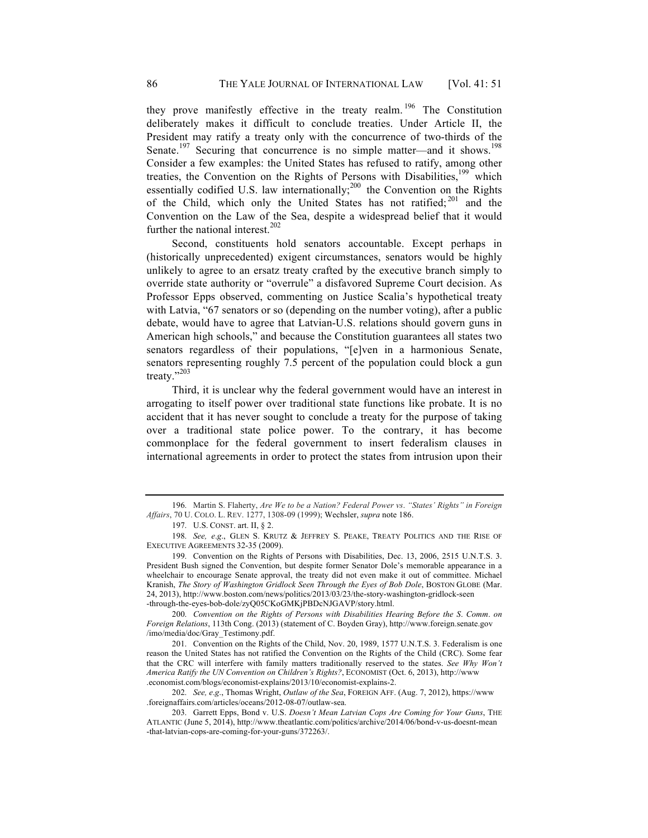they prove manifestly effective in the treaty realm.<sup>196</sup> The Constitution deliberately makes it difficult to conclude treaties. Under Article II, the President may ratify a treaty only with the concurrence of two-thirds of the Senate.<sup>197</sup> Securing that concurrence is no simple matter—and it shows.<sup>198</sup> Consider a few examples: the United States has refused to ratify, among other treaties, the Convention on the Rights of Persons with Disabilities.<sup>199</sup> which essentially codified U.S. law internationally;<sup>200</sup> the Convention on the Rights of the Child, which only the United States has not ratified;  $201$  and the Convention on the Law of the Sea, despite a widespread belief that it would further the national interest.<sup>202</sup>

Second, constituents hold senators accountable. Except perhaps in (historically unprecedented) exigent circumstances, senators would be highly unlikely to agree to an ersatz treaty crafted by the executive branch simply to override state authority or "overrule" a disfavored Supreme Court decision. As Professor Epps observed, commenting on Justice Scalia's hypothetical treaty with Latvia, "67 senators or so (depending on the number voting), after a public debate, would have to agree that Latvian-U.S. relations should govern guns in American high schools," and because the Constitution guarantees all states two senators regardless of their populations, "[e]ven in a harmonious Senate, senators representing roughly 7.5 percent of the population could block a gun treaty."203

Third, it is unclear why the federal government would have an interest in arrogating to itself power over traditional state functions like probate. It is no accident that it has never sought to conclude a treaty for the purpose of taking over a traditional state police power. To the contrary, it has become commonplace for the federal government to insert federalism clauses in international agreements in order to protect the states from intrusion upon their

200. *Convention on the Rights of Persons with Disabilities Hearing Before the S*. *Comm*. *on Foreign Relations*, 113th Cong. (2013) (statement of C. Boyden Gray), http://www.foreign.senate.gov /imo/media/doc/Gray\_Testimony.pdf.

201. Convention on the Rights of the Child, Nov. 20, 1989, 1577 U.N.T.S. 3. Federalism is one reason the United States has not ratified the Convention on the Rights of the Child (CRC). Some fear that the CRC will interfere with family matters traditionally reserved to the states. *See Why Won't America Ratify the UN Convention on Children's Rights?*, ECONOMIST (Oct. 6, 2013), http://www .economist.com/blogs/economist-explains/2013/10/economist-explains-2.

202. *See, e*.*g*., Thomas Wright, *Outlaw of the Sea*, FOREIGN AFF. (Aug. 7, 2012), https://www .foreignaffairs.com/articles/oceans/2012-08-07/outlaw-sea.

<sup>196.</sup> Martin S. Flaherty, *Are We to be a Nation? Federal Power vs*. *"States' Rights" in Foreign Affairs*, 70 U. COLO. L. REV. 1277, 1308-09 (1999); Wechsler, *supra* note 186.

<sup>197.</sup> U.S. CONST. art. II, § 2.

<sup>198.</sup> *See, e*.*g*., GLEN S. KRUTZ & JEFFREY S. PEAKE, TREATY POLITICS AND THE RISE OF EXECUTIVE AGREEMENTS 32-35 (2009).

<sup>199.</sup> Convention on the Rights of Persons with Disabilities, Dec. 13, 2006, 2515 U.N.T.S. 3. President Bush signed the Convention, but despite former Senator Dole's memorable appearance in a wheelchair to encourage Senate approval, the treaty did not even make it out of committee. Michael Kranish, *The Story of Washington Gridlock Seen Through the Eyes of Bob Dole*, BOSTON GLOBE (Mar. 24, 2013), http://www.boston.com/news/politics/2013/03/23/the-story-washington-gridlock-seen -through-the-eyes-bob-dole/zyQ05CKoGMKjPBDcNJGAVP/story.html.

<sup>203.</sup> Garrett Epps, Bond v. U.S. *Doesn't Mean Latvian Cops Are Coming for Your Guns*, THE ATLANTIC (June 5, 2014), http://www.theatlantic.com/politics/archive/2014/06/bond-v-us-doesnt-mean -that-latvian-cops-are-coming-for-your-guns/372263/.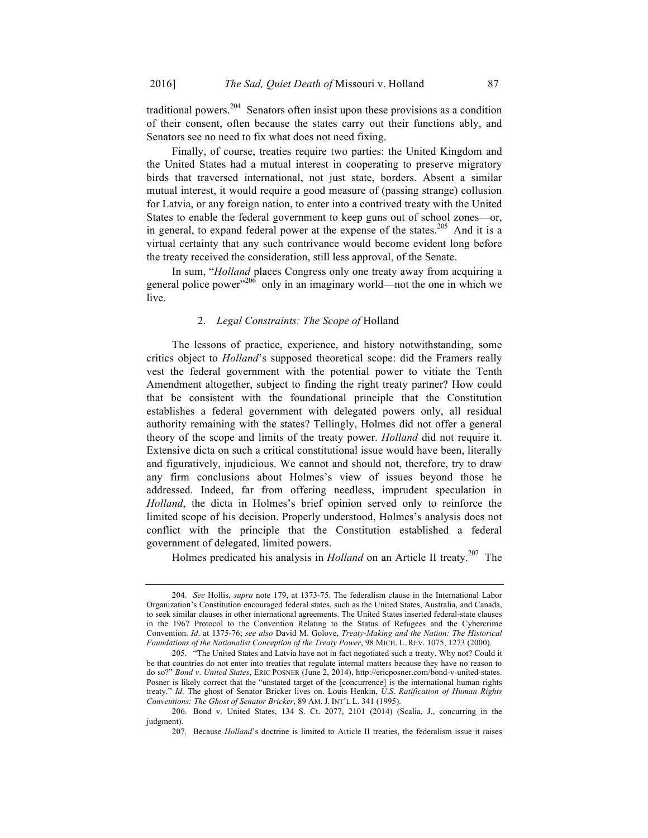traditional powers.<sup>204</sup> Senators often insist upon these provisions as a condition of their consent, often because the states carry out their functions ably, and Senators see no need to fix what does not need fixing.

Finally, of course, treaties require two parties: the United Kingdom and the United States had a mutual interest in cooperating to preserve migratory birds that traversed international, not just state, borders. Absent a similar mutual interest, it would require a good measure of (passing strange) collusion for Latvia, or any foreign nation, to enter into a contrived treaty with the United States to enable the federal government to keep guns out of school zones—or, in general, to expand federal power at the expense of the states.<sup>205</sup> And it is a virtual certainty that any such contrivance would become evident long before the treaty received the consideration, still less approval, of the Senate.

In sum, "*Holland* places Congress only one treaty away from acquiring a general police power"<sup>206</sup> only in an imaginary world—not the one in which we live.

#### 2. *Legal Constraints: The Scope of* Holland

The lessons of practice, experience, and history notwithstanding, some critics object to *Holland*'s supposed theoretical scope: did the Framers really vest the federal government with the potential power to vitiate the Tenth Amendment altogether, subject to finding the right treaty partner? How could that be consistent with the foundational principle that the Constitution establishes a federal government with delegated powers only, all residual authority remaining with the states? Tellingly, Holmes did not offer a general theory of the scope and limits of the treaty power. *Holland* did not require it. Extensive dicta on such a critical constitutional issue would have been, literally and figuratively, injudicious. We cannot and should not, therefore, try to draw any firm conclusions about Holmes's view of issues beyond those he addressed. Indeed, far from offering needless, imprudent speculation in *Holland*, the dicta in Holmes's brief opinion served only to reinforce the limited scope of his decision. Properly understood, Holmes's analysis does not conflict with the principle that the Constitution established a federal government of delegated, limited powers.

Holmes predicated his analysis in *Holland* on an Article II treaty.<sup>207</sup> The

<sup>204.</sup> *See* Hollis, *supra* note 179, at 1373-75. The federalism clause in the International Labor Organization's Constitution encouraged federal states, such as the United States, Australia, and Canada, to seek similar clauses in other international agreements. The United States inserted federal-state clauses in the 1967 Protocol to the Convention Relating to the Status of Refugees and the Cybercrime Convention. *Id*. at 1375-76; *see also* David M. Golove, *Treaty-Making and the Nation: The Historical Foundations of the Nationalist Conception of the Treaty Power*, 98 MICH. L. REV. 1075, 1273 (2000).

<sup>205.</sup> "The United States and Latvia have not in fact negotiated such a treaty. Why not? Could it be that countries do not enter into treaties that regulate internal matters because they have no reason to do so?" *Bond v*. *United States*, ERIC POSNER (June 2, 2014), http://ericposner.com/bond-v-united-states. Posner is likely correct that the "unstated target of the [concurrence] is the international human rights treaty." *Id*. The ghost of Senator Bricker lives on. Louis Henkin, *U*.*S*. *Ratification of Human Rights Conventions: The Ghost of Senator Bricker*, 89 AM. J. INT'L L. 341 (1995).

<sup>206.</sup> Bond v. United States, 134 S. Ct. 2077, 2101 (2014) (Scalia, J., concurring in the judgment).

<sup>207.</sup> Because *Holland*'s doctrine is limited to Article II treaties, the federalism issue it raises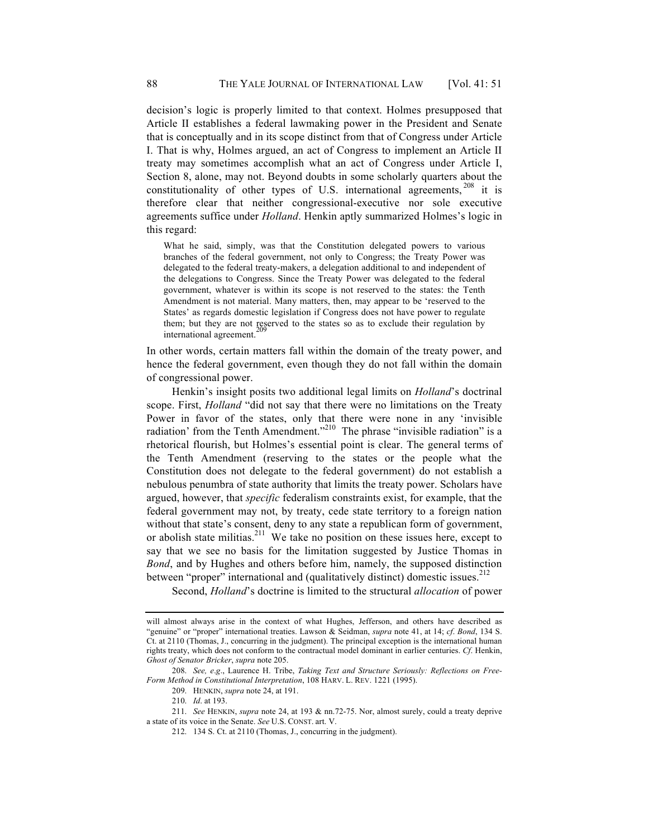decision's logic is properly limited to that context. Holmes presupposed that Article II establishes a federal lawmaking power in the President and Senate that is conceptually and in its scope distinct from that of Congress under Article I. That is why, Holmes argued, an act of Congress to implement an Article II treaty may sometimes accomplish what an act of Congress under Article I, Section 8, alone, may not. Beyond doubts in some scholarly quarters about the constitutionality of other types of U.S. international agreements,  $208$  it is therefore clear that neither congressional-executive nor sole executive agreements suffice under *Holland*. Henkin aptly summarized Holmes's logic in this regard:

What he said, simply, was that the Constitution delegated powers to various branches of the federal government, not only to Congress; the Treaty Power was delegated to the federal treaty-makers, a delegation additional to and independent of the delegations to Congress. Since the Treaty Power was delegated to the federal government, whatever is within its scope is not reserved to the states: the Tenth Amendment is not material. Many matters, then, may appear to be 'reserved to the States' as regards domestic legislation if Congress does not have power to regulate them; but they are not reserved to the states so as to exclude their regulation by international agreement.<sup>209</sup>

In other words, certain matters fall within the domain of the treaty power, and hence the federal government, even though they do not fall within the domain of congressional power.

Henkin's insight posits two additional legal limits on *Holland*'s doctrinal scope. First, *Holland* "did not say that there were no limitations on the Treaty Power in favor of the states, only that there were none in any 'invisible radiation' from the Tenth Amendment."<sup>210</sup> The phrase "invisible radiation" is a rhetorical flourish, but Holmes's essential point is clear. The general terms of the Tenth Amendment (reserving to the states or the people what the Constitution does not delegate to the federal government) do not establish a nebulous penumbra of state authority that limits the treaty power. Scholars have argued, however, that *specific* federalism constraints exist, for example, that the federal government may not, by treaty, cede state territory to a foreign nation without that state's consent, deny to any state a republican form of government, or abolish state militias.<sup>211</sup> We take no position on these issues here, except to say that we see no basis for the limitation suggested by Justice Thomas in *Bond*, and by Hughes and others before him, namely, the supposed distinction between "proper" international and (qualitatively distinct) domestic issues.<sup>212</sup>

Second, *Holland*'s doctrine is limited to the structural *allocation* of power

will almost always arise in the context of what Hughes, Jefferson, and others have described as "genuine" or "proper" international treaties. Lawson & Seidman, *supra* note 41, at 14; *cf*. *Bond*, 134 S. Ct. at 2110 (Thomas, J., concurring in the judgment). The principal exception is the international human rights treaty, which does not conform to the contractual model dominant in earlier centuries. *Cf*. Henkin, *Ghost of Senator Bricker*, *supra* note 205.

<sup>208.</sup> *See, e*.*g*., Laurence H. Tribe, *Taking Text and Structure Seriously: Reflections on Free-Form Method in Constitutional Interpretation*, 108 HARV. L. REV. 1221 (1995).

<sup>209.</sup> HENKIN, *supra* note 24, at 191.

<sup>210.</sup> *Id*. at 193.

<sup>211.</sup> *See* HENKIN, *supra* note 24, at 193 & nn.72-75. Nor, almost surely, could a treaty deprive a state of its voice in the Senate. *See* U.S. CONST. art. V.

<sup>212.</sup> 134 S. Ct. at 2110 (Thomas, J., concurring in the judgment).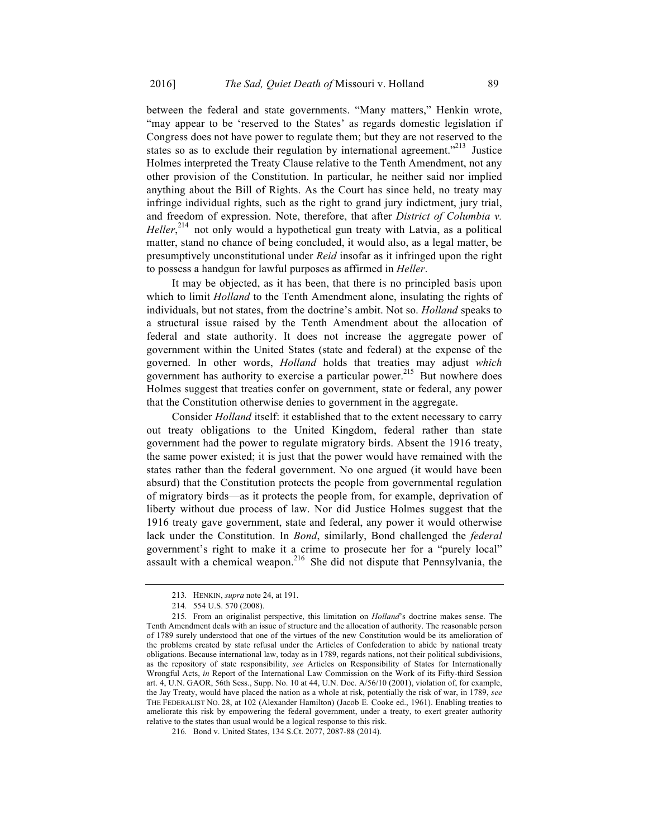between the federal and state governments. "Many matters," Henkin wrote, "may appear to be 'reserved to the States' as regards domestic legislation if Congress does not have power to regulate them; but they are not reserved to the states so as to exclude their regulation by international agreement.<sup> $213$ </sup> Justice Holmes interpreted the Treaty Clause relative to the Tenth Amendment, not any other provision of the Constitution. In particular, he neither said nor implied anything about the Bill of Rights. As the Court has since held, no treaty may infringe individual rights, such as the right to grand jury indictment, jury trial, and freedom of expression. Note, therefore, that after *District of Columbia v.*  Heller,<sup>214</sup> not only would a hypothetical gun treaty with Latvia, as a political matter, stand no chance of being concluded, it would also, as a legal matter, be presumptively unconstitutional under *Reid* insofar as it infringed upon the right to possess a handgun for lawful purposes as affirmed in *Heller*.

It may be objected, as it has been, that there is no principled basis upon which to limit *Holland* to the Tenth Amendment alone, insulating the rights of individuals, but not states, from the doctrine's ambit. Not so. *Holland* speaks to a structural issue raised by the Tenth Amendment about the allocation of federal and state authority. It does not increase the aggregate power of government within the United States (state and federal) at the expense of the governed. In other words, *Holland* holds that treaties may adjust *which* government has authority to exercise a particular power.<sup>215</sup> But nowhere does Holmes suggest that treaties confer on government, state or federal, any power that the Constitution otherwise denies to government in the aggregate.

Consider *Holland* itself: it established that to the extent necessary to carry out treaty obligations to the United Kingdom, federal rather than state government had the power to regulate migratory birds. Absent the 1916 treaty, the same power existed; it is just that the power would have remained with the states rather than the federal government. No one argued (it would have been absurd) that the Constitution protects the people from governmental regulation of migratory birds—as it protects the people from, for example, deprivation of liberty without due process of law. Nor did Justice Holmes suggest that the 1916 treaty gave government, state and federal, any power it would otherwise lack under the Constitution. In *Bond*, similarly, Bond challenged the *federal* government's right to make it a crime to prosecute her for a "purely local" assault with a chemical weapon.<sup>216</sup> She did not dispute that Pennsylvania, the

<sup>213.</sup> HENKIN, *supra* note 24, at 191.

<sup>214.</sup> 554 U.S. 570 (2008).

<sup>215.</sup> From an originalist perspective, this limitation on *Holland*'s doctrine makes sense. The Tenth Amendment deals with an issue of structure and the allocation of authority. The reasonable person of 1789 surely understood that one of the virtues of the new Constitution would be its amelioration of the problems created by state refusal under the Articles of Confederation to abide by national treaty obligations. Because international law, today as in 1789, regards nations, not their political subdivisions, as the repository of state responsibility, *see* Articles on Responsibility of States for Internationally Wrongful Acts, *in* Report of the International Law Commission on the Work of its Fifty-third Session art. 4, U.N. GAOR, 56th Sess., Supp. No. 10 at 44, U.N. Doc. A/56/10 (2001), violation of, for example, the Jay Treaty, would have placed the nation as a whole at risk, potentially the risk of war, in 1789, *see* THE FEDERALIST NO. 28, at 102 (Alexander Hamilton) (Jacob E. Cooke ed., 1961). Enabling treaties to ameliorate this risk by empowering the federal government, under a treaty, to exert greater authority relative to the states than usual would be a logical response to this risk.

<sup>216.</sup> Bond v. United States, 134 S.Ct. 2077, 2087-88 (2014).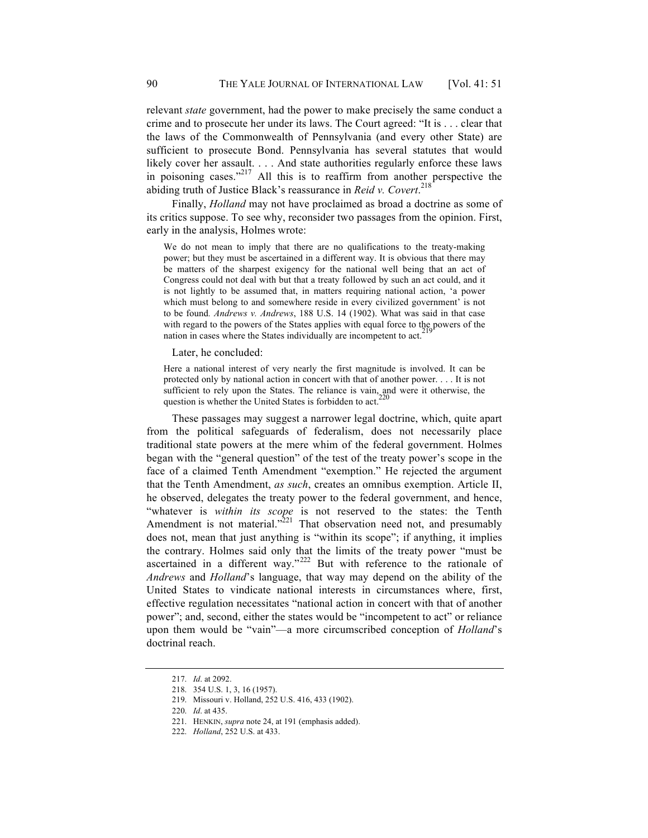relevant *state* government, had the power to make precisely the same conduct a crime and to prosecute her under its laws. The Court agreed: "It is . . . clear that the laws of the Commonwealth of Pennsylvania (and every other State) are sufficient to prosecute Bond. Pennsylvania has several statutes that would likely cover her assault. . . . And state authorities regularly enforce these laws in poisoning cases."<sup>217</sup> All this is to reaffirm from another perspective the abiding truth of Justice Black's reassurance in *Reid v. Covert*. 218

Finally, *Holland* may not have proclaimed as broad a doctrine as some of its critics suppose. To see why, reconsider two passages from the opinion. First, early in the analysis, Holmes wrote:

We do not mean to imply that there are no qualifications to the treaty-making power; but they must be ascertained in a different way. It is obvious that there may be matters of the sharpest exigency for the national well being that an act of Congress could not deal with but that a treaty followed by such an act could, and it is not lightly to be assumed that, in matters requiring national action, 'a power which must belong to and somewhere reside in every civilized government' is not to be found*. Andrews v. Andrews*, 188 U.S. 14 (1902). What was said in that case with regard to the powers of the States applies with equal force to the powers of the nation in cases where the States individually are incompetent to act.<sup>2</sup>

Later, he concluded:

Here a national interest of very nearly the first magnitude is involved. It can be protected only by national action in concert with that of another power. . . . It is not sufficient to rely upon the States. The reliance is vain, and were it otherwise, the question is whether the United States is forbidden to act.

These passages may suggest a narrower legal doctrine, which, quite apart from the political safeguards of federalism, does not necessarily place traditional state powers at the mere whim of the federal government. Holmes began with the "general question" of the test of the treaty power's scope in the face of a claimed Tenth Amendment "exemption." He rejected the argument that the Tenth Amendment, *as such*, creates an omnibus exemption. Article II, he observed, delegates the treaty power to the federal government, and hence, "whatever is *within its scope* is not reserved to the states: the Tenth Amendment is not material. $n^{221}$  That observation need not, and presumably does not, mean that just anything is "within its scope"; if anything, it implies the contrary. Holmes said only that the limits of the treaty power "must be ascertained in a different way." $222$  But with reference to the rationale of *Andrews* and *Holland*'s language, that way may depend on the ability of the United States to vindicate national interests in circumstances where, first, effective regulation necessitates "national action in concert with that of another power"; and, second, either the states would be "incompetent to act" or reliance upon them would be "vain"—a more circumscribed conception of *Holland*'s doctrinal reach.

<sup>217.</sup> *Id*. at 2092.

<sup>218.</sup> 354 U.S. 1, 3, 16 (1957).

<sup>219.</sup> Missouri v. Holland, 252 U.S. 416, 433 (1902).

<sup>220.</sup> *Id*. at 435.

<sup>221.</sup> HENKIN, *supra* note 24, at 191 (emphasis added).

<sup>222.</sup> *Holland*, 252 U.S. at 433.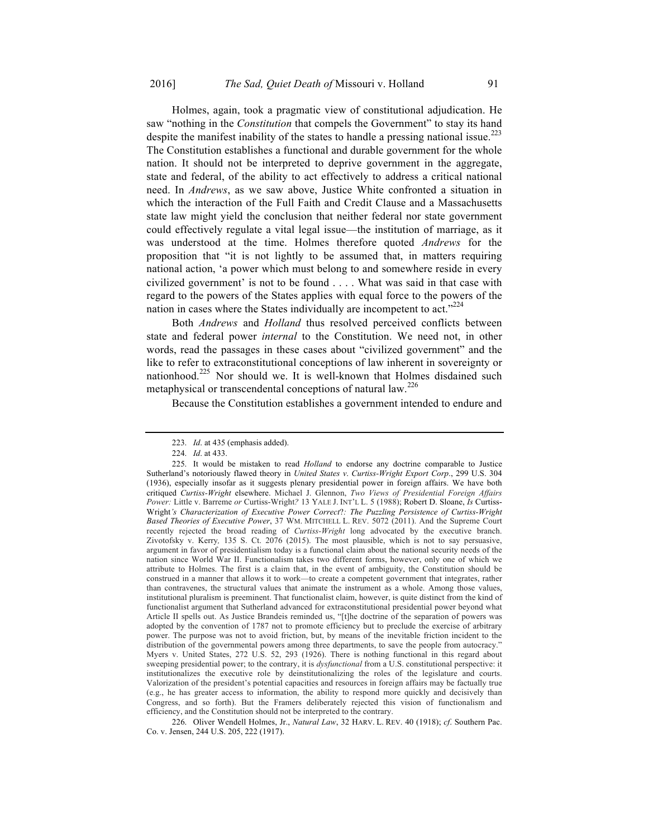Holmes, again, took a pragmatic view of constitutional adjudication. He saw "nothing in the *Constitution* that compels the Government" to stay its hand despite the manifest inability of the states to handle a pressing national issue.<sup>223</sup> The Constitution establishes a functional and durable government for the whole nation. It should not be interpreted to deprive government in the aggregate, state and federal, of the ability to act effectively to address a critical national need. In *Andrews*, as we saw above, Justice White confronted a situation in which the interaction of the Full Faith and Credit Clause and a Massachusetts state law might yield the conclusion that neither federal nor state government could effectively regulate a vital legal issue—the institution of marriage, as it was understood at the time. Holmes therefore quoted *Andrews* for the proposition that "it is not lightly to be assumed that, in matters requiring national action, 'a power which must belong to and somewhere reside in every civilized government' is not to be found . . . . What was said in that case with regard to the powers of the States applies with equal force to the powers of the nation in cases where the States individually are incompetent to act."<sup>224</sup>

Both *Andrews* and *Holland* thus resolved perceived conflicts between state and federal power *internal* to the Constitution. We need not, in other words, read the passages in these cases about "civilized government" and the like to refer to extraconstitutional conceptions of law inherent in sovereignty or nationhood.<sup>225</sup> Nor should we. It is well-known that Holmes disdained such metaphysical or transcendental conceptions of natural law.<sup>226</sup>

Because the Constitution establishes a government intended to endure and

226. Oliver Wendell Holmes, Jr., *Natural Law*, 32 HARV. L. REV. 40 (1918); *cf*. Southern Pac. Co. v. Jensen, 244 U.S. 205, 222 (1917).

<sup>223.</sup> *Id*. at 435 (emphasis added).

<sup>224.</sup> *Id*. at 433.

<sup>225.</sup> It would be mistaken to read *Holland* to endorse any doctrine comparable to Justice Sutherland's notoriously flawed theory in *United States v*. *Curtiss-Wright Export Corp*., 299 U.S. 304 (1936), especially insofar as it suggests plenary presidential power in foreign affairs. We have both critiqued *Curtiss-Wright* elsewhere. Michael J. Glennon, *Two Views of Presidential Foreign Affairs Power:* Little v. Barreme *or* Curtiss-Wright*?* 13 YALE J. INT'L L. 5 (1988); Robert D. Sloane, *Is* Curtiss-Wright*'s Characterization of Executive Power Correct*?*: The Puzzling Persistence of Curtiss-Wright Based Theories of Executive Power*, 37 WM. MITCHELL L. REV. 5072 (2011). And the Supreme Court recently rejected the broad reading of *Curtiss-Wright* long advocated by the executive branch. Zivotofsky v. Kerry*,* 135 S. Ct. 2076 (2015). The most plausible, which is not to say persuasive, argument in favor of presidentialism today is a functional claim about the national security needs of the nation since World War II. Functionalism takes two different forms, however, only one of which we attribute to Holmes. The first is a claim that, in the event of ambiguity, the Constitution should be construed in a manner that allows it to work—to create a competent government that integrates, rather than contravenes, the structural values that animate the instrument as a whole. Among those values, institutional pluralism is preeminent. That functionalist claim, however, is quite distinct from the kind of functionalist argument that Sutherland advanced for extraconstitutional presidential power beyond what Article II spells out. As Justice Brandeis reminded us, "[t]he doctrine of the separation of powers was adopted by the convention of 1787 not to promote efficiency but to preclude the exercise of arbitrary power. The purpose was not to avoid friction, but, by means of the inevitable friction incident to the distribution of the governmental powers among three departments, to save the people from autocracy." Myers v. United States, 272 U.S. 52, 293 (1926). There is nothing functional in this regard about sweeping presidential power; to the contrary, it is *dysfunctional* from a U.S. constitutional perspective: it institutionalizes the executive role by deinstitutionalizing the roles of the legislature and courts. Valorization of the president's potential capacities and resources in foreign affairs may be factually true (e.g., he has greater access to information, the ability to respond more quickly and decisively than Congress, and so forth). But the Framers deliberately rejected this vision of functionalism and efficiency, and the Constitution should not be interpreted to the contrary.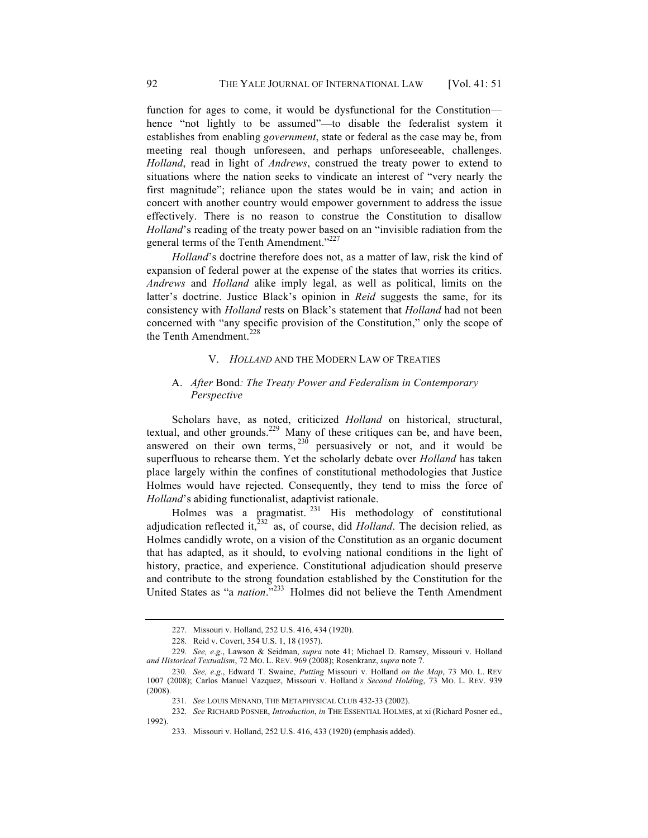function for ages to come, it would be dysfunctional for the Constitution hence "not lightly to be assumed"—to disable the federalist system it establishes from enabling *government*, state or federal as the case may be, from meeting real though unforeseen, and perhaps unforeseeable, challenges. *Holland*, read in light of *Andrews*, construed the treaty power to extend to situations where the nation seeks to vindicate an interest of "very nearly the first magnitude"; reliance upon the states would be in vain; and action in concert with another country would empower government to address the issue effectively. There is no reason to construe the Constitution to disallow *Holland*'s reading of the treaty power based on an "invisible radiation from the general terms of the Tenth Amendment."<sup>227</sup>

*Holland*'s doctrine therefore does not, as a matter of law, risk the kind of expansion of federal power at the expense of the states that worries its critics. *Andrews* and *Holland* alike imply legal, as well as political, limits on the latter's doctrine. Justice Black's opinion in *Reid* suggests the same, for its consistency with *Holland* rests on Black's statement that *Holland* had not been concerned with "any specific provision of the Constitution," only the scope of the Tenth Amendment. $^{228}$ 

#### V. *HOLLAND* AND THE MODERN LAW OF TREATIES

#### A. *After* Bond*: The Treaty Power and Federalism in Contemporary Perspective*

Scholars have, as noted, criticized *Holland* on historical, structural, textual, and other grounds.<sup>229</sup> Many of these critiques can be, and have been, answered on their own terms,  $^{230}$  persuasively or not, and it would be superfluous to rehearse them. Yet the scholarly debate over *Holland* has taken place largely within the confines of constitutional methodologies that Justice Holmes would have rejected. Consequently, they tend to miss the force of *Holland*'s abiding functionalist, adaptivist rationale.

Holmes was a pragmatist.<sup>231</sup> His methodology of constitutional adjudication reflected it, $\frac{232}{3}$  as, of course, did *Holland*. The decision relied, as Holmes candidly wrote, on a vision of the Constitution as an organic document that has adapted, as it should, to evolving national conditions in the light of history, practice, and experience. Constitutional adjudication should preserve and contribute to the strong foundation established by the Constitution for the United States as "a *nation*."<sup>233</sup> Holmes did not believe the Tenth Amendment

<sup>227.</sup> Missouri v. Holland, 252 U.S. 416, 434 (1920).

<sup>228.</sup> Reid v. Covert, 354 U.S. 1, 18 (1957).

<sup>229.</sup> *See, e*.*g*., Lawson & Seidman, *supra* note 41; Michael D. Ramsey, Missouri v. Holland *and Historical Textualism*, 72 MO. L. REV. 969 (2008); Rosenkranz, *supra* note 7.

<sup>230.</sup> *See, e*.*g*., Edward T. Swaine, *Putting* Missouri v. Holland *on the Map*, 73 MO. L. REV 1007 (2008); Carlos Manuel Vazquez, Missouri v. Holland*'s Second Holding*, 73 MO. L. REV. 939 (2008).

<sup>231.</sup> *See* LOUIS MENAND, THE METAPHYSICAL CLUB 432-33 (2002).

<sup>232.</sup> *See* RICHARD POSNER, *Introduction*, *in* THE ESSENTIAL HOLMES, at xi (Richard Posner ed., 1992).

<sup>233.</sup> Missouri v. Holland, 252 U.S. 416, 433 (1920) (emphasis added).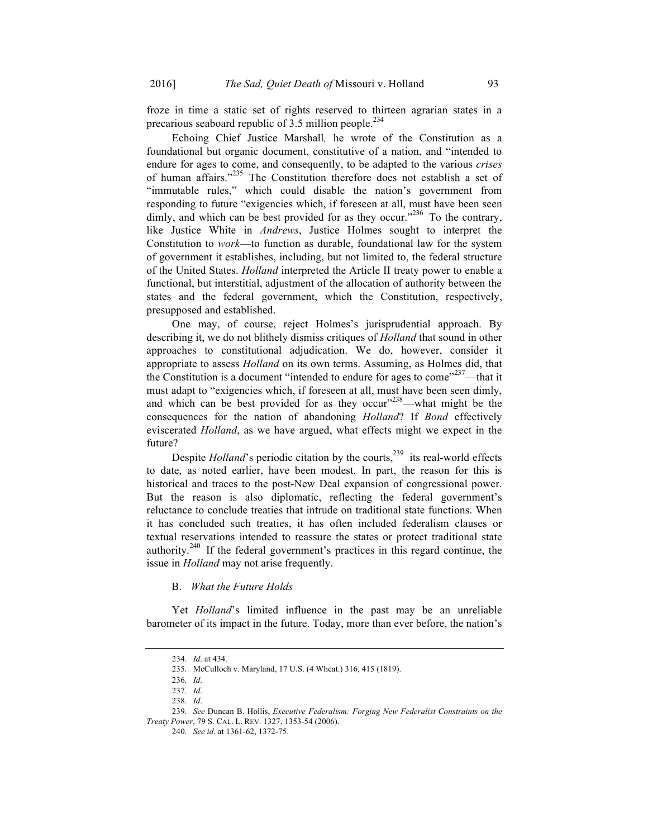froze in time a static set of rights reserved to thirteen agrarian states in a precarious seaboard republic of 3.5 million people.<sup>234</sup>

Echoing Chief Justice Marshall*,* he wrote of the Constitution as a foundational but organic document, constitutive of a nation, and "intended to endure for ages to come, and consequently, to be adapted to the various *crises* of human affairs."<sup>235</sup> The Constitution therefore does not establish a set of "immutable rules," which could disable the nation's government from responding to future "exigencies which, if foreseen at all, must have been seen dimly, and which can be best provided for as they occur."<sup>236</sup> To the contrary, like Justice White in *Andrews*, Justice Holmes sought to interpret the Constitution to *work*—to function as durable, foundational law for the system of government it establishes, including, but not limited to, the federal structure of the United States. *Holland* interpreted the Article II treaty power to enable a functional, but interstitial, adjustment of the allocation of authority between the states and the federal government, which the Constitution, respectively, presupposed and established.

One may, of course, reject Holmes's jurisprudential approach. By describing it, we do not blithely dismiss critiques of *Holland* that sound in other approaches to constitutional adjudication. We do, however, consider it appropriate to assess *Holland* on its own terms. Assuming, as Holmes did, that the Constitution is a document "intended to endure for ages to come"<sup>237</sup>—that it must adapt to "exigencies which, if foreseen at all, must have been seen dimly, and which can be best provided for as they occur"<sup>238</sup>—what might be the consequences for the nation of abandoning *Holland*? If *Bond* effectively eviscerated *Holland*, as we have argued, what effects might we expect in the future?

Despite *Holland*'s periodic citation by the courts,<sup>239</sup> its real-world effects to date, as noted earlier, have been modest. In part, the reason for this is historical and traces to the post-New Deal expansion of congressional power. But the reason is also diplomatic, reflecting the federal government's reluctance to conclude treaties that intrude on traditional state functions. When it has concluded such treaties, it has often included federalism clauses or textual reservations intended to reassure the states or protect traditional state authority.<sup>240</sup> If the federal government's practices in this regard continue, the issue in *Holland* may not arise frequently.

#### B. *What the Future Holds*

Yet *Holland*'s limited influence in the past may be an unreliable barometer of its impact in the future. Today, more than ever before, the nation's

<sup>234.</sup> *Id*. at 434.

<sup>235.</sup> McCulloch v. Maryland, 17 U.S. (4 Wheat.) 316, 415 (1819).

<sup>236.</sup> *Id*.

<sup>237.</sup> *Id*.

<sup>238.</sup> *Id*.

<sup>239.</sup> *See* Duncan B. Hollis, *Executive Federalism: Forging New Federalist Constraints on the Treaty Power*, 79 S. CAL. L. REV. 1327, 1353-54 (2006).

<sup>240.</sup> *See id*. at 1361-62, 1372-75.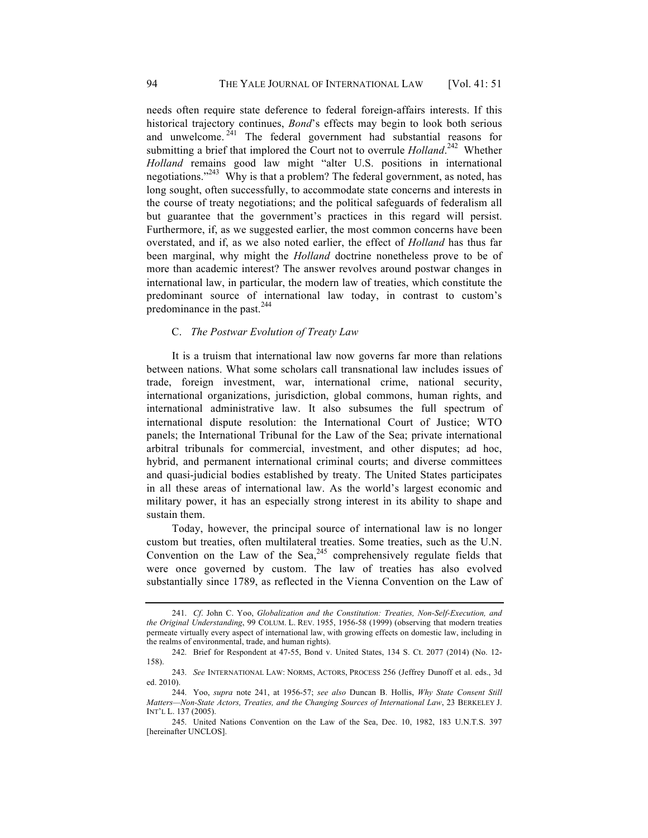needs often require state deference to federal foreign-affairs interests. If this historical trajectory continues, *Bond*'s effects may begin to look both serious and unwelcome.<sup>241</sup> The federal government had substantial reasons for submitting a brief that implored the Court not to overrule *Holland*.<sup>242</sup> Whether *Holland* remains good law might "alter U.S. positions in international negotiations."<sup>243</sup> Why is that a problem? The federal government, as noted, has long sought, often successfully, to accommodate state concerns and interests in the course of treaty negotiations; and the political safeguards of federalism all but guarantee that the government's practices in this regard will persist. Furthermore, if, as we suggested earlier, the most common concerns have been overstated, and if, as we also noted earlier, the effect of *Holland* has thus far been marginal, why might the *Holland* doctrine nonetheless prove to be of more than academic interest? The answer revolves around postwar changes in international law, in particular, the modern law of treaties, which constitute the predominant source of international law today, in contrast to custom's predominance in the past.<sup>244</sup>

#### C. *The Postwar Evolution of Treaty Law*

It is a truism that international law now governs far more than relations between nations. What some scholars call transnational law includes issues of trade, foreign investment, war, international crime, national security, international organizations, jurisdiction, global commons, human rights, and international administrative law. It also subsumes the full spectrum of international dispute resolution: the International Court of Justice; WTO panels; the International Tribunal for the Law of the Sea; private international arbitral tribunals for commercial, investment, and other disputes; ad hoc, hybrid, and permanent international criminal courts; and diverse committees and quasi-judicial bodies established by treaty. The United States participates in all these areas of international law. As the world's largest economic and military power, it has an especially strong interest in its ability to shape and sustain them.

Today, however, the principal source of international law is no longer custom but treaties, often multilateral treaties. Some treaties, such as the U.N. Convention on the Law of the Sea,  $245$  comprehensively regulate fields that were once governed by custom. The law of treaties has also evolved substantially since 1789, as reflected in the Vienna Convention on the Law of

<sup>241.</sup> *Cf*. John C. Yoo, *Globalization and the Constitution: Treaties, Non-Self-Execution, and the Original Understanding*, 99 COLUM. L. REV. 1955, 1956-58 (1999) (observing that modern treaties permeate virtually every aspect of international law, with growing effects on domestic law, including in the realms of environmental, trade, and human rights).

<sup>242.</sup> Brief for Respondent at 47-55, Bond v. United States, 134 S. Ct. 2077 (2014) (No. 12- 158).

<sup>243.</sup> *See* INTERNATIONAL LAW: NORMS, ACTORS, PROCESS 256 (Jeffrey Dunoff et al. eds., 3d ed. 2010).

<sup>244.</sup> Yoo, *supra* note 241, at 1956-57; *see also* Duncan B. Hollis, *Why State Consent Still Matters—Non-State Actors, Treaties, and the Changing Sources of International Law*, 23 BERKELEY J. INT'L L. 137 (2005).

<sup>245.</sup> United Nations Convention on the Law of the Sea, Dec. 10, 1982, 183 U.N.T.S. 397 [hereinafter UNCLOS].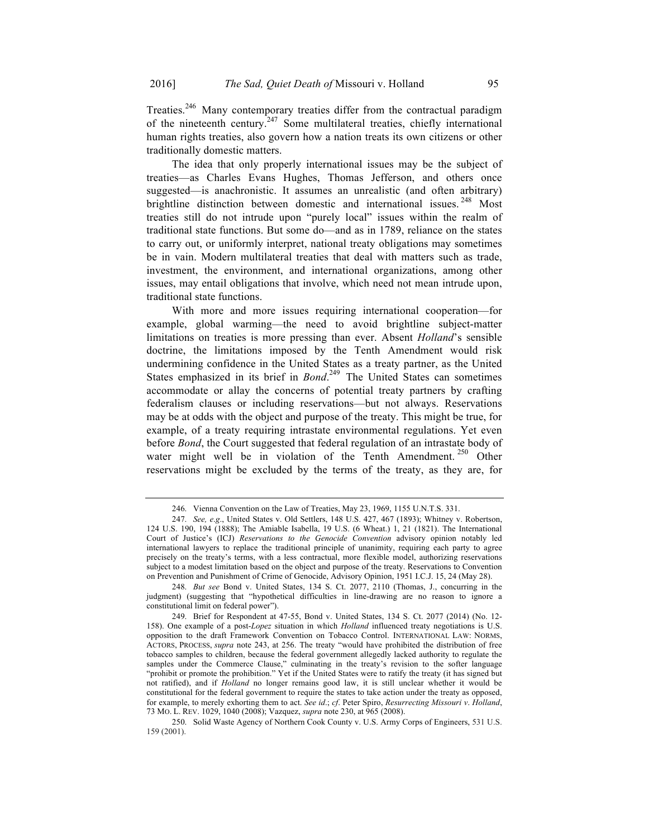Treaties.<sup>246</sup> Many contemporary treaties differ from the contractual paradigm of the nineteenth century.<sup>247</sup> Some multilateral treaties, chiefly international human rights treaties, also govern how a nation treats its own citizens or other traditionally domestic matters.

The idea that only properly international issues may be the subject of treaties—as Charles Evans Hughes, Thomas Jefferson, and others once suggested—is anachronistic. It assumes an unrealistic (and often arbitrary) brightline distinction between domestic and international issues.<sup>248</sup> Most treaties still do not intrude upon "purely local" issues within the realm of traditional state functions. But some do—and as in 1789, reliance on the states to carry out, or uniformly interpret, national treaty obligations may sometimes be in vain. Modern multilateral treaties that deal with matters such as trade, investment, the environment, and international organizations, among other issues, may entail obligations that involve, which need not mean intrude upon, traditional state functions.

With more and more issues requiring international cooperation—for example, global warming—the need to avoid brightline subject-matter limitations on treaties is more pressing than ever. Absent *Holland*'s sensible doctrine, the limitations imposed by the Tenth Amendment would risk undermining confidence in the United States as a treaty partner, as the United States emphasized in its brief in *Bond*.<sup>249</sup> The United States can sometimes accommodate or allay the concerns of potential treaty partners by crafting federalism clauses or including reservations—but not always. Reservations may be at odds with the object and purpose of the treaty. This might be true, for example, of a treaty requiring intrastate environmental regulations. Yet even before *Bond*, the Court suggested that federal regulation of an intrastate body of water might well be in violation of the Tenth Amendment.  $250$  Other reservations might be excluded by the terms of the treaty, as they are, for

<sup>246.</sup> Vienna Convention on the Law of Treaties, May 23, 1969, 1155 U.N.T.S. 331.

<sup>247.</sup> *See, e*.*g*., United States v. Old Settlers, 148 U.S. 427, 467 (1893); Whitney v. Robertson, 124 U.S. 190, 194 (1888); The Amiable Isabella, 19 U.S. (6 Wheat.) 1, 21 (1821). The International Court of Justice's (ICJ) *Reservations to the Genocide Convention* advisory opinion notably led international lawyers to replace the traditional principle of unanimity, requiring each party to agree precisely on the treaty's terms, with a less contractual, more flexible model, authorizing reservations subject to a modest limitation based on the object and purpose of the treaty. Reservations to Convention on Prevention and Punishment of Crime of Genocide, Advisory Opinion, 1951 I.C.J. 15, 24 (May 28).

<sup>248.</sup> *But see* Bond v. United States, 134 S. Ct. 2077, 2110 (Thomas, J., concurring in the judgment) (suggesting that "hypothetical difficulties in line-drawing are no reason to ignore a constitutional limit on federal power").

<sup>249.</sup> Brief for Respondent at 47-55, Bond v. United States, 134 S. Ct. 2077 (2014) (No. 12- 158). One example of a post-*Lopez* situation in which *Holland* influenced treaty negotiations is U.S. opposition to the draft Framework Convention on Tobacco Control. INTERNATIONAL LAW: NORMS, ACTORS, PROCESS, *supra* note 243, at 256. The treaty "would have prohibited the distribution of free tobacco samples to children, because the federal government allegedly lacked authority to regulate the samples under the Commerce Clause," culminating in the treaty's revision to the softer language "prohibit or promote the prohibition." Yet if the United States were to ratify the treaty (it has signed but not ratified), and if *Holland* no longer remains good law, it is still unclear whether it would be constitutional for the federal government to require the states to take action under the treaty as opposed, for example, to merely exhorting them to act. *See id*.; *cf*. Peter Spiro, *Resurrecting Missouri v*. *Holland*, 73 MO. L. REV. 1029, 1040 (2008); Vazquez, *supra* note 230, at 965 (2008).

<sup>250.</sup> Solid Waste Agency of Northern Cook County v. U.S. Army Corps of Engineers, 531 U.S. 159 (2001).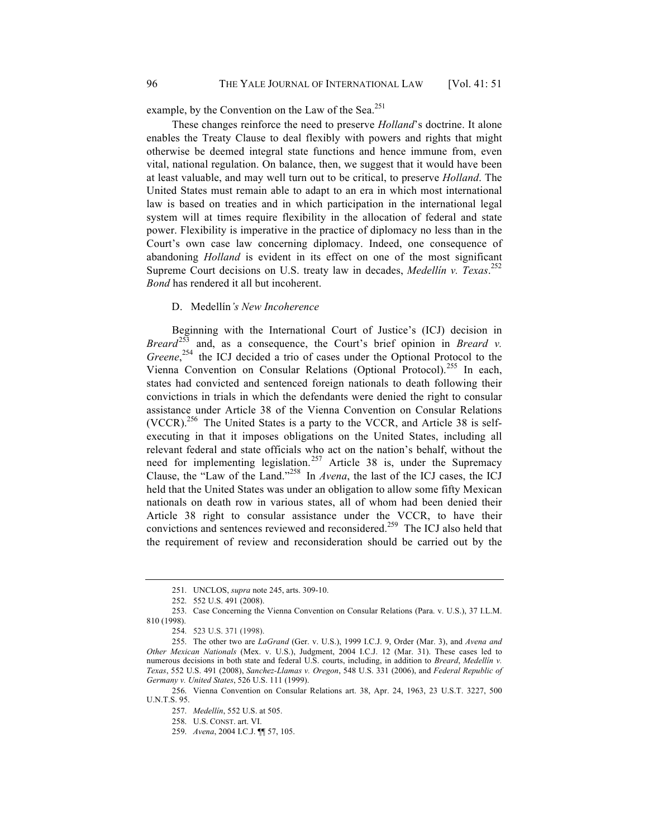example, by the Convention on the Law of the Sea.<sup>251</sup>

These changes reinforce the need to preserve *Holland*'s doctrine. It alone enables the Treaty Clause to deal flexibly with powers and rights that might otherwise be deemed integral state functions and hence immune from, even vital, national regulation. On balance, then, we suggest that it would have been at least valuable, and may well turn out to be critical, to preserve *Holland*. The United States must remain able to adapt to an era in which most international law is based on treaties and in which participation in the international legal system will at times require flexibility in the allocation of federal and state power. Flexibility is imperative in the practice of diplomacy no less than in the Court's own case law concerning diplomacy. Indeed, one consequence of abandoning *Holland* is evident in its effect on one of the most significant Supreme Court decisions on U.S. treaty law in decades, *Medellín v. Texas*. 252 *Bond* has rendered it all but incoherent.

#### D. Medellín*'s New Incoherence*

Beginning with the International Court of Justice's (ICJ) decision in *Breard*<sup>253</sup> and, as a consequence, the Court's brief opinion in *Breard v.*  Greene,<sup>254</sup> the ICJ decided a trio of cases under the Optional Protocol to the Vienna Convention on Consular Relations (Optional Protocol).<sup>255</sup> In each, states had convicted and sentenced foreign nationals to death following their convictions in trials in which the defendants were denied the right to consular assistance under Article 38 of the Vienna Convention on Consular Relations  $(VCCR).<sup>256</sup>$  The United States is a party to the VCCR, and Article 38 is selfexecuting in that it imposes obligations on the United States, including all relevant federal and state officials who act on the nation's behalf, without the need for implementing legislation.<sup>257</sup> Article 38 is, under the Supremacy Clause, the "Law of the Land."<sup>258</sup> In *Avena*, the last of the ICJ cases, the ICJ held that the United States was under an obligation to allow some fifty Mexican nationals on death row in various states, all of whom had been denied their Article 38 right to consular assistance under the VCCR, to have their convictions and sentences reviewed and reconsidered.<sup>259</sup> The ICJ also held that the requirement of review and reconsideration should be carried out by the

<sup>251.</sup> UNCLOS, *supra* note 245, arts. 309-10.

<sup>252.</sup> 552 U.S. 491 (2008).

<sup>253.</sup> Case Concerning the Vienna Convention on Consular Relations (Para. v. U.S.), 37 I.L.M. 810 (1998).

<sup>254.</sup> 523 U.S. 371 (1998).

<sup>255.</sup> The other two are *LaGrand* (Ger. v. U.S.), 1999 I.C.J. 9, Order (Mar. 3), and *Avena and Other Mexican Nationals* (Mex. v. U.S.), Judgment, 2004 I.C.J. 12 (Mar. 31). These cases led to numerous decisions in both state and federal U.S. courts, including, in addition to *Breard*, *Medellín v. Texas*, 552 U.S. 491 (2008), *Sanchez-Llamas v. Oregon*, 548 U.S. 331 (2006), and *Federal Republic of Germany v. United States*, 526 U.S. 111 (1999).

<sup>256.</sup> Vienna Convention on Consular Relations art. 38, Apr. 24, 1963, 23 U.S.T. 3227, 500 U.N.T.S. 95.

<sup>257.</sup> *Medellín*, 552 U.S. at 505.

<sup>258.</sup> U.S. CONST. art. VI.

<sup>259.</sup> *Avena*, 2004 I.C.J. ¶¶ 57, 105.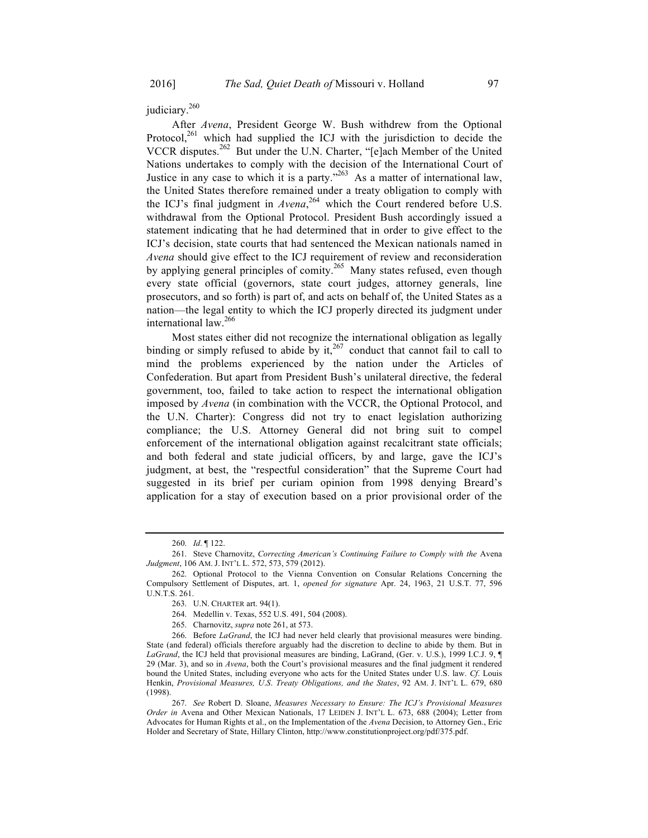judiciary.<sup>260</sup>

After *Avena*, President George W. Bush withdrew from the Optional Protocol, $^{261}$  which had supplied the ICJ with the jurisdiction to decide the VCCR disputes.<sup>262</sup> But under the U.N. Charter, "[e]ach Member of the United Nations undertakes to comply with the decision of the International Court of Justice in any case to which it is a party.<sup> $263$ </sup> As a matter of international law, the United States therefore remained under a treaty obligation to comply with the ICJ's final judgment in *Avena*, <sup>264</sup> which the Court rendered before U.S. withdrawal from the Optional Protocol. President Bush accordingly issued a statement indicating that he had determined that in order to give effect to the ICJ's decision, state courts that had sentenced the Mexican nationals named in *Avena* should give effect to the ICJ requirement of review and reconsideration by applying general principles of comity.<sup>265</sup> Many states refused, even though every state official (governors, state court judges, attorney generals, line prosecutors, and so forth) is part of, and acts on behalf of, the United States as a nation—the legal entity to which the ICJ properly directed its judgment under international law.<sup>266</sup>

Most states either did not recognize the international obligation as legally binding or simply refused to abide by it, $^{267}$  conduct that cannot fail to call to mind the problems experienced by the nation under the Articles of Confederation. But apart from President Bush's unilateral directive, the federal government, too, failed to take action to respect the international obligation imposed by *Avena* (in combination with the VCCR, the Optional Protocol, and the U.N. Charter): Congress did not try to enact legislation authorizing compliance; the U.S. Attorney General did not bring suit to compel enforcement of the international obligation against recalcitrant state officials; and both federal and state judicial officers, by and large, gave the ICJ's judgment, at best, the "respectful consideration" that the Supreme Court had suggested in its brief per curiam opinion from 1998 denying Breard's application for a stay of execution based on a prior provisional order of the

<sup>260.</sup> *Id*. ¶ 122.

<sup>261.</sup> Steve Charnovitz, *Correcting American's Continuing Failure to Comply with the* Avena *Judgment*, 106 AM. J. INT'L L. 572, 573, 579 (2012).

<sup>262.</sup> Optional Protocol to the Vienna Convention on Consular Relations Concerning the Compulsory Settlement of Disputes, art. 1, *opened for signature* Apr. 24, 1963, 21 U.S.T. 77, 596 U.N.T.S. 261.

<sup>263.</sup> U.N. CHARTER art. 94(1).

<sup>264.</sup> Medellín v. Texas, 552 U.S. 491, 504 (2008).

<sup>265.</sup> Charnovitz, *supra* note 261, at 573.

<sup>266.</sup> Before *LaGrand*, the ICJ had never held clearly that provisional measures were binding. State (and federal) officials therefore arguably had the discretion to decline to abide by them. But in *LaGrand*, the ICJ held that provisional measures are binding, LaGrand, (Ger. v. U.S.), 1999 I.C.J. 9, ¶ 29 (Mar. 3), and so in *Avena*, both the Court's provisional measures and the final judgment it rendered bound the United States, including everyone who acts for the United States under U.S. law. *Cf*. Louis Henkin, *Provisional Measures, U*.*S*. *Treaty Obligations, and the States*, 92 AM. J. INT'L L. 679, 680 (1998).

<sup>267.</sup> *See* Robert D. Sloane, *Measures Necessary to Ensure: The ICJ's Provisional Measures Order in* Avena and Other Mexican Nationals, 17 LEIDEN J. INT'L L. 673, 688 (2004); Letter from Advocates for Human Rights et al., on the Implementation of the *Avena* Decision, to Attorney Gen., Eric Holder and Secretary of State, Hillary Clinton, http://www.constitutionproject.org/pdf/375.pdf.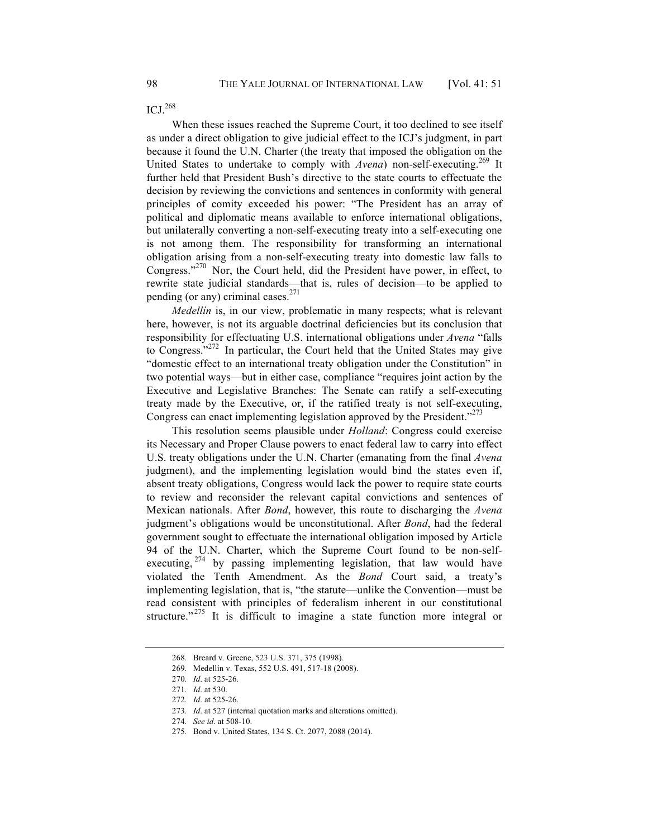ICJ.<sup>268</sup>

When these issues reached the Supreme Court, it too declined to see itself as under a direct obligation to give judicial effect to the ICJ's judgment, in part because it found the U.N. Charter (the treaty that imposed the obligation on the United States to undertake to comply with *Avena*) non-self-executing.<sup>269</sup> It further held that President Bush's directive to the state courts to effectuate the decision by reviewing the convictions and sentences in conformity with general principles of comity exceeded his power: "The President has an array of political and diplomatic means available to enforce international obligations, but unilaterally converting a non-self-executing treaty into a self-executing one is not among them. The responsibility for transforming an international obligation arising from a non-self-executing treaty into domestic law falls to Congress."<sup>270</sup> Nor, the Court held, did the President have power, in effect, to rewrite state judicial standards—that is, rules of decision—to be applied to pending (or any) criminal cases. $271$ 

*Medellín* is, in our view, problematic in many respects; what is relevant here, however, is not its arguable doctrinal deficiencies but its conclusion that responsibility for effectuating U.S. international obligations under *Avena* "falls to Congress."<sup>272</sup> In particular, the Court held that the United States may give "domestic effect to an international treaty obligation under the Constitution" in two potential ways—but in either case, compliance "requires joint action by the Executive and Legislative Branches: The Senate can ratify a self-executing treaty made by the Executive, or, if the ratified treaty is not self-executing, Congress can enact implementing legislation approved by the President."<sup>273</sup>

This resolution seems plausible under *Holland*: Congress could exercise its Necessary and Proper Clause powers to enact federal law to carry into effect U.S. treaty obligations under the U.N. Charter (emanating from the final *Avena*  judgment), and the implementing legislation would bind the states even if, absent treaty obligations, Congress would lack the power to require state courts to review and reconsider the relevant capital convictions and sentences of Mexican nationals. After *Bond*, however, this route to discharging the *Avena*  judgment's obligations would be unconstitutional. After *Bond*, had the federal government sought to effectuate the international obligation imposed by Article 94 of the U.N. Charter, which the Supreme Court found to be non-selfexecuting,  $274$  by passing implementing legislation, that law would have violated the Tenth Amendment. As the *Bond* Court said, a treaty's implementing legislation, that is, "the statute—unlike the Convention—must be read consistent with principles of federalism inherent in our constitutional structure."<sup>275</sup> It is difficult to imagine a state function more integral or

<sup>268.</sup> Breard v. Greene, 523 U.S. 371, 375 (1998).

<sup>269.</sup> Medellín v. Texas, 552 U.S. 491, 517-18 (2008).

<sup>270.</sup> *Id*. at 525-26.

<sup>271.</sup> *Id*. at 530.

<sup>272.</sup> *Id*. at 525-26.

<sup>273.</sup> *Id*. at 527 (internal quotation marks and alterations omitted).

<sup>274.</sup> *See id*. at 508-10.

<sup>275.</sup> Bond v. United States, 134 S. Ct. 2077, 2088 (2014).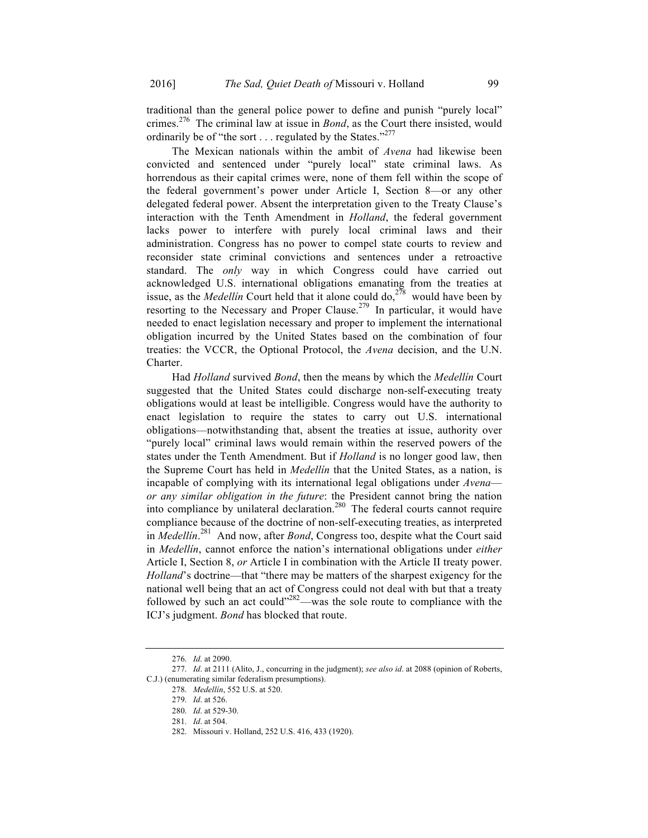traditional than the general police power to define and punish "purely local" crimes.<sup>276</sup> The criminal law at issue in *Bond*, as the Court there insisted, would ordinarily be of "the sort  $\dots$  regulated by the States."<sup>277</sup>

The Mexican nationals within the ambit of *Avena* had likewise been convicted and sentenced under "purely local" state criminal laws. As horrendous as their capital crimes were, none of them fell within the scope of the federal government's power under Article I, Section 8—or any other delegated federal power. Absent the interpretation given to the Treaty Clause's interaction with the Tenth Amendment in *Holland*, the federal government lacks power to interfere with purely local criminal laws and their administration. Congress has no power to compel state courts to review and reconsider state criminal convictions and sentences under a retroactive standard. The *only* way in which Congress could have carried out acknowledged U.S. international obligations emanating from the treaties at issue, as the *Medellin* Court held that it alone could do,<sup>278</sup> would have been by resorting to the Necessary and Proper Clause.<sup>279</sup> In particular, it would have needed to enact legislation necessary and proper to implement the international obligation incurred by the United States based on the combination of four treaties: the VCCR, the Optional Protocol, the *Avena* decision, and the U.N. Charter.

Had *Holland* survived *Bond*, then the means by which the *Medellín* Court suggested that the United States could discharge non-self-executing treaty obligations would at least be intelligible. Congress would have the authority to enact legislation to require the states to carry out U.S. international obligations—notwithstanding that, absent the treaties at issue, authority over "purely local" criminal laws would remain within the reserved powers of the states under the Tenth Amendment. But if *Holland* is no longer good law, then the Supreme Court has held in *Medellín* that the United States, as a nation, is incapable of complying with its international legal obligations under *Avena or any similar obligation in the future*: the President cannot bring the nation into compliance by unilateral declaration.<sup>280</sup> The federal courts cannot require compliance because of the doctrine of non-self-executing treaties, as interpreted in *Medellín*. <sup>281</sup> And now, after *Bond*, Congress too, despite what the Court said in *Medellín*, cannot enforce the nation's international obligations under *either* Article I, Section 8, *or* Article I in combination with the Article II treaty power. *Holland*'s doctrine—that "there may be matters of the sharpest exigency for the national well being that an act of Congress could not deal with but that a treaty followed by such an act could"<sup>282</sup>—was the sole route to compliance with the ICJ's judgment. *Bond* has blocked that route.

<sup>276.</sup> *Id*. at 2090.

<sup>277.</sup> *Id*. at 2111 (Alito, J., concurring in the judgment); *see also id*. at 2088 (opinion of Roberts, C.J.) (enumerating similar federalism presumptions).

<sup>278.</sup> *Medellín*, 552 U.S. at 520.

<sup>279.</sup> *Id*. at 526.

<sup>280.</sup> *Id*. at 529-30.

<sup>281.</sup> *Id*. at 504.

<sup>282.</sup> Missouri v. Holland, 252 U.S. 416, 433 (1920).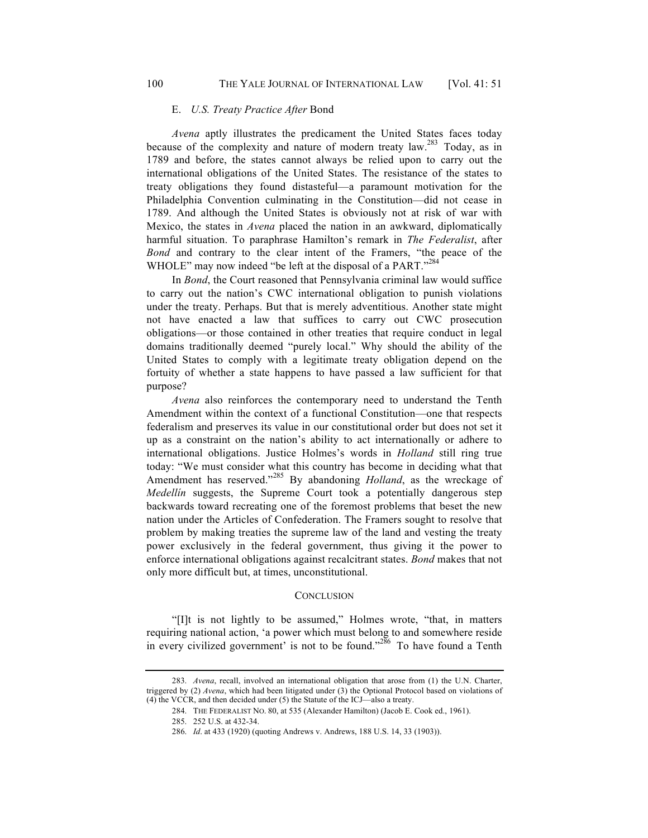#### E. *U.S. Treaty Practice After* Bond

*Avena* aptly illustrates the predicament the United States faces today because of the complexity and nature of modern treaty law.<sup>283</sup> Today, as in 1789 and before, the states cannot always be relied upon to carry out the international obligations of the United States. The resistance of the states to treaty obligations they found distasteful—a paramount motivation for the Philadelphia Convention culminating in the Constitution—did not cease in 1789. And although the United States is obviously not at risk of war with Mexico, the states in *Avena* placed the nation in an awkward, diplomatically harmful situation. To paraphrase Hamilton's remark in *The Federalist*, after *Bond* and contrary to the clear intent of the Framers, "the peace of the WHOLE" may now indeed "be left at the disposal of a PART."<sup>284</sup>

In *Bond*, the Court reasoned that Pennsylvania criminal law would suffice to carry out the nation's CWC international obligation to punish violations under the treaty. Perhaps. But that is merely adventitious. Another state might not have enacted a law that suffices to carry out CWC prosecution obligations—or those contained in other treaties that require conduct in legal domains traditionally deemed "purely local." Why should the ability of the United States to comply with a legitimate treaty obligation depend on the fortuity of whether a state happens to have passed a law sufficient for that purpose?

*Avena* also reinforces the contemporary need to understand the Tenth Amendment within the context of a functional Constitution—one that respects federalism and preserves its value in our constitutional order but does not set it up as a constraint on the nation's ability to act internationally or adhere to international obligations. Justice Holmes's words in *Holland* still ring true today: "We must consider what this country has become in deciding what that Amendment has reserved."<sup>285</sup> By abandoning *Holland*, as the wreckage of *Medellín* suggests, the Supreme Court took a potentially dangerous step backwards toward recreating one of the foremost problems that beset the new nation under the Articles of Confederation. The Framers sought to resolve that problem by making treaties the supreme law of the land and vesting the treaty power exclusively in the federal government, thus giving it the power to enforce international obligations against recalcitrant states. *Bond* makes that not only more difficult but, at times, unconstitutional.

#### **CONCLUSION**

"[I]t is not lightly to be assumed," Holmes wrote, "that, in matters requiring national action, 'a power which must belong to and somewhere reside in every civilized government' is not to be found."<sup>286</sup> To have found a Tenth

<sup>283.</sup> *Avena*, recall, involved an international obligation that arose from (1) the U.N. Charter, triggered by (2) *Avena*, which had been litigated under (3) the Optional Protocol based on violations of (4) the VCCR, and then decided under (5) the Statute of the ICJ—also a treaty.

<sup>284.</sup> THE FEDERALIST NO. 80, at 535 (Alexander Hamilton) (Jacob E. Cook ed., 1961). 285. 252 U.S. at 432-34.

<sup>286.</sup> *Id*. at 433 (1920) (quoting Andrews v. Andrews, 188 U.S. 14, 33 (1903)).